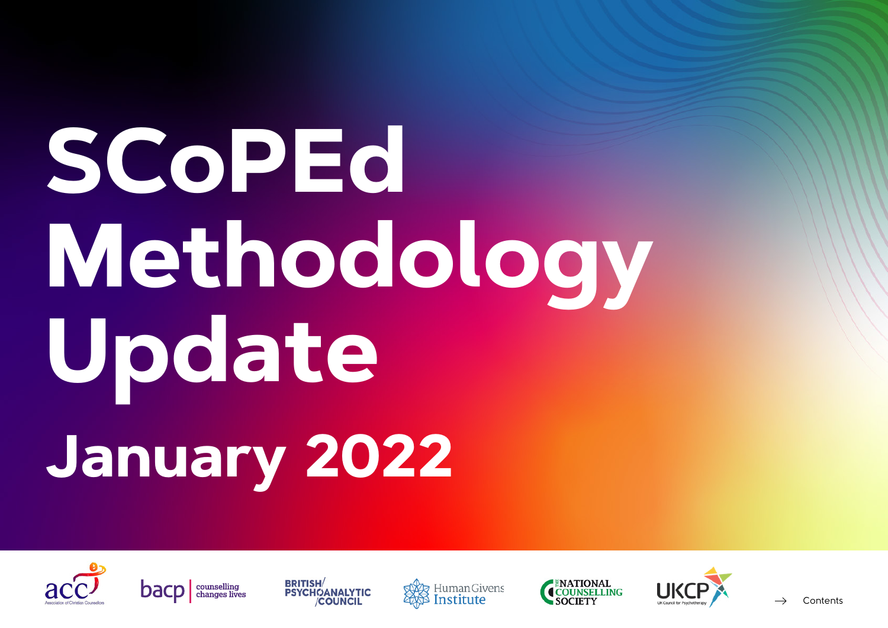# **SCoPEd Methodology Update January 2022**











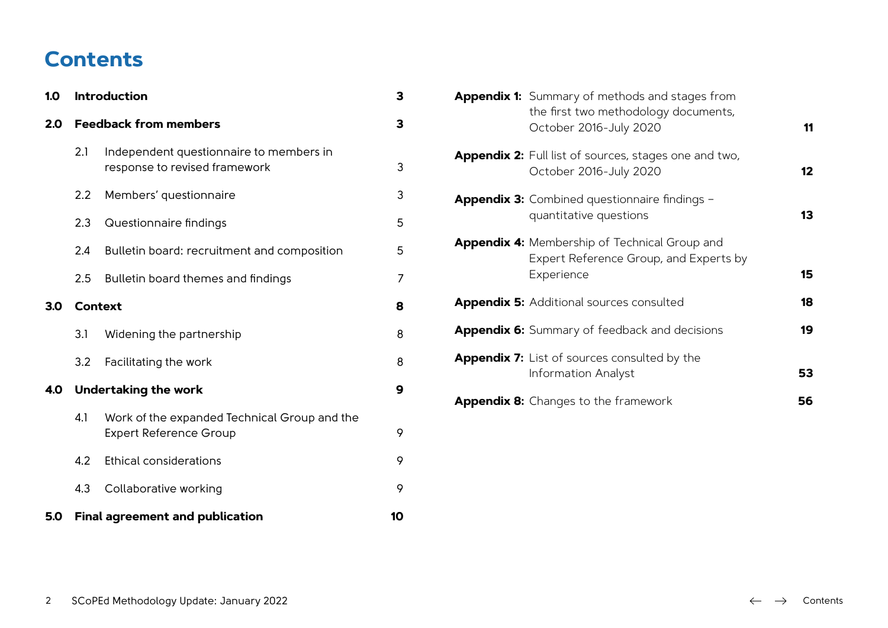## **Contents**

| 1.0 | <b>Introduction</b>          |                                                                               |    |
|-----|------------------------------|-------------------------------------------------------------------------------|----|
| 2.0 | <b>Feedback from members</b> |                                                                               | 3  |
|     | 2.1                          | Independent questionnaire to members in<br>response to revised framework      | 3  |
|     | 2.2                          | Members' questionnaire                                                        | 3  |
|     | 2.3                          | Questionnaire findings                                                        | 5  |
|     | 2.4                          | Bulletin board: recruitment and composition                                   | 5  |
|     | 2.5                          | Bulletin board themes and findings                                            | 7  |
| 3.0 | <b>Context</b>               |                                                                               | 8  |
|     | 3.1                          | Widening the partnership                                                      | 8  |
|     | 3.2                          | Facilitating the work                                                         | 8  |
| 4.0 |                              | <b>Undertaking the work</b>                                                   | 9  |
|     | 4.1                          | Work of the expanded Technical Group and the<br><b>Expert Reference Group</b> | 9  |
|     | 4.2                          | <b>Ethical considerations</b>                                                 | 9  |
|     | 4.3                          | Collaborative working                                                         | 9  |
| 5.0 |                              | <b>Final agreement and publication</b>                                        | 10 |

|  | <b>Appendix 1:</b> Summary of methods and stages from<br>the first two methodology documents,<br>October 2016-July 2020 | 11 |
|--|-------------------------------------------------------------------------------------------------------------------------|----|
|  | Appendix 2: Full list of sources, stages one and two,<br>October 2016-July 2020                                         | 12 |
|  | <b>Appendix 3:</b> Combined questionnaire findings -<br>quantitative questions                                          | 13 |
|  | <b>Appendix 4:</b> Membership of Technical Group and<br>Expert Reference Group, and Experts by<br>Experience            | 15 |
|  | <b>Appendix 5: Additional sources consulted</b>                                                                         | 18 |
|  | <b>Appendix 6:</b> Summary of feedback and decisions                                                                    | 19 |
|  | <b>Appendix 7:</b> List of sources consulted by the<br>Information Analyst                                              | 53 |
|  | <b>Appendix 8:</b> Changes to the framework                                                                             | 56 |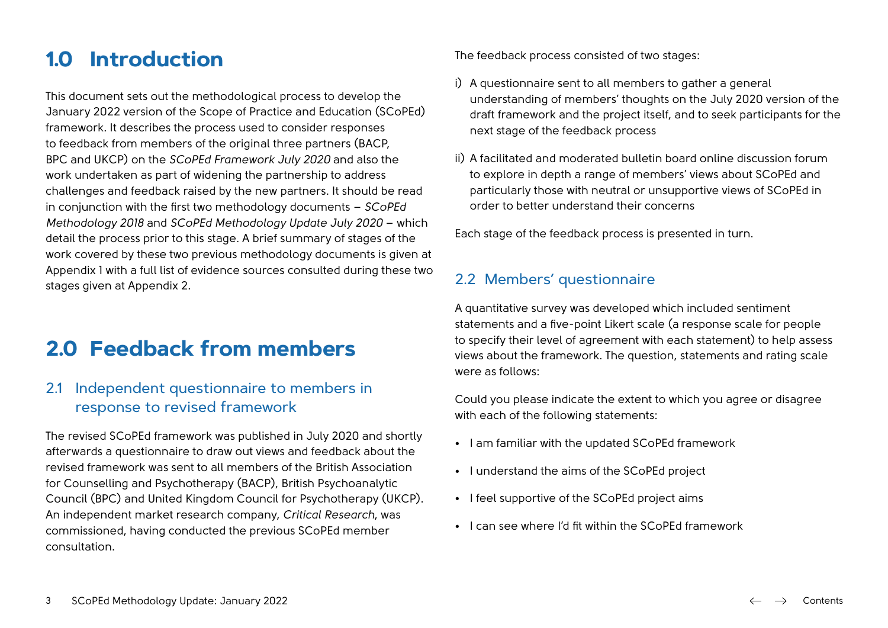## <span id="page-2-0"></span>**1.0 Introduction**

This document sets out the methodological process to develop the January 2022 version of the Scope of Practice and Education (SCoPEd) framework. It describes the process used to consider responses to feedback from members of the original three partners (BACP, BPC and UKCP) on the *SCoPEd Framework July 2020* and also the work undertaken as part of widening the partnership to address challenges and feedback raised by the new partners. It should be read in conjunction with the first two methodology documents – *SCoPEd Methodology 2018* and *SCoPEd Methodology Update July 2020* – which detail the process prior to this stage. A brief summary of stages of the work covered by these two previous methodology documents is given at Appendix 1 with a full list of evidence sources consulted during these two stages given at Appendix 2.

## **2.0 Feedback from members**

#### 2.1 Independent questionnaire to members in response to revised framework

The revised SCoPEd framework was published in July 2020 and shortly afterwards a questionnaire to draw out views and feedback about the revised framework was sent to all members of the British Association for Counselling and Psychotherapy (BACP), British Psychoanalytic Council (BPC) and United Kingdom Council for Psychotherapy (UKCP). An independent market research company, *Critical Research*, was commissioned, having conducted the previous SCoPEd member consultation.

The feedback process consisted of two stages:

- i) A questionnaire sent to all members to gather a general understanding of members' thoughts on the July 2020 version of the draft framework and the project itself, and to seek participants for the next stage of the feedback process
- ii) A facilitated and moderated bulletin board online discussion forum to explore in depth a range of members' views about SCoPEd and particularly those with neutral or unsupportive views of SCoPEd in order to better understand their concerns

Each stage of the feedback process is presented in turn.

## 2.2 Members' questionnaire

A quantitative survey was developed which included sentiment statements and a five-point Likert scale (a response scale for people to specify their level of agreement with each statement) to help assess views about the framework. The question, statements and rating scale were as follows:

Could you please indicate the extent to which you agree or disagree with each of the following statements:

- I am familiar with the updated SCoPEd framework
- I understand the aims of the SCoPEd project
- I feel supportive of the SCoPEd project aims
- I can see where I'd fit within the SCoPEd framework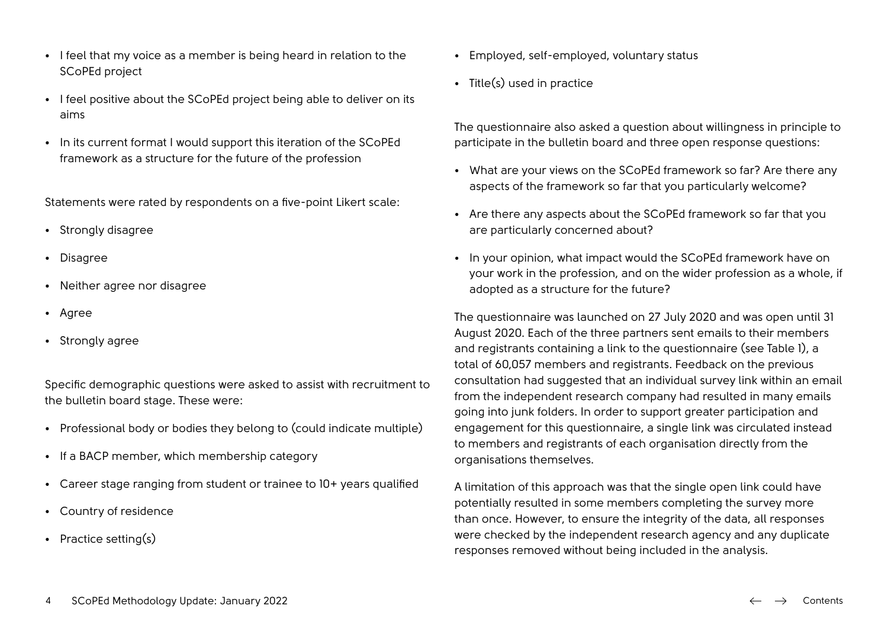- I feel positive about the SCoPEd project being able to deliver on its aims
- In its current format I would support this iteration of the SCoPEd framework as a structure for the future of the profession

Statements were rated by respondents on a five-point Likert scale:

- Strongly disagree
- Disagree
- Neither agree nor disagree
- Agree
- Strongly agree

Specific demographic questions were asked to assist with recruitment to the bulletin board stage. These were:

- Professional body or bodies they belong to (could indicate multiple)
- If a BACP member, which membership category
- Career stage ranging from student or trainee to 10+ years qualified
- Country of residence
- Practice setting(s)
- Employed, self-employed, voluntary status
- Title(s) used in practice

The questionnaire also asked a question about willingness in principle to participate in the bulletin board and three open response questions:

- What are your views on the SCoPEd framework so far? Are there any aspects of the framework so far that you particularly welcome?
- Are there any aspects about the SCoPEd framework so far that you are particularly concerned about?
- In your opinion, what impact would the SCoPEd framework have on your work in the profession, and on the wider profession as a whole, if adopted as a structure for the future?

The questionnaire was launched on 27 July 2020 and was open until 31 August 2020. Each of the three partners sent emails to their members and registrants containing a link to the questionnaire (see Table 1), a total of 60,057 members and registrants. Feedback on the previous consultation had suggested that an individual survey link within an email from the independent research company had resulted in many emails going into junk folders. In order to support greater participation and engagement for this questionnaire, a single link was circulated instead to members and registrants of each organisation directly from the organisations themselves.

A limitation of this approach was that the single open link could have potentially resulted in some members completing the survey more than once. However, to ensure the integrity of the data, all responses were checked by the independent research agency and any duplicate responses removed without being included in the analysis.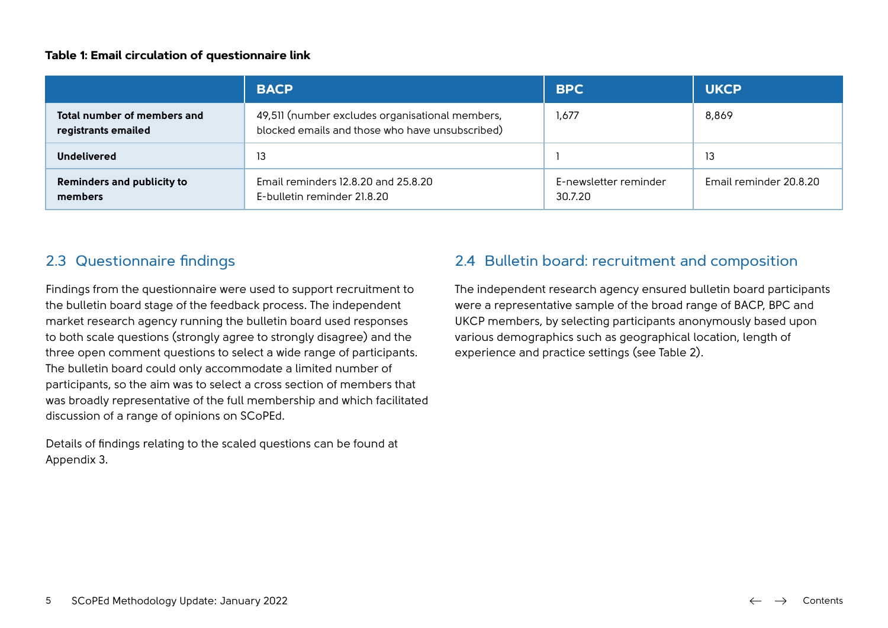#### <span id="page-4-0"></span>**Table 1: Email circulation of questionnaire link**

|                                                    | <b>BACP</b>                                                                                        | <b>BPC</b>                       | <b>UKCP</b>            |
|----------------------------------------------------|----------------------------------------------------------------------------------------------------|----------------------------------|------------------------|
| Total number of members and<br>registrants emailed | 49,511 (number excludes organisational members,<br>blocked emails and those who have unsubscribed) | 1,677                            | 8,869                  |
| <b>Undelivered</b>                                 | 13                                                                                                 |                                  | 13                     |
| <b>Reminders and publicity to</b><br>members       | Email reminders 12.8.20 and 25.8.20<br>E-bulletin reminder 21.8.20                                 | E-newsletter reminder<br>30.7.20 | Email reminder 20.8.20 |

## 2.3 Questionnaire findings

Findings from the questionnaire were used to support recruitment to the bulletin board stage of the feedback process. The independent market research agency running the bulletin board used responses to both scale questions (strongly agree to strongly disagree) and the three open comment questions to select a wide range of participants. The bulletin board could only accommodate a limited number of participants, so the aim was to select a cross section of members that was broadly representative of the full membership and which facilitated discussion of a range of opinions on SCoPEd.

Details of findings relating to the scaled questions can be found at Appendix 3.

## 2.4 Bulletin board: recruitment and composition

The independent research agency ensured bulletin board participants were a representative sample of the broad range of BACP, BPC and UKCP members, by selecting participants anonymously based upon various demographics such as geographical location, length of experience and practice settings (see Table 2).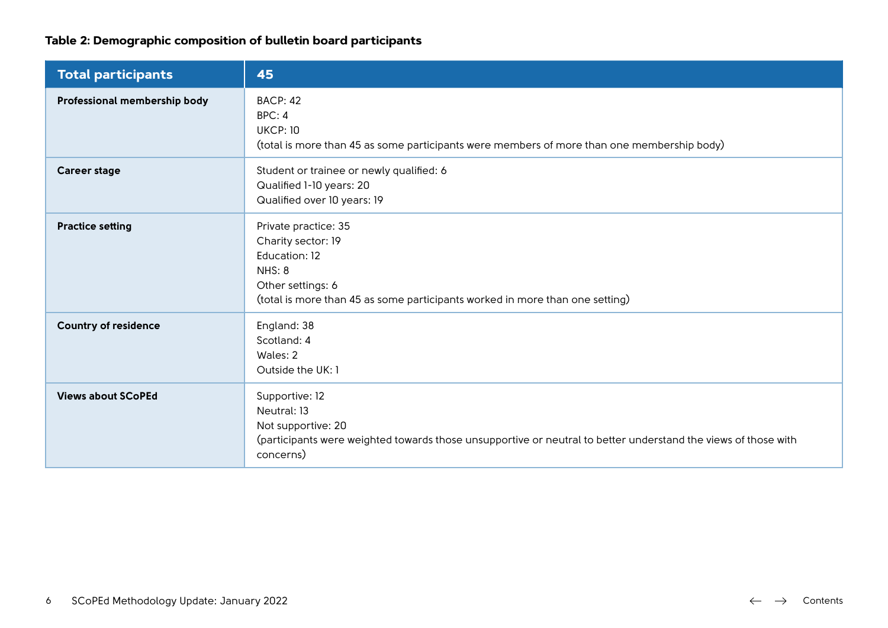## **Table 2: Demographic composition of bulletin board participants**

| <b>Total participants</b>    | 45                                                                                                                                                                                 |
|------------------------------|------------------------------------------------------------------------------------------------------------------------------------------------------------------------------------|
| Professional membership body | <b>BACP: 42</b><br>BPC: 4<br><b>UKCP: 10</b><br>(total is more than 45 as some participants were members of more than one membership body)                                         |
| <b>Career stage</b>          | Student or trainee or newly qualified: 6<br>Qualified 1-10 years: 20<br>Qualified over 10 years: 19                                                                                |
| <b>Practice setting</b>      | Private practice: 35<br>Charity sector: 19<br>Education: 12<br>NHS: 8<br>Other settings: 6<br>(total is more than 45 as some participants worked in more than one setting)         |
| <b>Country of residence</b>  | England: 38<br>Scotland: 4<br>Wales: 2<br>Outside the UK: 1                                                                                                                        |
| <b>Views about SCoPEd</b>    | Supportive: 12<br>Neutral: 13<br>Not supportive: 20<br>(participants were weighted towards those unsupportive or neutral to better understand the views of those with<br>concerns) |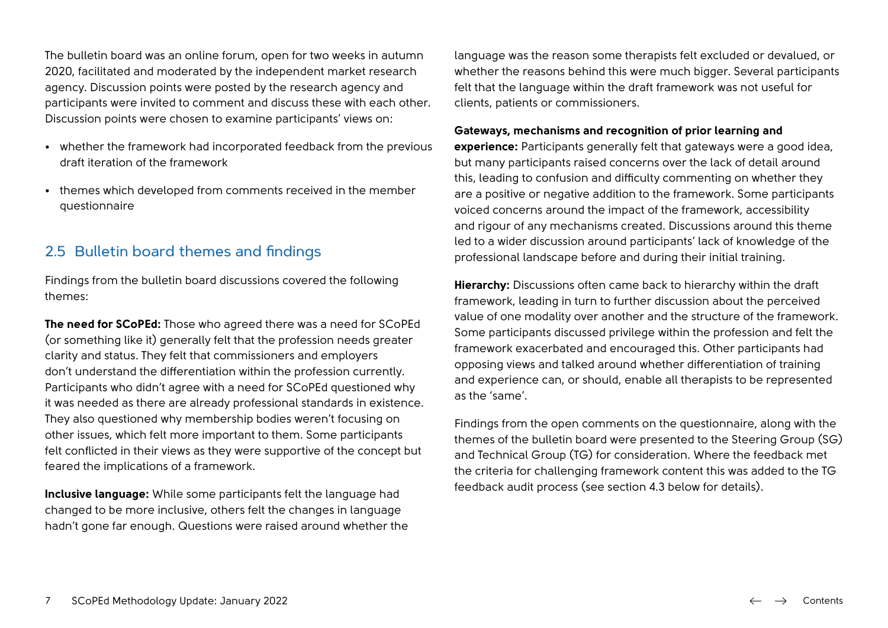<span id="page-6-0"></span>The bulletin board was an online forum, open for two weeks in autumn 2020, facilitated and moderated by the independent market research agency. Discussion points were posted by the research agency and participants were invited to comment and discuss these with each other. Discussion points were chosen to examine participants' views on:

- whether the framework had incorporated feedback from the previous draft iteration of the framework
- themes which developed from comments received in the member questionnaire

## 2.5 Bulletin board themes and findings

Findings from the bulletin board discussions covered the following themes:

**The need for SCoPEd:** Those who agreed there was a need for SCoPEd (or something like it) generally felt that the profession needs greater clarity and status. They felt that commissioners and employers don't understand the differentiation within the profession currently. Participants who didn't agree with a need for SCoPEd questioned why it was needed as there are already professional standards in existence. They also questioned why membership bodies weren't focusing on other issues, which felt more important to them. Some participants felt conflicted in their views as they were supportive of the concept but feared the implications of a framework.

**Inclusive language:** While some participants felt the language had changed to be more inclusive, others felt the changes in language hadn't gone far enough. Questions were raised around whether the language was the reason some therapists felt excluded or devalued, or whether the reasons behind this were much bigger. Several participants felt that the language within the draft framework was not useful for clients, patients or commissioners.

#### **Gateways, mechanisms and recognition of prior learning and**

**experience:** Participants generally felt that gateways were a good idea, but many participants raised concerns over the lack of detail around this, leading to confusion and difficulty commenting on whether they are a positive or negative addition to the framework. Some participants voiced concerns around the impact of the framework, accessibility and rigour of any mechanisms created. Discussions around this theme led to a wider discussion around participants' lack of knowledge of the professional landscape before and during their initial training.

**Hierarchy:** Discussions often came back to hierarchy within the draft framework, leading in turn to further discussion about the perceived value of one modality over another and the structure of the framework. Some participants discussed privilege within the profession and felt the framework exacerbated and encouraged this. Other participants had opposing views and talked around whether differentiation of training and experience can, or should, enable all therapists to be represented as the 'same'.

Findings from the open comments on the questionnaire, along with the themes of the bulletin board were presented to the Steering Group (SG) and Technical Group (TG) for consideration. Where the feedback met the criteria for challenging framework content this was added to the TG feedback audit process (see section 4.3 below for details).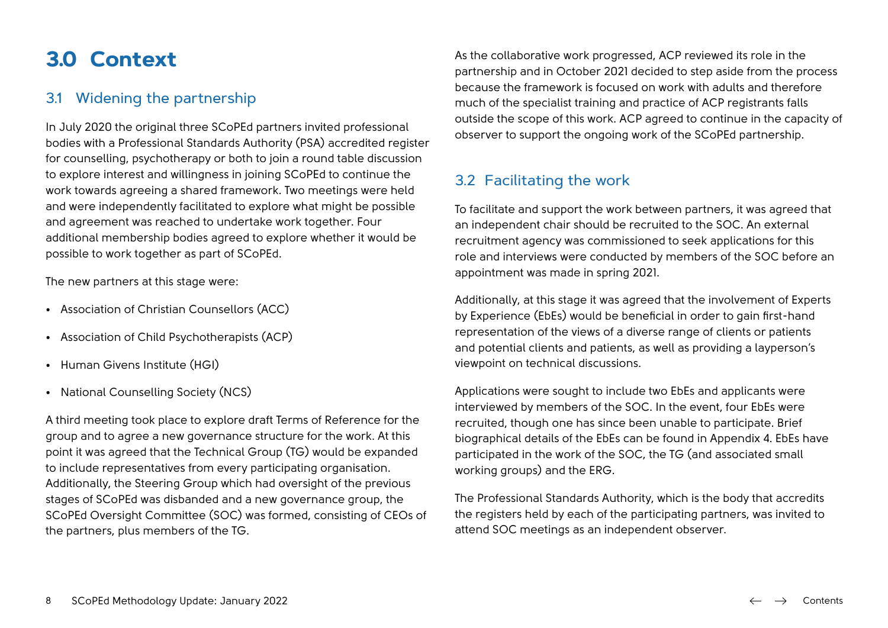# <span id="page-7-0"></span>**3.0 Context**

## 3.1 Widening the partnership

In July 2020 the original three SCoPEd partners invited professional bodies with a Professional Standards Authority (PSA) accredited register for counselling, psychotherapy or both to join a round table discussion to explore interest and willingness in joining SCoPEd to continue the work towards agreeing a shared framework. Two meetings were held and were independently facilitated to explore what might be possible and agreement was reached to undertake work together. Four additional membership bodies agreed to explore whether it would be possible to work together as part of SCoPEd.

The new partners at this stage were:

- Association of Christian Counsellors (ACC)
- Association of Child Psychotherapists (ACP)
- Human Givens Institute (HGI)
- National Counselling Society (NCS)

A third meeting took place to explore draft Terms of Reference for the group and to agree a new governance structure for the work. At this point it was agreed that the Technical Group (TG) would be expanded to include representatives from every participating organisation. Additionally, the Steering Group which had oversight of the previous stages of SCoPEd was disbanded and a new governance group, the SCoPEd Oversight Committee (SOC) was formed, consisting of CEOs of the partners, plus members of the TG.

As the collaborative work progressed, ACP reviewed its role in the partnership and in October 2021 decided to step aside from the process because the framework is focused on work with adults and therefore much of the specialist training and practice of ACP registrants falls outside the scope of this work. ACP agreed to continue in the capacity of observer to support the ongoing work of the SCoPEd partnership.

## 3.2 Facilitating the work

To facilitate and support the work between partners, it was agreed that an independent chair should be recruited to the SOC. An external recruitment agency was commissioned to seek applications for this role and interviews were conducted by members of the SOC before an appointment was made in spring 2021.

Additionally, at this stage it was agreed that the involvement of Experts by Experience (EbEs) would be beneficial in order to gain first-hand representation of the views of a diverse range of clients or patients and potential clients and patients, as well as providing a layperson's viewpoint on technical discussions.

Applications were sought to include two EbEs and applicants were interviewed by members of the SOC. In the event, four EbEs were recruited, though one has since been unable to participate. Brief biographical details of the EbEs can be found in Appendix 4. EbEs have participated in the work of the SOC, the TG (and associated small working groups) and the ERG.

The Professional Standards Authority, which is the body that accredits the registers held by each of the participating partners, was invited to attend SOC meetings as an independent observer.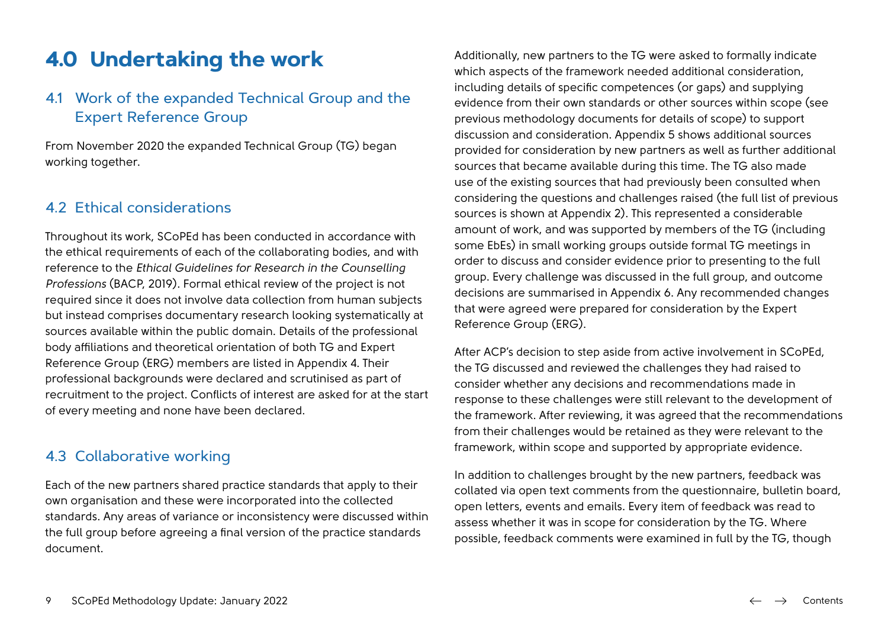## <span id="page-8-0"></span>**4.0 Undertaking the work**

## 4.1 Work of the expanded Technical Group and the Expert Reference Group

From November 2020 the expanded Technical Group (TG) began working together.

#### 4.2 Ethical considerations

Throughout its work, SCoPEd has been conducted in accordance with the ethical requirements of each of the collaborating bodies, and with reference to the *Ethical Guidelines for Research in the Counselling Professions* (BACP, 2019). Formal ethical review of the project is not required since it does not involve data collection from human subjects but instead comprises documentary research looking systematically at sources available within the public domain. Details of the professional body affiliations and theoretical orientation of both TG and Expert Reference Group (ERG) members are listed in Appendix 4. Their professional backgrounds were declared and scrutinised as part of recruitment to the project. Conflicts of interest are asked for at the start of every meeting and none have been declared.

#### 4.3 Collaborative working

Each of the new partners shared practice standards that apply to their own organisation and these were incorporated into the collected standards. Any areas of variance or inconsistency were discussed within the full group before agreeing a final version of the practice standards document.

Additionally, new partners to the TG were asked to formally indicate which aspects of the framework needed additional consideration. including details of specific competences (or gaps) and supplying evidence from their own standards or other sources within scope (see previous methodology documents for details of scope) to support discussion and consideration. Appendix 5 shows additional sources provided for consideration by new partners as well as further additional sources that became available during this time. The TG also made use of the existing sources that had previously been consulted when considering the questions and challenges raised (the full list of previous sources is shown at Appendix 2). This represented a considerable amount of work, and was supported by members of the TG (including some EbEs) in small working groups outside formal TG meetings in order to discuss and consider evidence prior to presenting to the full group. Every challenge was discussed in the full group, and outcome decisions are summarised in Appendix 6. Any recommended changes that were agreed were prepared for consideration by the Expert Reference Group (ERG).

After ACP's decision to step aside from active involvement in SCoPEd, the TG discussed and reviewed the challenges they had raised to consider whether any decisions and recommendations made in response to these challenges were still relevant to the development of the framework. After reviewing, it was agreed that the recommendations from their challenges would be retained as they were relevant to the framework, within scope and supported by appropriate evidence.

In addition to challenges brought by the new partners, feedback was collated via open text comments from the questionnaire, bulletin board, open letters, events and emails. Every item of feedback was read to assess whether it was in scope for consideration by the TG. Where possible, feedback comments were examined in full by the TG, though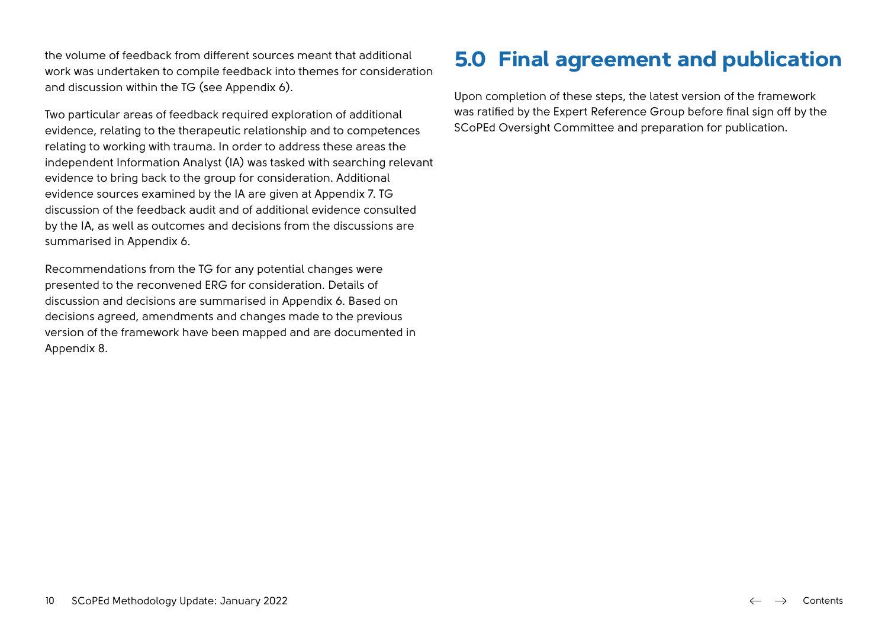<span id="page-9-0"></span>the volume of feedback from different sources meant that additional work was undertaken to compile feedback into themes for consideration and discussion within the TG (see Appendix 6).

Two particular areas of feedback required exploration of additional evidence, relating to the therapeutic relationship and to competences relating to working with trauma. In order to address these areas the independent Information Analyst (IA) was tasked with searching relevant evidence to bring back to the group for consideration. Additional evidence sources examined by the IA are given at Appendix 7. TG discussion of the feedback audit and of additional evidence consulted by the IA, as well as outcomes and decisions from the discussions are summarised in Appendix 6.

Recommendations from the TG for any potential changes were presented to the reconvened ERG for consideration. Details of discussion and decisions are summarised in Appendix 6. Based on decisions agreed, amendments and changes made to the previous version of the framework have been mapped and are documented in Appendix 8.

# **5.0 Final agreement and publication**

Upon completion of these steps, the latest version of the framework was ratified by the Expert Reference Group before final sign off by the SCoPEd Oversight Committee and preparation for publication.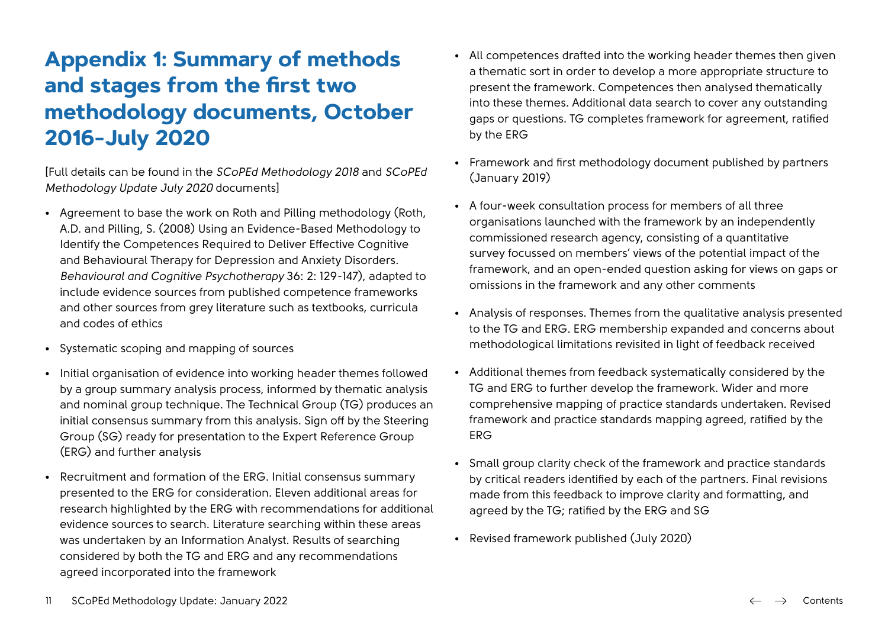# <span id="page-10-0"></span>**Appendix 1: Summary of methods and stages from the first two methodology documents, October 2016-July 2020**

[Full details can be found in the *SCoPEd Methodology 2018* and *SCoPEd Methodology Update July 2020* documents]

- Agreement to base the work on Roth and Pilling methodology (Roth, A.D. and Pilling, S. (2008) Using an Evidence-Based Methodology to Identify the Competences Required to Deliver Effective Cognitive and Behavioural Therapy for Depression and Anxiety Disorders. *Behavioural and Cognitive Psychotherapy* 36: 2: 129-147), adapted to include evidence sources from published competence frameworks and other sources from grey literature such as textbooks, curricula and codes of ethics
- Systematic scoping and mapping of sources
- Initial organisation of evidence into working header themes followed by a group summary analysis process, informed by thematic analysis and nominal group technique. The Technical Group (TG) produces an initial consensus summary from this analysis. Sign off by the Steering Group (SG) ready for presentation to the Expert Reference Group (ERG) and further analysis
- Recruitment and formation of the ERG. Initial consensus summary presented to the ERG for consideration. Eleven additional areas for research highlighted by the ERG with recommendations for additional evidence sources to search. Literature searching within these areas was undertaken by an Information Analyst. Results of searching considered by both the TG and ERG and any recommendations agreed incorporated into the framework
- All competences drafted into the working header themes then given a thematic sort in order to develop a more appropriate structure to present the framework. Competences then analysed thematically into these themes. Additional data search to cover any outstanding gaps or questions. TG completes framework for agreement, ratified by the ERG
- Framework and first methodology document published by partners (January 2019)
- A four-week consultation process for members of all three organisations launched with the framework by an independently commissioned research agency, consisting of a quantitative survey focussed on members' views of the potential impact of the framework, and an open-ended question asking for views on gaps or omissions in the framework and any other comments
- Analysis of responses. Themes from the qualitative analysis presented to the TG and ERG. ERG membership expanded and concerns about methodological limitations revisited in light of feedback received
- Additional themes from feedback systematically considered by the TG and ERG to further develop the framework. Wider and more comprehensive mapping of practice standards undertaken. Revised framework and practice standards mapping agreed, ratified by the ERG
- Small group clarity check of the framework and practice standards by critical readers identified by each of the partners. Final revisions made from this feedback to improve clarity and formatting, and agreed by the TG; ratified by the ERG and SG
- Revised framework published (July 2020)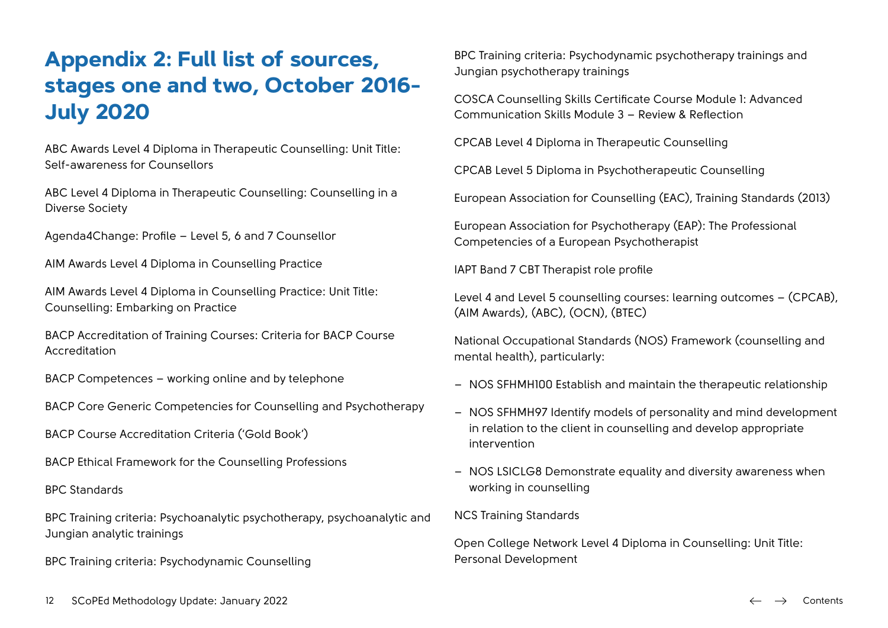# <span id="page-11-0"></span>**Appendix 2: Full list of sources, stages one and two, October 2016- July 2020**

ABC Awards Level 4 Diploma in Therapeutic Counselling: Unit Title: Self-awareness for Counsellors

ABC Level 4 Diploma in Therapeutic Counselling: Counselling in a Diverse Society

Agenda4Change: Profile – Level 5, 6 and 7 Counsellor

AIM Awards Level 4 Diploma in Counselling Practice

AIM Awards Level 4 Diploma in Counselling Practice: Unit Title: Counselling: Embarking on Practice

BACP Accreditation of Training Courses: Criteria for BACP Course Accreditation

BACP Competences – working online and by telephone

BACP Core Generic Competencies for Counselling and Psychotherapy

BACP Course Accreditation Criteria ('Gold Book')

BACP Ethical Framework for the Counselling Professions

BPC Standards

BPC Training criteria: Psychoanalytic psychotherapy, psychoanalytic and Jungian analytic trainings

BPC Training criteria: Psychodynamic Counselling

BPC Training criteria: Psychodynamic psychotherapy trainings and Jungian psychotherapy trainings

COSCA Counselling Skills Certificate Course Module 1: Advanced Communication Skills Module 3 – Review & Reflection

CPCAB Level 4 Diploma in Therapeutic Counselling

CPCAB Level 5 Diploma in Psychotherapeutic Counselling

European Association for Counselling (EAC), Training Standards (2013)

European Association for Psychotherapy (EAP): The Professional Competencies of a European Psychotherapist

IAPT Band 7 CBT Therapist role profile

Level 4 and Level 5 counselling courses: learning outcomes – (CPCAB), (AIM Awards), (ABC), (OCN), (BTEC)

National Occupational Standards (NOS) Framework (counselling and mental health), particularly:

- NOS SFHMH100 Establish and maintain the therapeutic relationship
- NOS SFHMH97 Identify models of personality and mind development in relation to the client in counselling and develop appropriate intervention
- NOS LSICLG8 Demonstrate equality and diversity awareness when working in counselling

NCS Training Standards

Open College Network Level 4 Diploma in Counselling: Unit Title: Personal Development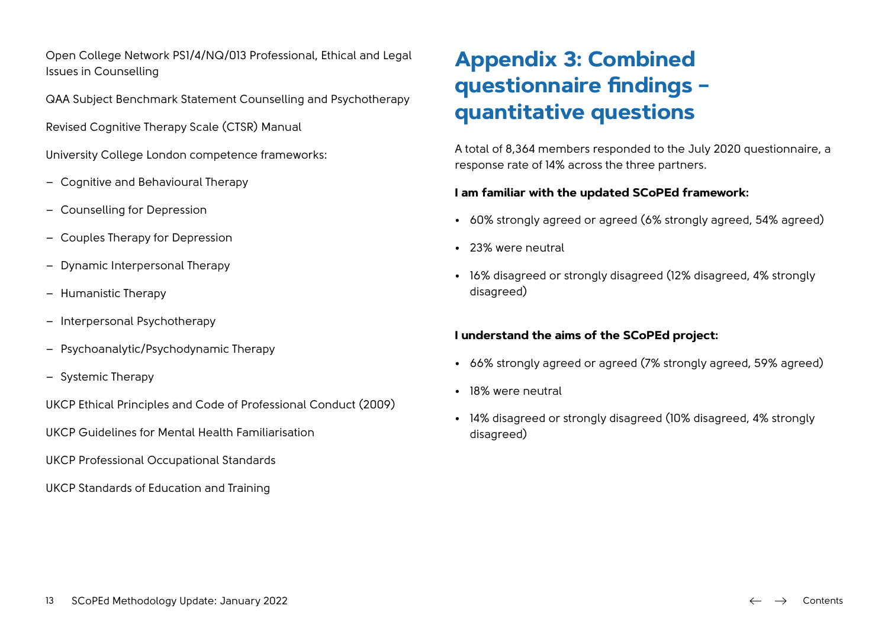<span id="page-12-0"></span>Open College Network PS1/4/NQ/013 Professional, Ethical and Legal Issues in Counselling

QAA Subject Benchmark Statement Counselling and Psychotherapy

Revised Cognitive Therapy Scale (CTSR) Manual

University College London competence frameworks:

- Cognitive and Behavioural Therapy
- Counselling for Depression
- Couples Therapy for Depression
- Dynamic Interpersonal Therapy
- Humanistic Therapy
- Interpersonal Psychotherapy
- Psychoanalytic/Psychodynamic Therapy
- Systemic Therapy

UKCP Ethical Principles and Code of Professional Conduct (2009)

UKCP Guidelines for Mental Health Familiarisation

UKCP Professional Occupational Standards

UKCP Standards of Education and Training

# **Appendix 3: Combined questionnaire findings – quantitative questions**

A total of 8,364 members responded to the July 2020 questionnaire, a response rate of 14% across the three partners.

#### **I am familiar with the updated SCoPEd framework:**

- 60% strongly agreed or agreed (6% strongly agreed, 54% agreed)
- 23% were neutral
- 16% disagreed or strongly disagreed (12% disagreed, 4% strongly disagreed)

#### **I understand the aims of the SCoPEd project:**

- 66% strongly agreed or agreed (7% strongly agreed, 59% agreed)
- 18% were neutral
- 14% disagreed or strongly disagreed (10% disagreed, 4% strongly disagreed)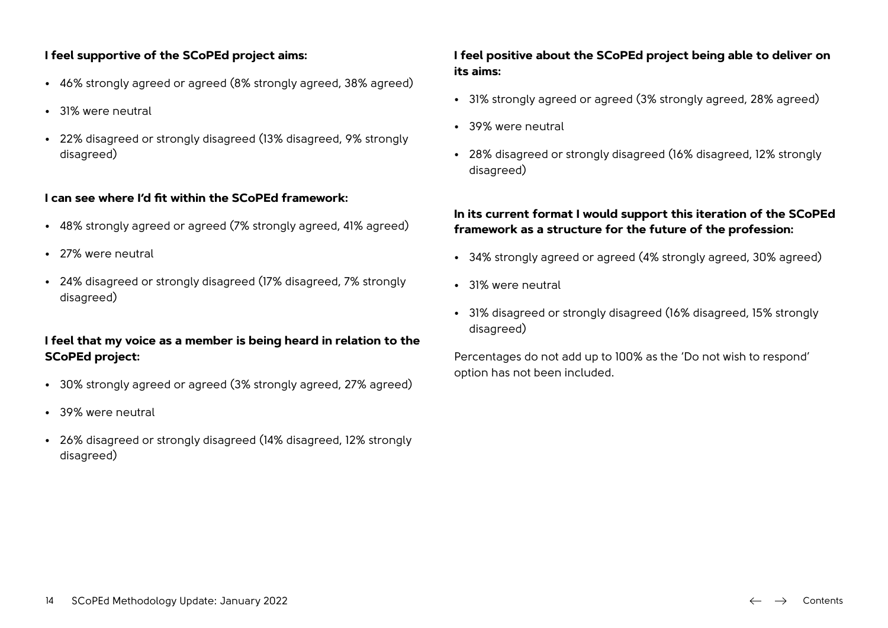#### **I feel supportive of the SCoPEd project aims:**

- 46% strongly agreed or agreed (8% strongly agreed, 38% agreed)
- 31% were neutral
- 22% disagreed or strongly disagreed (13% disagreed, 9% strongly disagreed)

#### **I can see where I'd fit within the SCoPEd framework:**

- 48% strongly agreed or agreed (7% strongly agreed, 41% agreed)
- 27% were neutral
- 24% disagreed or strongly disagreed (17% disagreed, 7% strongly disagreed)

#### **I feel that my voice as a member is being heard in relation to the SCoPEd project:**

- 30% strongly agreed or agreed (3% strongly agreed, 27% agreed)
- 39% were neutral
- 26% disagreed or strongly disagreed (14% disagreed, 12% strongly disagreed)

#### **I feel positive about the SCoPEd project being able to deliver on its aims:**

- 31% strongly agreed or agreed (3% strongly agreed, 28% agreed)
- 39% were neutral
- 28% disagreed or strongly disagreed (16% disagreed, 12% strongly disagreed)

#### **In its current format I would support this iteration of the SCoPEd framework as a structure for the future of the profession:**

- 34% strongly agreed or agreed (4% strongly agreed, 30% agreed)
- 31% were neutral
- 31% disagreed or strongly disagreed (16% disagreed, 15% strongly disagreed)

Percentages do not add up to 100% as the 'Do not wish to respond' option has not been included.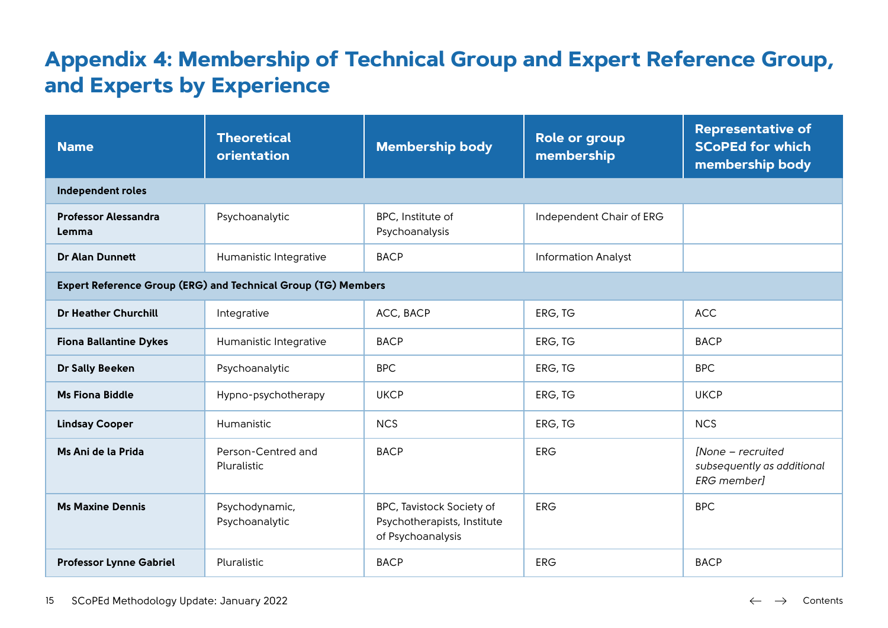# <span id="page-14-0"></span>**Appendix 4: Membership of Technical Group and Expert Reference Group, and Experts by Experience**

| <b>Name</b>                          | <b>Theoretical</b><br>orientation                             | <b>Membership body</b>                                                        | <b>Role or group</b><br>membership | <b>Representative of</b><br><b>SCoPEd for which</b><br>membership body |
|--------------------------------------|---------------------------------------------------------------|-------------------------------------------------------------------------------|------------------------------------|------------------------------------------------------------------------|
| Independent roles                    |                                                               |                                                                               |                                    |                                                                        |
| <b>Professor Alessandra</b><br>Lemma | Psychoanalytic                                                | BPC, Institute of<br>Psychoanalysis                                           | Independent Chair of ERG           |                                                                        |
| <b>Dr Alan Dunnett</b>               | Humanistic Integrative                                        | <b>BACP</b>                                                                   | <b>Information Analyst</b>         |                                                                        |
|                                      | Expert Reference Group (ERG) and Technical Group (TG) Members |                                                                               |                                    |                                                                        |
| <b>Dr Heather Churchill</b>          | Integrative                                                   | ACC, BACP                                                                     | ERG, TG                            | <b>ACC</b>                                                             |
| <b>Fiona Ballantine Dykes</b>        | Humanistic Integrative                                        | <b>BACP</b>                                                                   | ERG, TG                            | <b>BACP</b>                                                            |
| Dr Sally Beeken                      | Psychoanalytic                                                | <b>BPC</b>                                                                    | ERG, TG                            | <b>BPC</b>                                                             |
| <b>Ms Fiona Biddle</b>               | Hypno-psychotherapy                                           | <b>UKCP</b>                                                                   | ERG, TG                            | <b>UKCP</b>                                                            |
| <b>Lindsay Cooper</b>                | Humanistic                                                    | <b>NCS</b>                                                                    | ERG, TG                            | <b>NCS</b>                                                             |
| Ms Ani de la Prida                   | Person-Centred and<br>Pluralistic                             | <b>BACP</b>                                                                   | <b>ERG</b>                         | [None - recruited<br>subsequently as additional<br><b>ERG</b> member]  |
| <b>Ms Maxine Dennis</b>              | Psychodynamic,<br>Psychoanalytic                              | BPC, Tavistock Society of<br>Psychotherapists, Institute<br>of Psychoanalysis | <b>ERG</b>                         | <b>BPC</b>                                                             |
| <b>Professor Lynne Gabriel</b>       | Pluralistic                                                   | <b>BACP</b>                                                                   | <b>ERG</b>                         | <b>BACP</b>                                                            |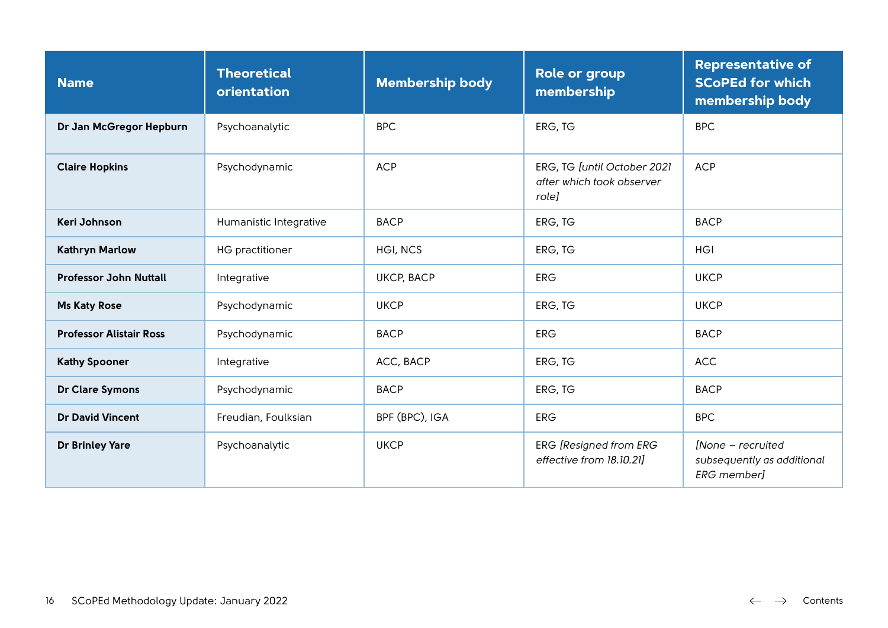| <b>Name</b>                    | <b>Theoretical</b><br>orientation | <b>Membership body</b> | <b>Role or group</b><br>membership                                | <b>Representative of</b><br><b>SCoPEd for which</b><br>membership body |
|--------------------------------|-----------------------------------|------------------------|-------------------------------------------------------------------|------------------------------------------------------------------------|
| Dr Jan McGregor Hepburn        | Psychoanalytic                    | <b>BPC</b>             | ERG, TG                                                           | <b>BPC</b>                                                             |
| <b>Claire Hopkins</b>          | Psychodynamic                     | <b>ACP</b>             | ERG, TG [until October 2021<br>after which took observer<br>role] | <b>ACP</b>                                                             |
| Keri Johnson                   | Humanistic Integrative            | <b>BACP</b>            | ERG, TG                                                           | <b>BACP</b>                                                            |
| <b>Kathryn Marlow</b>          | <b>HG</b> practitioner            | HGI, NCS               | ERG, TG                                                           | <b>HGI</b>                                                             |
| <b>Professor John Nuttall</b>  | Integrative                       | <b>UKCP, BACP</b>      | <b>ERG</b>                                                        | <b>UKCP</b>                                                            |
| <b>Ms Katy Rose</b>            | Psychodynamic                     | <b>UKCP</b>            | ERG, TG                                                           | <b>UKCP</b>                                                            |
| <b>Professor Alistair Ross</b> | Psychodynamic                     | <b>BACP</b>            | <b>ERG</b>                                                        | <b>BACP</b>                                                            |
| <b>Kathy Spooner</b>           | Integrative                       | ACC, BACP              | ERG, TG                                                           | <b>ACC</b>                                                             |
| <b>Dr Clare Symons</b>         | Psychodynamic                     | <b>BACP</b>            | ERG, TG                                                           | <b>BACP</b>                                                            |
| <b>Dr David Vincent</b>        | Freudian, Foulksian               | BPF (BPC), IGA         | <b>ERG</b>                                                        | <b>BPC</b>                                                             |
| <b>Dr Brinley Yare</b>         | Psychoanalytic                    | <b>UKCP</b>            | ERG [Resigned from ERG<br>effective from 18.10.21]                | [None - recruited<br>subsequently as additional<br><b>ERG</b> member]  |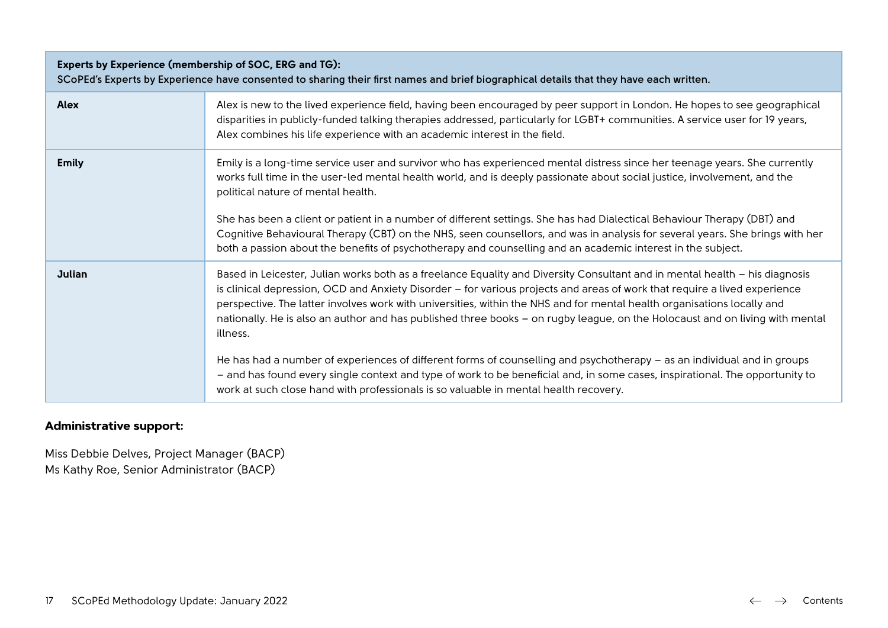| Experts by Experience (membership of SOC, ERG and TG):<br>SCoPEd's Experts by Experience have consented to sharing their first names and brief biographical details that they have each written. |                                                                                                                                                                                                                                                                                                                                                                                                                                                                                                                                                                                                                                                                                                                                                                                                                                                                                    |  |  |
|--------------------------------------------------------------------------------------------------------------------------------------------------------------------------------------------------|------------------------------------------------------------------------------------------------------------------------------------------------------------------------------------------------------------------------------------------------------------------------------------------------------------------------------------------------------------------------------------------------------------------------------------------------------------------------------------------------------------------------------------------------------------------------------------------------------------------------------------------------------------------------------------------------------------------------------------------------------------------------------------------------------------------------------------------------------------------------------------|--|--|
| <b>Alex</b>                                                                                                                                                                                      | Alex is new to the lived experience field, having been encouraged by peer support in London. He hopes to see geographical<br>disparities in publicly-funded talking therapies addressed, particularly for LGBT+ communities. A service user for 19 years,<br>Alex combines his life experience with an academic interest in the field.                                                                                                                                                                                                                                                                                                                                                                                                                                                                                                                                             |  |  |
| <b>Emily</b>                                                                                                                                                                                     | Emily is a long-time service user and survivor who has experienced mental distress since her teenage years. She currently<br>works full time in the user-led mental health world, and is deeply passionate about social justice, involvement, and the<br>political nature of mental health.<br>She has been a client or patient in a number of different settings. She has had Dialectical Behaviour Therapy (DBT) and<br>Cognitive Behavioural Therapy (CBT) on the NHS, seen counsellors, and was in analysis for several years. She brings with her<br>both a passion about the benefits of psychotherapy and counselling and an academic interest in the subject.                                                                                                                                                                                                              |  |  |
| <b>Julian</b>                                                                                                                                                                                    | Based in Leicester, Julian works both as a freelance Equality and Diversity Consultant and in mental health – his diagnosis<br>is clinical depression, OCD and Anxiety Disorder - for various projects and areas of work that require a lived experience<br>perspective. The latter involves work with universities, within the NHS and for mental health organisations locally and<br>nationally. He is also an author and has published three books - on rugby league, on the Holocaust and on living with mental<br>illness.<br>He has had a number of experiences of different forms of counselling and psychotherapy - as an individual and in groups<br>- and has found every single context and type of work to be beneficial and, in some cases, inspirational. The opportunity to<br>work at such close hand with professionals is so valuable in mental health recovery. |  |  |

## **Administrative support:**

Miss Debbie Delves, Project Manager (BACP) Ms Kathy Roe, Senior Administrator (BACP)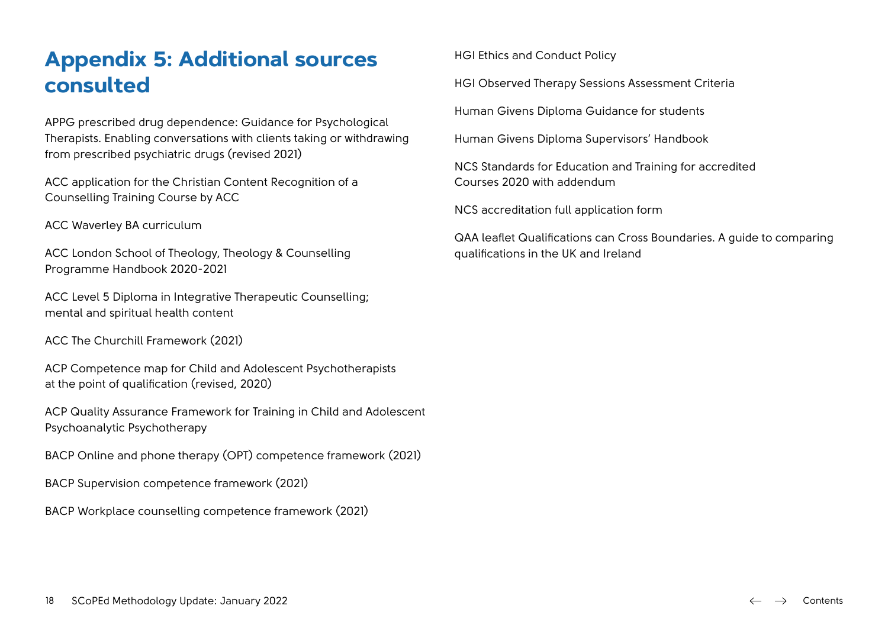# <span id="page-17-0"></span>**Appendix 5: Additional sources consulted**

APPG prescribed drug dependence: Guidance for Psychological Therapists. Enabling conversations with clients taking or withdrawing from prescribed psychiatric drugs (revised 2021)

ACC application for the Christian Content Recognition of a Counselling Training Course by ACC

ACC Waverley BA curriculum

ACC London School of Theology, Theology & Counselling Programme Handbook 2020-2021

ACC Level 5 Diploma in Integrative Therapeutic Counselling; mental and spiritual health content

ACC The Churchill Framework (2021)

ACP Competence map for Child and Adolescent Psychotherapists at the point of qualification (revised, 2020)

ACP Quality Assurance Framework for Training in Child and Adolescent Psychoanalytic Psychotherapy

BACP Online and phone therapy (OPT) competence framework (2021)

BACP Supervision competence framework (2021)

BACP Workplace counselling competence framework (2021)

HGI Ethics and Conduct Policy

HGI Observed Therapy Sessions Assessment Criteria

Human Givens Diploma Guidance for students

Human Givens Diploma Supervisors' Handbook

NCS Standards for Education and Training for accredited Courses 2020 with addendum

NCS accreditation full application form

QAA leaflet Qualifications can Cross Boundaries. A guide to comparing qualifications in the UK and Ireland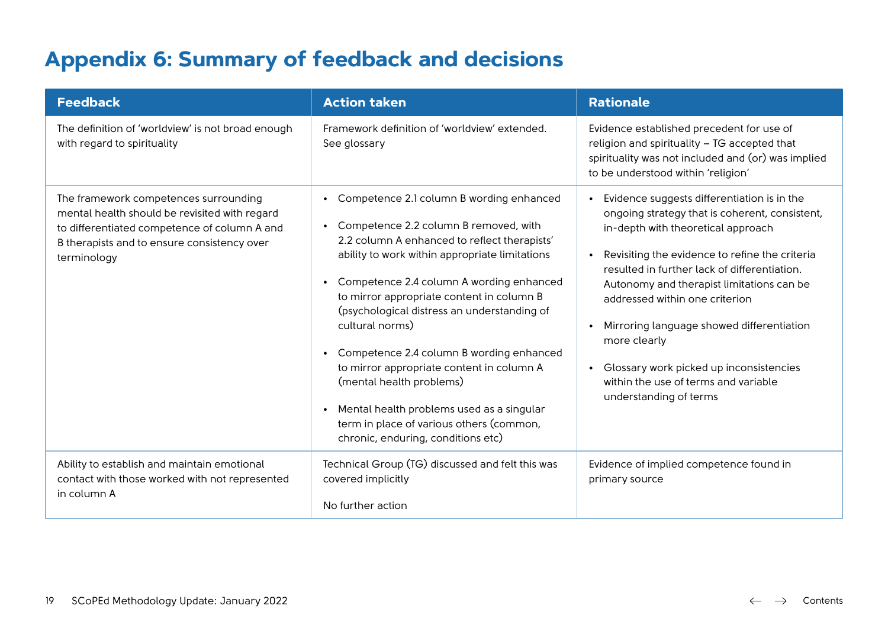# <span id="page-18-0"></span>**Appendix 6: Summary of feedback and decisions**

| <b>Feedback</b>                                                                                                                                                                                      | <b>Action taken</b>                                                                                                                                                                                                                                                                                                                                                                                                                                                                                                                                                                                                                                    | <b>Rationale</b>                                                                                                                                                                                                                                                                                                                                                                                                                                                                                                         |
|------------------------------------------------------------------------------------------------------------------------------------------------------------------------------------------------------|--------------------------------------------------------------------------------------------------------------------------------------------------------------------------------------------------------------------------------------------------------------------------------------------------------------------------------------------------------------------------------------------------------------------------------------------------------------------------------------------------------------------------------------------------------------------------------------------------------------------------------------------------------|--------------------------------------------------------------------------------------------------------------------------------------------------------------------------------------------------------------------------------------------------------------------------------------------------------------------------------------------------------------------------------------------------------------------------------------------------------------------------------------------------------------------------|
| The definition of 'worldview' is not broad enough<br>with regard to spirituality                                                                                                                     | Framework definition of 'worldview' extended.<br>See glossary                                                                                                                                                                                                                                                                                                                                                                                                                                                                                                                                                                                          | Evidence established precedent for use of<br>religion and spirituality - TG accepted that<br>spirituality was not included and (or) was implied<br>to be understood within 'religion'                                                                                                                                                                                                                                                                                                                                    |
| The framework competences surrounding<br>mental health should be revisited with regard<br>to differentiated competence of column A and<br>B therapists and to ensure consistency over<br>terminology | Competence 2.1 column B wording enhanced<br>$\bullet$<br>Competence 2.2 column B removed, with<br>$\bullet$<br>2.2 column A enhanced to reflect therapists'<br>ability to work within appropriate limitations<br>Competence 2.4 column A wording enhanced<br>$\bullet$<br>to mirror appropriate content in column B<br>(psychological distress an understanding of<br>cultural norms)<br>Competence 2.4 column B wording enhanced<br>to mirror appropriate content in column A<br>(mental health problems)<br>Mental health problems used as a singular<br>$\bullet$<br>term in place of various others (common,<br>chronic, enduring, conditions etc) | Evidence suggests differentiation is in the<br>$\bullet$<br>ongoing strategy that is coherent, consistent,<br>in-depth with theoretical approach<br>Revisiting the evidence to refine the criteria<br>$\bullet$<br>resulted in further lack of differentiation.<br>Autonomy and therapist limitations can be<br>addressed within one criterion<br>Mirroring language showed differentiation<br>more clearly<br>Glossary work picked up inconsistencies<br>within the use of terms and variable<br>understanding of terms |
| Ability to establish and maintain emotional<br>contact with those worked with not represented<br>in column A                                                                                         | Technical Group (TG) discussed and felt this was<br>covered implicitly<br>No further action                                                                                                                                                                                                                                                                                                                                                                                                                                                                                                                                                            | Evidence of implied competence found in<br>primary source                                                                                                                                                                                                                                                                                                                                                                                                                                                                |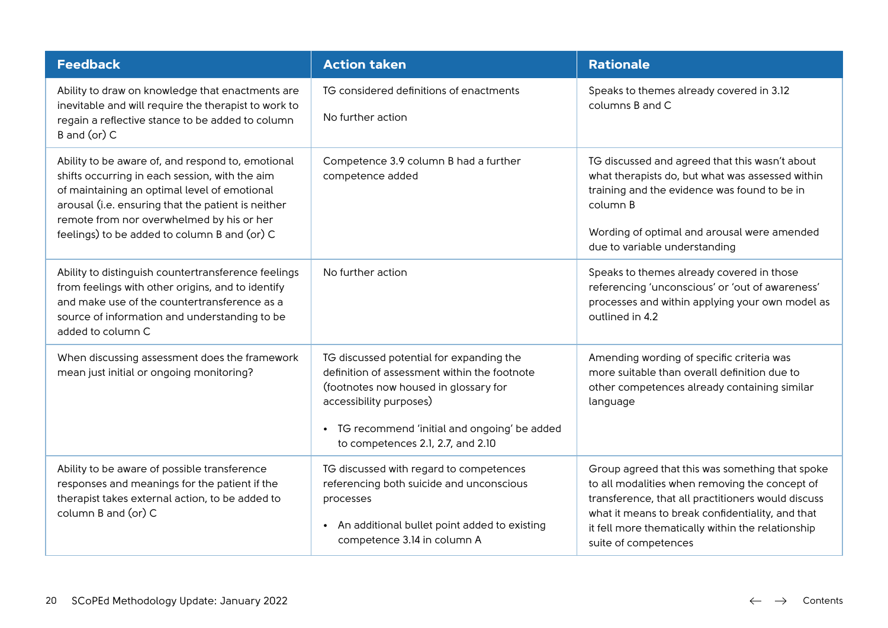| <b>Feedback</b>                                                                                                                                                                                                                                                                                        | <b>Action taken</b>                                                                                                                                                                                                                                | <b>Rationale</b>                                                                                                                                                                                                                                                                         |  |
|--------------------------------------------------------------------------------------------------------------------------------------------------------------------------------------------------------------------------------------------------------------------------------------------------------|----------------------------------------------------------------------------------------------------------------------------------------------------------------------------------------------------------------------------------------------------|------------------------------------------------------------------------------------------------------------------------------------------------------------------------------------------------------------------------------------------------------------------------------------------|--|
| Ability to draw on knowledge that enactments are<br>inevitable and will require the therapist to work to<br>regain a reflective stance to be added to column<br>B and (or) C                                                                                                                           | TG considered definitions of enactments<br>No further action                                                                                                                                                                                       | Speaks to themes already covered in 3.12<br>columns B and C                                                                                                                                                                                                                              |  |
| Ability to be aware of, and respond to, emotional<br>shifts occurring in each session, with the aim<br>of maintaining an optimal level of emotional<br>arousal (i.e. ensuring that the patient is neither<br>remote from nor overwhelmed by his or her<br>feelings) to be added to column B and (or) C | Competence 3.9 column B had a further<br>competence added                                                                                                                                                                                          | TG discussed and agreed that this wasn't about<br>what therapists do, but what was assessed within<br>training and the evidence was found to be in<br>column B<br>Wording of optimal and arousal were amended<br>due to variable understanding                                           |  |
| Ability to distinguish countertransference feelings<br>from feelings with other origins, and to identify<br>and make use of the countertransference as a<br>source of information and understanding to be<br>added to column C                                                                         | No further action                                                                                                                                                                                                                                  | Speaks to themes already covered in those<br>referencing 'unconscious' or 'out of awareness'<br>processes and within applying your own model as<br>outlined in 4.2                                                                                                                       |  |
| When discussing assessment does the framework<br>mean just initial or ongoing monitoring?                                                                                                                                                                                                              | TG discussed potential for expanding the<br>definition of assessment within the footnote<br>(footnotes now housed in glossary for<br>accessibility purposes)<br>• TG recommend 'initial and ongoing' be added<br>to competences 2.1, 2.7, and 2.10 | Amending wording of specific criteria was<br>more suitable than overall definition due to<br>other competences already containing similar<br>language                                                                                                                                    |  |
| Ability to be aware of possible transference<br>responses and meanings for the patient if the<br>therapist takes external action, to be added to<br>column B and (or) C                                                                                                                                | TG discussed with regard to competences<br>referencing both suicide and unconscious<br>processes<br>• An additional bullet point added to existing<br>competence 3.14 in column A                                                                  | Group agreed that this was something that spoke<br>to all modalities when removing the concept of<br>transference, that all practitioners would discuss<br>what it means to break confidentiality, and that<br>it fell more thematically within the relationship<br>suite of competences |  |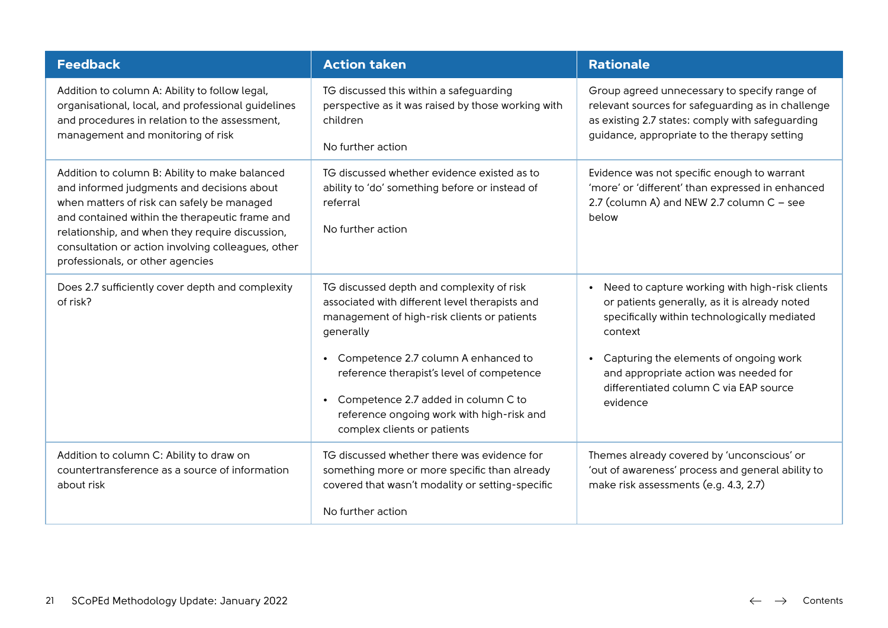| <b>Feedback</b>                                                                                                                                                                                                                                                                                                                           | <b>Action taken</b>                                                                                                                                                                                                                                                                    | <b>Rationale</b>                                                                                                                                                                                                                                                                        |
|-------------------------------------------------------------------------------------------------------------------------------------------------------------------------------------------------------------------------------------------------------------------------------------------------------------------------------------------|----------------------------------------------------------------------------------------------------------------------------------------------------------------------------------------------------------------------------------------------------------------------------------------|-----------------------------------------------------------------------------------------------------------------------------------------------------------------------------------------------------------------------------------------------------------------------------------------|
| Addition to column A: Ability to follow legal,<br>organisational, local, and professional guidelines<br>and procedures in relation to the assessment,<br>management and monitoring of risk                                                                                                                                                | TG discussed this within a safeguarding<br>perspective as it was raised by those working with<br>children<br>No further action                                                                                                                                                         | Group agreed unnecessary to specify range of<br>relevant sources for safeguarding as in challenge<br>as existing 2.7 states: comply with safeguarding<br>guidance, appropriate to the therapy setting                                                                                   |
| Addition to column B: Ability to make balanced<br>and informed judgments and decisions about<br>when matters of risk can safely be managed<br>and contained within the therapeutic frame and<br>relationship, and when they require discussion,<br>consultation or action involving colleagues, other<br>professionals, or other agencies | TG discussed whether evidence existed as to<br>ability to 'do' something before or instead of<br>referral<br>No further action                                                                                                                                                         | Evidence was not specific enough to warrant<br>'more' or 'different' than expressed in enhanced<br>2.7 (column A) and NEW 2.7 column $C$ - see<br>below                                                                                                                                 |
| Does 2.7 sufficiently cover depth and complexity<br>of risk?                                                                                                                                                                                                                                                                              | TG discussed depth and complexity of risk<br>associated with different level therapists and<br>management of high-risk clients or patients<br>generally<br>• Competence 2.7 column A enhanced to<br>reference therapist's level of competence<br>• Competence 2.7 added in column C to | Need to capture working with high-risk clients<br>or patients generally, as it is already noted<br>specifically within technologically mediated<br>context<br>Capturing the elements of ongoing work<br>and appropriate action was needed for<br>differentiated column C via EAP source |
|                                                                                                                                                                                                                                                                                                                                           | reference ongoing work with high-risk and<br>complex clients or patients                                                                                                                                                                                                               | evidence                                                                                                                                                                                                                                                                                |
| Addition to column C: Ability to draw on<br>countertransference as a source of information<br>about risk                                                                                                                                                                                                                                  | TG discussed whether there was evidence for<br>something more or more specific than already<br>covered that wasn't modality or setting-specific                                                                                                                                        | Themes already covered by 'unconscious' or<br>'out of awareness' process and general ability to<br>make risk assessments (e.g. 4.3, 2.7)                                                                                                                                                |
|                                                                                                                                                                                                                                                                                                                                           | No further action                                                                                                                                                                                                                                                                      |                                                                                                                                                                                                                                                                                         |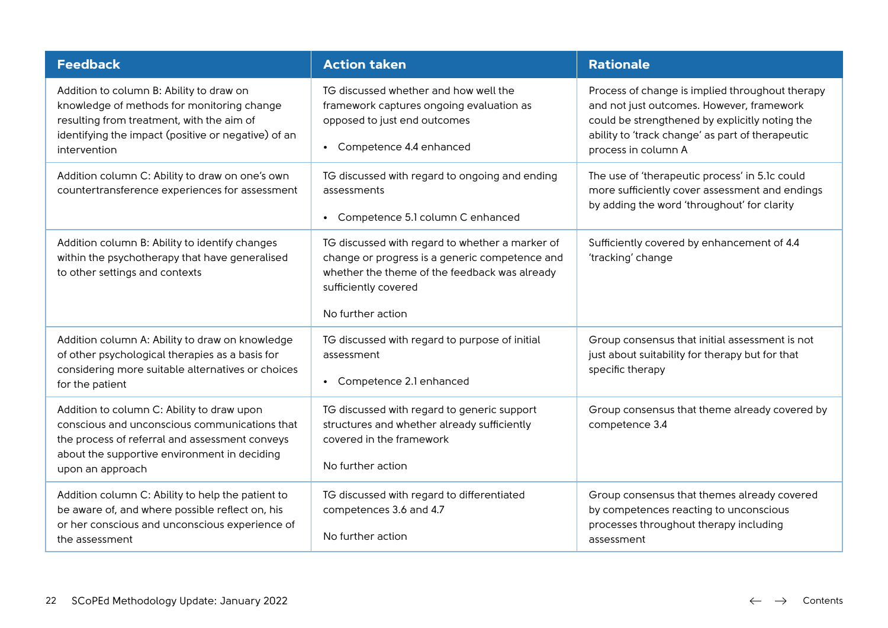| <b>Feedback</b>                                                                                                                                                                                                   | <b>Action taken</b>                                                                                                                                                                             | <b>Rationale</b>                                                                                                                                                                                                          |
|-------------------------------------------------------------------------------------------------------------------------------------------------------------------------------------------------------------------|-------------------------------------------------------------------------------------------------------------------------------------------------------------------------------------------------|---------------------------------------------------------------------------------------------------------------------------------------------------------------------------------------------------------------------------|
| Addition to column B: Ability to draw on<br>knowledge of methods for monitoring change<br>resulting from treatment, with the aim of<br>identifying the impact (positive or negative) of an<br>intervention        | TG discussed whether and how well the<br>framework captures ongoing evaluation as<br>opposed to just end outcomes<br>• Competence 4.4 enhanced                                                  | Process of change is implied throughout therapy<br>and not just outcomes. However, framework<br>could be strengthened by explicitly noting the<br>ability to 'track change' as part of therapeutic<br>process in column A |
| Addition column C: Ability to draw on one's own<br>countertransference experiences for assessment                                                                                                                 | TG discussed with regard to ongoing and ending<br>assessments<br>• Competence 5.1 column C enhanced                                                                                             | The use of 'therapeutic process' in 5.1c could<br>more sufficiently cover assessment and endings<br>by adding the word 'throughout' for clarity                                                                           |
| Addition column B: Ability to identify changes<br>within the psychotherapy that have generalised<br>to other settings and contexts                                                                                | TG discussed with regard to whether a marker of<br>change or progress is a generic competence and<br>whether the theme of the feedback was already<br>sufficiently covered<br>No further action | Sufficiently covered by enhancement of 4.4<br>'tracking' change                                                                                                                                                           |
| Addition column A: Ability to draw on knowledge<br>of other psychological therapies as a basis for<br>considering more suitable alternatives or choices<br>for the patient                                        | TG discussed with regard to purpose of initial<br>assessment<br>• Competence 2.1 enhanced                                                                                                       | Group consensus that initial assessment is not<br>just about suitability for therapy but for that<br>specific therapy                                                                                                     |
| Addition to column C: Ability to draw upon<br>conscious and unconscious communications that<br>the process of referral and assessment conveys<br>about the supportive environment in deciding<br>upon an approach | TG discussed with regard to generic support<br>structures and whether already sufficiently<br>covered in the framework<br>No further action                                                     | Group consensus that theme already covered by<br>competence 3.4                                                                                                                                                           |
| Addition column C: Ability to help the patient to<br>be aware of, and where possible reflect on, his<br>or her conscious and unconscious experience of<br>the assessment                                          | TG discussed with regard to differentiated<br>competences 3.6 and 4.7<br>No further action                                                                                                      | Group consensus that themes already covered<br>by competences reacting to unconscious<br>processes throughout therapy including<br>assessment                                                                             |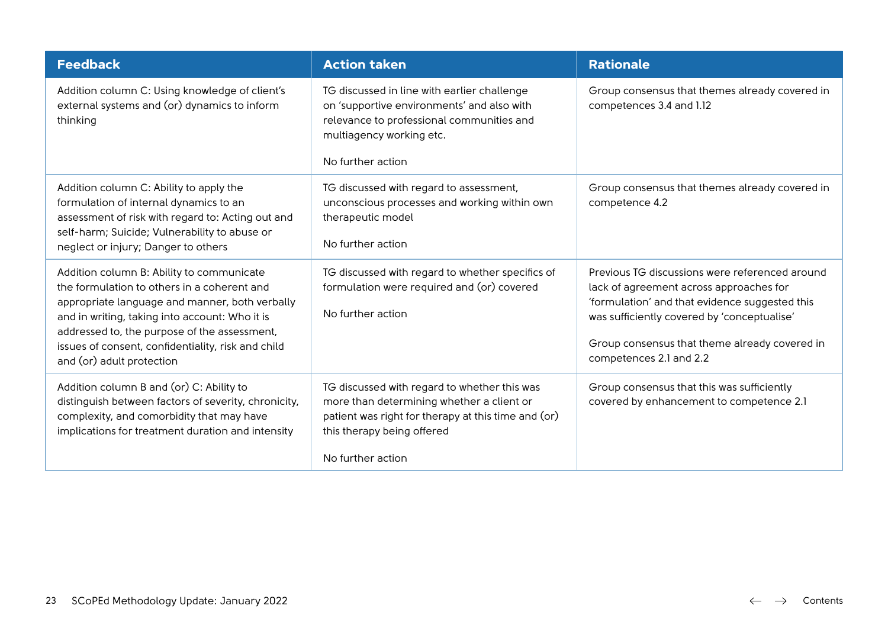| <b>Feedback</b>                                                                                                                                                                                                                                                                                                                 | <b>Action taken</b>                                                                                                                                                                                 | <b>Rationale</b>                                                                                                                                                                                                                                                       |
|---------------------------------------------------------------------------------------------------------------------------------------------------------------------------------------------------------------------------------------------------------------------------------------------------------------------------------|-----------------------------------------------------------------------------------------------------------------------------------------------------------------------------------------------------|------------------------------------------------------------------------------------------------------------------------------------------------------------------------------------------------------------------------------------------------------------------------|
| Addition column C: Using knowledge of client's<br>external systems and (or) dynamics to inform<br>thinking                                                                                                                                                                                                                      | TG discussed in line with earlier challenge<br>on 'supportive environments' and also with<br>relevance to professional communities and<br>multiagency working etc.<br>No further action             | Group consensus that themes already covered in<br>competences 3.4 and 1.12                                                                                                                                                                                             |
| Addition column C: Ability to apply the<br>formulation of internal dynamics to an<br>assessment of risk with regard to: Acting out and<br>self-harm; Suicide; Vulnerability to abuse or<br>neglect or injury; Danger to others                                                                                                  | TG discussed with regard to assessment,<br>unconscious processes and working within own<br>therapeutic model<br>No further action                                                                   | Group consensus that themes already covered in<br>competence 4.2                                                                                                                                                                                                       |
| Addition column B: Ability to communicate<br>the formulation to others in a coherent and<br>appropriate language and manner, both verbally<br>and in writing, taking into account: Who it is<br>addressed to, the purpose of the assessment,<br>issues of consent, confidentiality, risk and child<br>and (or) adult protection | TG discussed with regard to whether specifics of<br>formulation were required and (or) covered<br>No further action                                                                                 | Previous TG discussions were referenced around<br>lack of agreement across approaches for<br>'formulation' and that evidence suggested this<br>was sufficiently covered by 'conceptualise'<br>Group consensus that theme already covered in<br>competences 2.1 and 2.2 |
| Addition column B and (or) C: Ability to<br>distinguish between factors of severity, chronicity,<br>complexity, and comorbidity that may have<br>implications for treatment duration and intensity                                                                                                                              | TG discussed with regard to whether this was<br>more than determining whether a client or<br>patient was right for therapy at this time and (or)<br>this therapy being offered<br>No further action | Group consensus that this was sufficiently<br>covered by enhancement to competence 2.1                                                                                                                                                                                 |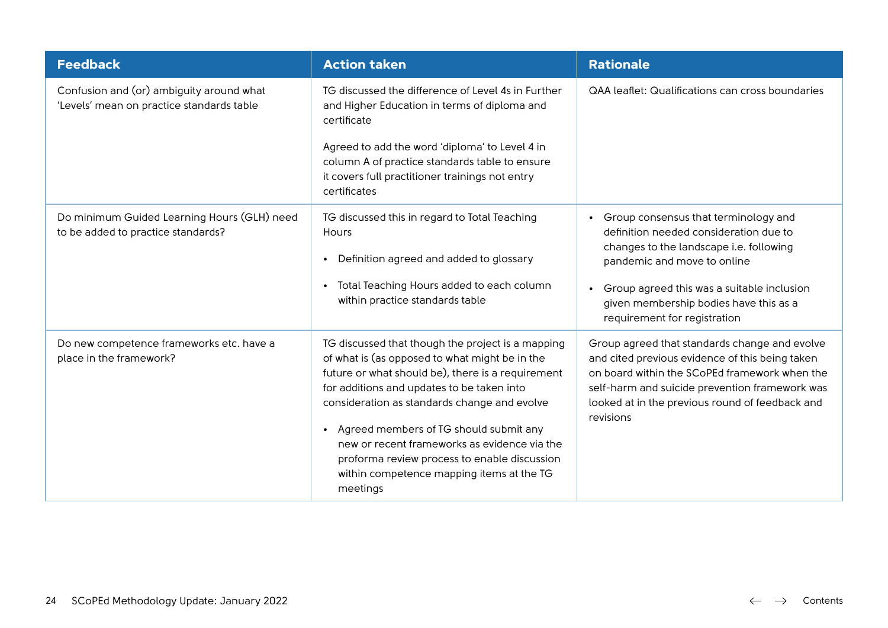| <b>Feedback</b>                                                                       | <b>Action taken</b>                                                                                                                                                                                                                                                                                                                                                                                                                                       | <b>Rationale</b>                                                                                                                                                                                                                                                    |
|---------------------------------------------------------------------------------------|-----------------------------------------------------------------------------------------------------------------------------------------------------------------------------------------------------------------------------------------------------------------------------------------------------------------------------------------------------------------------------------------------------------------------------------------------------------|---------------------------------------------------------------------------------------------------------------------------------------------------------------------------------------------------------------------------------------------------------------------|
| Confusion and (or) ambiguity around what<br>'Levels' mean on practice standards table | TG discussed the difference of Level 4s in Further<br>and Higher Education in terms of diploma and<br>certificate<br>Agreed to add the word 'diploma' to Level 4 in                                                                                                                                                                                                                                                                                       | QAA leaflet: Qualifications can cross boundaries                                                                                                                                                                                                                    |
|                                                                                       | column A of practice standards table to ensure<br>it covers full practitioner trainings not entry<br>certificates                                                                                                                                                                                                                                                                                                                                         |                                                                                                                                                                                                                                                                     |
| Do minimum Guided Learning Hours (GLH) need<br>to be added to practice standards?     | TG discussed this in regard to Total Teaching<br>Hours<br>Definition agreed and added to glossary<br>$\bullet$                                                                                                                                                                                                                                                                                                                                            | Group consensus that terminology and<br>definition needed consideration due to<br>changes to the landscape i.e. following<br>pandemic and move to online                                                                                                            |
|                                                                                       | Total Teaching Hours added to each column<br>within practice standards table                                                                                                                                                                                                                                                                                                                                                                              | Group agreed this was a suitable inclusion<br>given membership bodies have this as a<br>requirement for registration                                                                                                                                                |
| Do new competence frameworks etc. have a<br>place in the framework?                   | TG discussed that though the project is a mapping<br>of what is (as opposed to what might be in the<br>future or what should be), there is a requirement<br>for additions and updates to be taken into<br>consideration as standards change and evolve<br>Agreed members of TG should submit any<br>new or recent frameworks as evidence via the<br>proforma review process to enable discussion<br>within competence mapping items at the TG<br>meetings | Group agreed that standards change and evolve<br>and cited previous evidence of this being taken<br>on board within the SCoPEd framework when the<br>self-harm and suicide prevention framework was<br>looked at in the previous round of feedback and<br>revisions |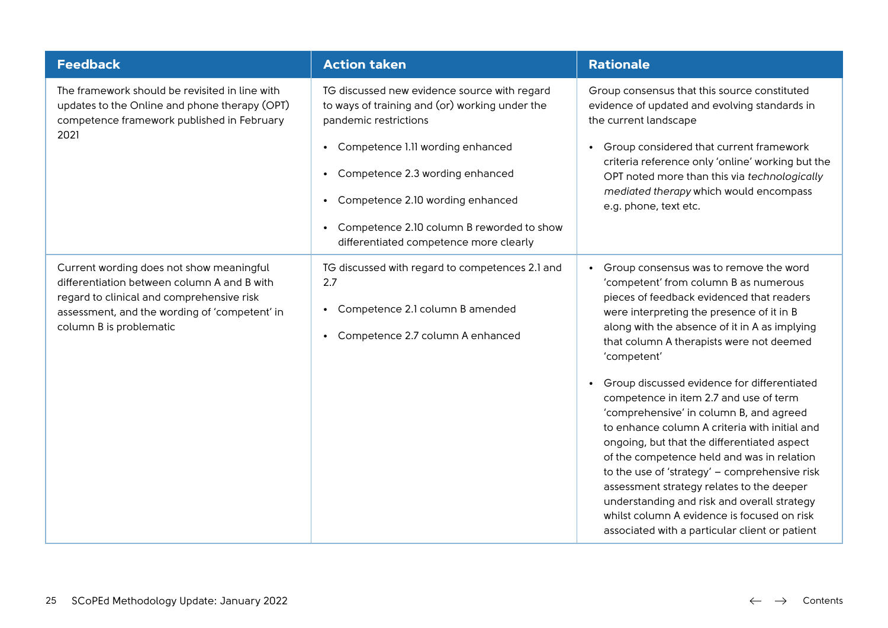| <b>Feedback</b>                                                                                                                                                                                                  | <b>Action taken</b>                                                                                                                                                                                                                                                                                                                                                           | <b>Rationale</b>                                                                                                                                                                                                                                                                                                                                                                                                                                                                                                                                                                                                                                                                                                                                                                                                                   |
|------------------------------------------------------------------------------------------------------------------------------------------------------------------------------------------------------------------|-------------------------------------------------------------------------------------------------------------------------------------------------------------------------------------------------------------------------------------------------------------------------------------------------------------------------------------------------------------------------------|------------------------------------------------------------------------------------------------------------------------------------------------------------------------------------------------------------------------------------------------------------------------------------------------------------------------------------------------------------------------------------------------------------------------------------------------------------------------------------------------------------------------------------------------------------------------------------------------------------------------------------------------------------------------------------------------------------------------------------------------------------------------------------------------------------------------------------|
| The framework should be revisited in line with<br>updates to the Online and phone therapy (OPT)<br>competence framework published in February<br>2021                                                            | TG discussed new evidence source with regard<br>to ways of training and (or) working under the<br>pandemic restrictions<br>Competence 1.11 wording enhanced<br>$\bullet$<br>Competence 2.3 wording enhanced<br>$\bullet$<br>Competence 2.10 wording enhanced<br>$\bullet$<br>Competence 2.10 column B reworded to show<br>$\bullet$<br>differentiated competence more clearly | Group consensus that this source constituted<br>evidence of updated and evolving standards in<br>the current landscape<br>Group considered that current framework<br>$\bullet$<br>criteria reference only 'online' working but the<br>OPT noted more than this via technologically<br>mediated therapy which would encompass<br>e.g. phone, text etc.                                                                                                                                                                                                                                                                                                                                                                                                                                                                              |
| Current wording does not show meaningful<br>differentiation between column A and B with<br>regard to clinical and comprehensive risk<br>assessment, and the wording of 'competent' in<br>column B is problematic | TG discussed with regard to competences 2.1 and<br>2.7<br>Competence 2.1 column B amended<br>$\bullet$<br>Competence 2.7 column A enhanced<br>$\bullet$                                                                                                                                                                                                                       | Group consensus was to remove the word<br>$\bullet$<br>'competent' from column B as numerous<br>pieces of feedback evidenced that readers<br>were interpreting the presence of it in B<br>along with the absence of it in A as implying<br>that column A therapists were not deemed<br>'competent'<br>Group discussed evidence for differentiated<br>competence in item 2.7 and use of term<br>'comprehensive' in column B, and agreed<br>to enhance column A criteria with initial and<br>ongoing, but that the differentiated aspect<br>of the competence held and was in relation<br>to the use of 'strategy' - comprehensive risk<br>assessment strategy relates to the deeper<br>understanding and risk and overall strategy<br>whilst column A evidence is focused on risk<br>associated with a particular client or patient |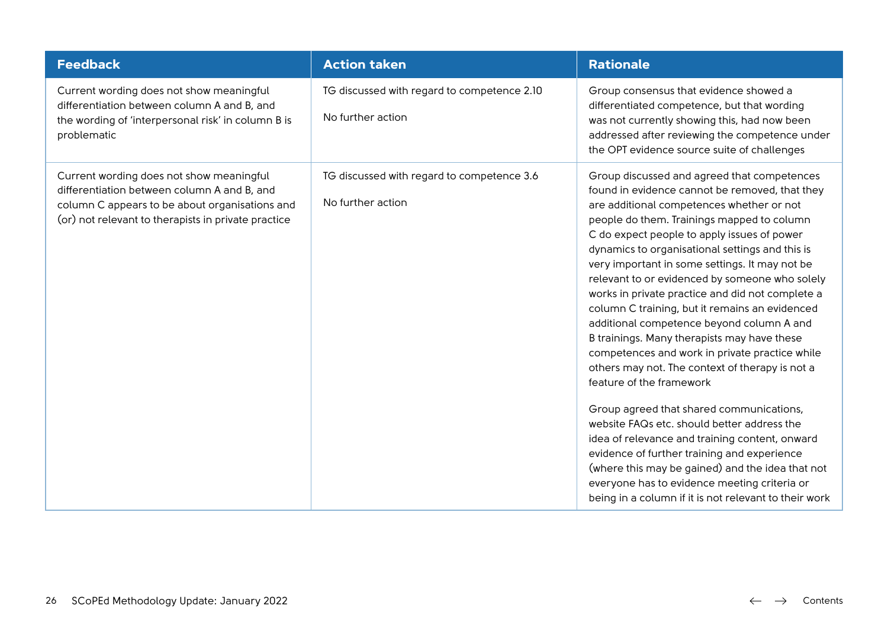| <b>Feedback</b>                                                                                                                                                                                  | <b>Action taken</b>                                              | <b>Rationale</b>                                                                                                                                                                                                                                                                                                                                                                                                                                                                                                                                                                                                                                                                                                                                                                                                                                                                                                                                                                                                                                                                           |
|--------------------------------------------------------------------------------------------------------------------------------------------------------------------------------------------------|------------------------------------------------------------------|--------------------------------------------------------------------------------------------------------------------------------------------------------------------------------------------------------------------------------------------------------------------------------------------------------------------------------------------------------------------------------------------------------------------------------------------------------------------------------------------------------------------------------------------------------------------------------------------------------------------------------------------------------------------------------------------------------------------------------------------------------------------------------------------------------------------------------------------------------------------------------------------------------------------------------------------------------------------------------------------------------------------------------------------------------------------------------------------|
| Current wording does not show meaningful<br>differentiation between column A and B, and<br>the wording of 'interpersonal risk' in column B is<br>problematic                                     | TG discussed with regard to competence 2.10<br>No further action | Group consensus that evidence showed a<br>differentiated competence, but that wording<br>was not currently showing this, had now been<br>addressed after reviewing the competence under<br>the OPT evidence source suite of challenges                                                                                                                                                                                                                                                                                                                                                                                                                                                                                                                                                                                                                                                                                                                                                                                                                                                     |
| Current wording does not show meaningful<br>differentiation between column A and B, and<br>column C appears to be about organisations and<br>(or) not relevant to therapists in private practice | TG discussed with regard to competence 3.6<br>No further action  | Group discussed and agreed that competences<br>found in evidence cannot be removed, that they<br>are additional competences whether or not<br>people do them. Trainings mapped to column<br>C do expect people to apply issues of power<br>dynamics to organisational settings and this is<br>very important in some settings. It may not be<br>relevant to or evidenced by someone who solely<br>works in private practice and did not complete a<br>column C training, but it remains an evidenced<br>additional competence beyond column A and<br>B trainings. Many therapists may have these<br>competences and work in private practice while<br>others may not. The context of therapy is not a<br>feature of the framework<br>Group agreed that shared communications,<br>website FAQs etc. should better address the<br>idea of relevance and training content, onward<br>evidence of further training and experience<br>(where this may be gained) and the idea that not<br>everyone has to evidence meeting criteria or<br>being in a column if it is not relevant to their work |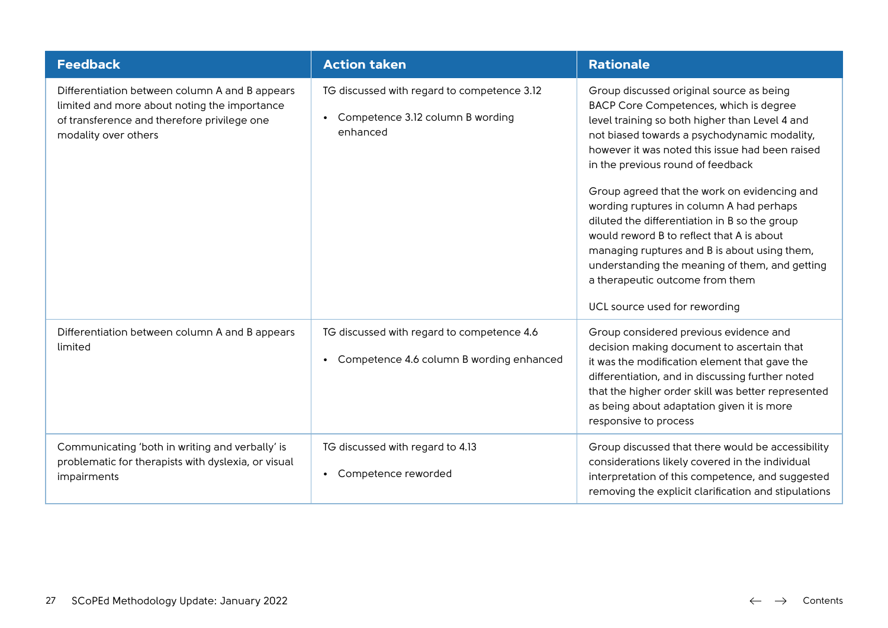| <b>Feedback</b>                                                                                                                                                       | <b>Action taken</b>                                                                                      | <b>Rationale</b>                                                                                                                                                                                                                                                                                                                                                                                                                                                                                                                                                                                                                             |
|-----------------------------------------------------------------------------------------------------------------------------------------------------------------------|----------------------------------------------------------------------------------------------------------|----------------------------------------------------------------------------------------------------------------------------------------------------------------------------------------------------------------------------------------------------------------------------------------------------------------------------------------------------------------------------------------------------------------------------------------------------------------------------------------------------------------------------------------------------------------------------------------------------------------------------------------------|
| Differentiation between column A and B appears<br>limited and more about noting the importance<br>of transference and therefore privilege one<br>modality over others | TG discussed with regard to competence 3.12<br>Competence 3.12 column B wording<br>$\bullet$<br>enhanced | Group discussed original source as being<br>BACP Core Competences, which is degree<br>level training so both higher than Level 4 and<br>not biased towards a psychodynamic modality,<br>however it was noted this issue had been raised<br>in the previous round of feedback<br>Group agreed that the work on evidencing and<br>wording ruptures in column A had perhaps<br>diluted the differentiation in B so the group<br>would reword B to reflect that A is about<br>managing ruptures and B is about using them,<br>understanding the meaning of them, and getting<br>a therapeutic outcome from them<br>UCL source used for rewording |
| Differentiation between column A and B appears<br>limited                                                                                                             | TG discussed with regard to competence 4.6<br>Competence 4.6 column B wording enhanced<br>$\bullet$      | Group considered previous evidence and<br>decision making document to ascertain that<br>it was the modification element that gave the<br>differentiation, and in discussing further noted<br>that the higher order skill was better represented<br>as being about adaptation given it is more<br>responsive to process                                                                                                                                                                                                                                                                                                                       |
| Communicating 'both in writing and verbally' is<br>problematic for therapists with dyslexia, or visual<br>impairments                                                 | TG discussed with regard to 4.13<br>Competence reworded                                                  | Group discussed that there would be accessibility<br>considerations likely covered in the individual<br>interpretation of this competence, and suggested<br>removing the explicit clarification and stipulations                                                                                                                                                                                                                                                                                                                                                                                                                             |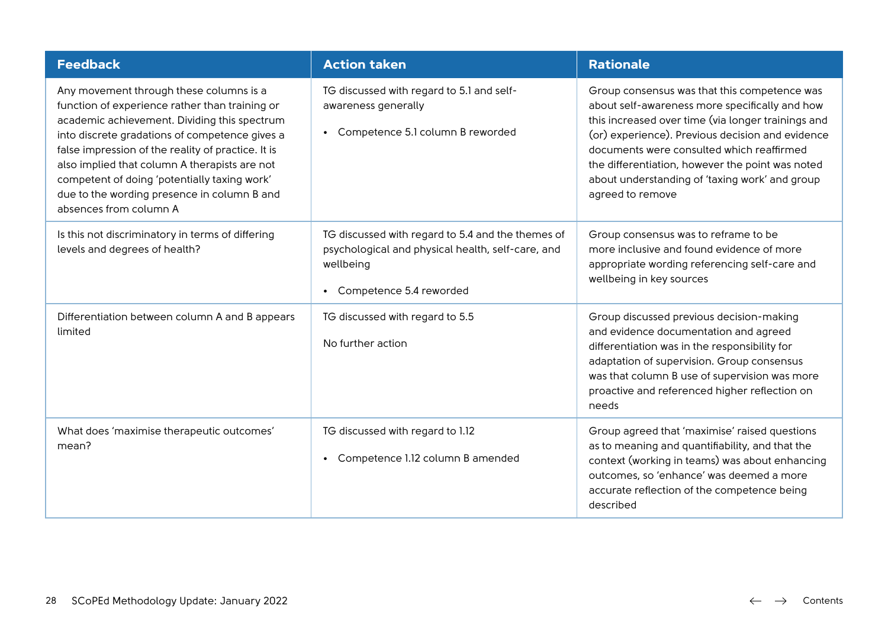| <b>Feedback</b>                                                                                                                                                                                                                                                                                                                                                                                                             | <b>Action taken</b>                                                                                                                            | <b>Rationale</b>                                                                                                                                                                                                                                                                                                                                                                |
|-----------------------------------------------------------------------------------------------------------------------------------------------------------------------------------------------------------------------------------------------------------------------------------------------------------------------------------------------------------------------------------------------------------------------------|------------------------------------------------------------------------------------------------------------------------------------------------|---------------------------------------------------------------------------------------------------------------------------------------------------------------------------------------------------------------------------------------------------------------------------------------------------------------------------------------------------------------------------------|
| Any movement through these columns is a<br>function of experience rather than training or<br>academic achievement. Dividing this spectrum<br>into discrete gradations of competence gives a<br>false impression of the reality of practice. It is<br>also implied that column A therapists are not<br>competent of doing 'potentially taxing work'<br>due to the wording presence in column B and<br>absences from column A | TG discussed with regard to 5.1 and self-<br>awareness generally<br>Competence 5.1 column B reworded<br>$\bullet$                              | Group consensus was that this competence was<br>about self-awareness more specifically and how<br>this increased over time (via longer trainings and<br>(or) experience). Previous decision and evidence<br>documents were consulted which reaffirmed<br>the differentiation, however the point was noted<br>about understanding of 'taxing work' and group<br>agreed to remove |
| Is this not discriminatory in terms of differing<br>levels and degrees of health?                                                                                                                                                                                                                                                                                                                                           | TG discussed with regard to 5.4 and the themes of<br>psychological and physical health, self-care, and<br>wellbeing<br>Competence 5.4 reworded | Group consensus was to reframe to be<br>more inclusive and found evidence of more<br>appropriate wording referencing self-care and<br>wellbeing in key sources                                                                                                                                                                                                                  |
| Differentiation between column A and B appears<br>limited                                                                                                                                                                                                                                                                                                                                                                   | TG discussed with regard to 5.5<br>No further action                                                                                           | Group discussed previous decision-making<br>and evidence documentation and agreed<br>differentiation was in the responsibility for<br>adaptation of supervision. Group consensus<br>was that column B use of supervision was more<br>proactive and referenced higher reflection on<br>needs                                                                                     |
| What does 'maximise therapeutic outcomes'<br>mean?                                                                                                                                                                                                                                                                                                                                                                          | TG discussed with regard to 1.12<br>Competence 1.12 column B amended                                                                           | Group agreed that 'maximise' raised questions<br>as to meaning and quantifiability, and that the<br>context (working in teams) was about enhancing<br>outcomes, so 'enhance' was deemed a more<br>accurate reflection of the competence being<br>described                                                                                                                      |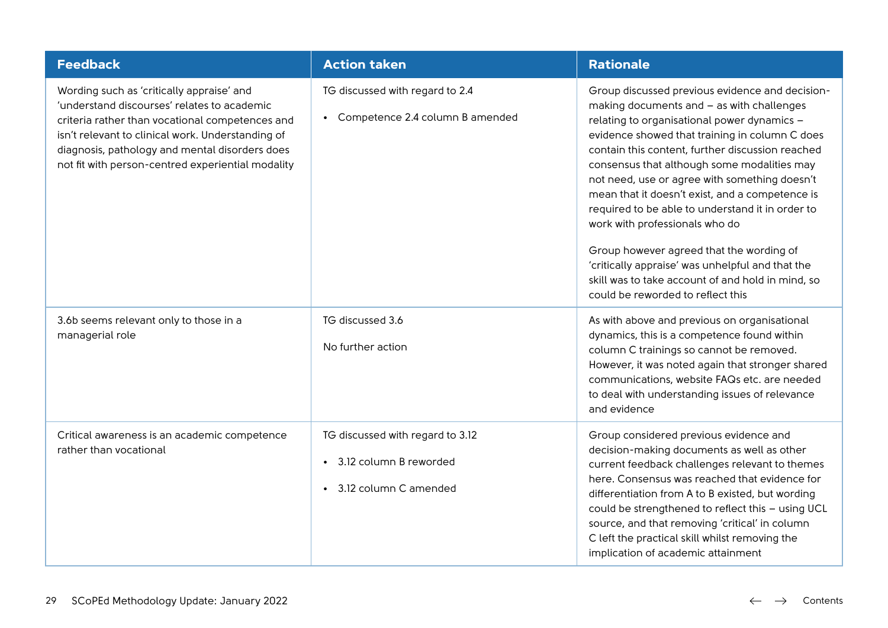| <b>Feedback</b>                                                                                                                                                                                                                                                                                         | <b>Action taken</b>                                                                              | <b>Rationale</b>                                                                                                                                                                                                                                                                                                                                                                                                                                                                                                                                                                                                                                                                     |
|---------------------------------------------------------------------------------------------------------------------------------------------------------------------------------------------------------------------------------------------------------------------------------------------------------|--------------------------------------------------------------------------------------------------|--------------------------------------------------------------------------------------------------------------------------------------------------------------------------------------------------------------------------------------------------------------------------------------------------------------------------------------------------------------------------------------------------------------------------------------------------------------------------------------------------------------------------------------------------------------------------------------------------------------------------------------------------------------------------------------|
| Wording such as 'critically appraise' and<br>'understand discourses' relates to academic<br>criteria rather than vocational competences and<br>isn't relevant to clinical work. Understanding of<br>diagnosis, pathology and mental disorders does<br>not fit with person-centred experiential modality | TG discussed with regard to 2.4<br>Competence 2.4 column B amended                               | Group discussed previous evidence and decision-<br>making documents and - as with challenges<br>relating to organisational power dynamics -<br>evidence showed that training in column C does<br>contain this content, further discussion reached<br>consensus that although some modalities may<br>not need, use or agree with something doesn't<br>mean that it doesn't exist, and a competence is<br>required to be able to understand it in order to<br>work with professionals who do<br>Group however agreed that the wording of<br>'critically appraise' was unhelpful and that the<br>skill was to take account of and hold in mind, so<br>could be reworded to reflect this |
| 3.6b seems relevant only to those in a<br>managerial role                                                                                                                                                                                                                                               | TG discussed 3.6<br>No further action                                                            | As with above and previous on organisational<br>dynamics, this is a competence found within<br>column C trainings so cannot be removed.<br>However, it was noted again that stronger shared<br>communications, website FAQs etc. are needed<br>to deal with understanding issues of relevance<br>and evidence                                                                                                                                                                                                                                                                                                                                                                        |
| Critical awareness is an academic competence<br>rather than vocational                                                                                                                                                                                                                                  | TG discussed with regard to 3.12<br>3.12 column B reworded<br>$\bullet$<br>3.12 column C amended | Group considered previous evidence and<br>decision-making documents as well as other<br>current feedback challenges relevant to themes<br>here. Consensus was reached that evidence for<br>differentiation from A to B existed, but wording<br>could be strengthened to reflect this - using UCL<br>source, and that removing 'critical' in column<br>C left the practical skill whilst removing the<br>implication of academic attainment                                                                                                                                                                                                                                           |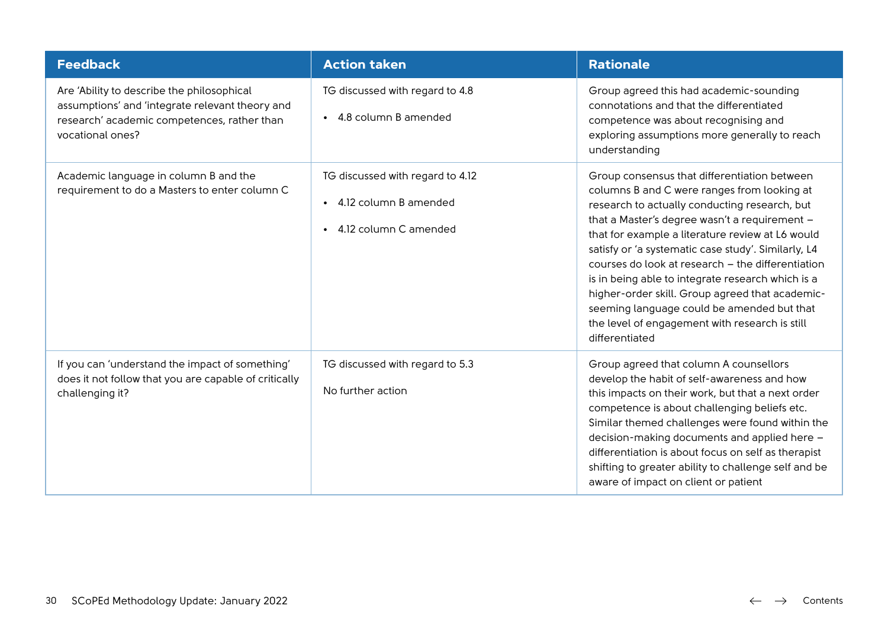| <b>Feedback</b>                                                                                                                                                  | <b>Action taken</b>                                                                                          | <b>Rationale</b>                                                                                                                                                                                                                                                                                                                                                                                                                                                                                                                                                                        |
|------------------------------------------------------------------------------------------------------------------------------------------------------------------|--------------------------------------------------------------------------------------------------------------|-----------------------------------------------------------------------------------------------------------------------------------------------------------------------------------------------------------------------------------------------------------------------------------------------------------------------------------------------------------------------------------------------------------------------------------------------------------------------------------------------------------------------------------------------------------------------------------------|
| Are 'Ability to describe the philosophical<br>assumptions' and 'integrate relevant theory and<br>research' academic competences, rather than<br>vocational ones? | TG discussed with regard to 4.8<br>4.8 column B amended<br>$\bullet$                                         | Group agreed this had academic-sounding<br>connotations and that the differentiated<br>competence was about recognising and<br>exploring assumptions more generally to reach<br>understanding                                                                                                                                                                                                                                                                                                                                                                                           |
| Academic language in column B and the<br>requirement to do a Masters to enter column C                                                                           | TG discussed with regard to 4.12<br>4.12 column B amended<br>$\bullet$<br>4.12 column C amended<br>$\bullet$ | Group consensus that differentiation between<br>columns B and C were ranges from looking at<br>research to actually conducting research, but<br>that a Master's degree wasn't a requirement -<br>that for example a literature review at L6 would<br>satisfy or 'a systematic case study'. Similarly, L4<br>courses do look at research - the differentiation<br>is in being able to integrate research which is a<br>higher-order skill. Group agreed that academic-<br>seeming language could be amended but that<br>the level of engagement with research is still<br>differentiated |
| If you can 'understand the impact of something'<br>does it not follow that you are capable of critically<br>challenging it?                                      | TG discussed with regard to 5.3<br>No further action                                                         | Group agreed that column A counsellors<br>develop the habit of self-awareness and how<br>this impacts on their work, but that a next order<br>competence is about challenging beliefs etc.<br>Similar themed challenges were found within the<br>decision-making documents and applied here -<br>differentiation is about focus on self as therapist<br>shifting to greater ability to challenge self and be<br>aware of impact on client or patient                                                                                                                                    |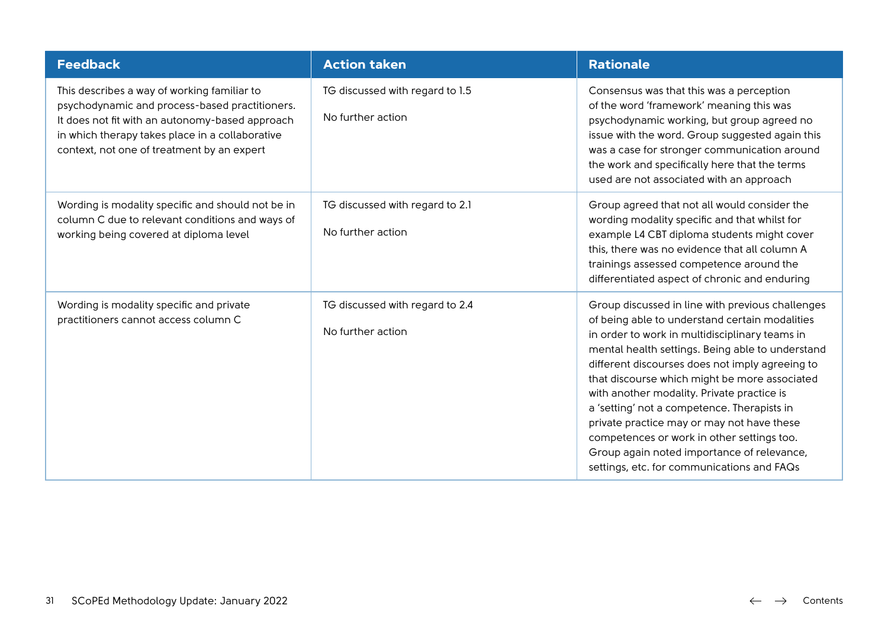| <b>Feedback</b>                                                                                                                                                                                                                                   | <b>Action taken</b>                                  | <b>Rationale</b>                                                                                                                                                                                                                                                                                                                                                                                                                                                                                                                                                                                  |
|---------------------------------------------------------------------------------------------------------------------------------------------------------------------------------------------------------------------------------------------------|------------------------------------------------------|---------------------------------------------------------------------------------------------------------------------------------------------------------------------------------------------------------------------------------------------------------------------------------------------------------------------------------------------------------------------------------------------------------------------------------------------------------------------------------------------------------------------------------------------------------------------------------------------------|
| This describes a way of working familiar to<br>psychodynamic and process-based practitioners.<br>It does not fit with an autonomy-based approach<br>in which therapy takes place in a collaborative<br>context, not one of treatment by an expert | TG discussed with regard to 1.5<br>No further action | Consensus was that this was a perception<br>of the word 'framework' meaning this was<br>psychodynamic working, but group agreed no<br>issue with the word. Group suggested again this<br>was a case for stronger communication around<br>the work and specifically here that the terms<br>used are not associated with an approach                                                                                                                                                                                                                                                                |
| Wording is modality specific and should not be in<br>column C due to relevant conditions and ways of<br>working being covered at diploma level                                                                                                    | TG discussed with regard to 2.1<br>No further action | Group agreed that not all would consider the<br>wording modality specific and that whilst for<br>example L4 CBT diploma students might cover<br>this, there was no evidence that all column A<br>trainings assessed competence around the<br>differentiated aspect of chronic and enduring                                                                                                                                                                                                                                                                                                        |
| Wording is modality specific and private<br>practitioners cannot access column C                                                                                                                                                                  | TG discussed with regard to 2.4<br>No further action | Group discussed in line with previous challenges<br>of being able to understand certain modalities<br>in order to work in multidisciplinary teams in<br>mental health settings. Being able to understand<br>different discourses does not imply agreeing to<br>that discourse which might be more associated<br>with another modality. Private practice is<br>a 'setting' not a competence. Therapists in<br>private practice may or may not have these<br>competences or work in other settings too.<br>Group again noted importance of relevance,<br>settings, etc. for communications and FAQs |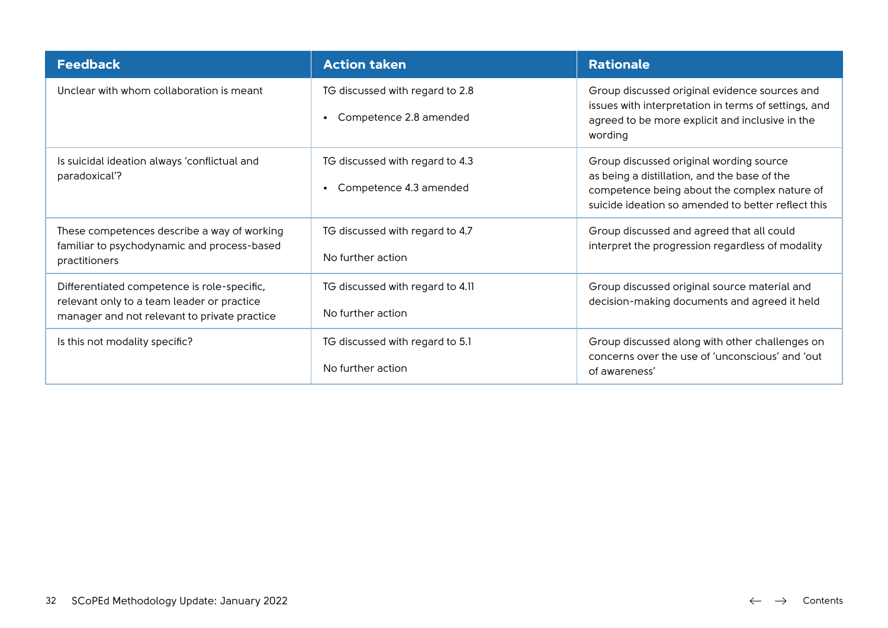| <b>Feedback</b>                                                                                                                           | <b>Action taken</b>                                       | <b>Rationale</b>                                                                                                                                                                              |
|-------------------------------------------------------------------------------------------------------------------------------------------|-----------------------------------------------------------|-----------------------------------------------------------------------------------------------------------------------------------------------------------------------------------------------|
| Unclear with whom collaboration is meant                                                                                                  | TG discussed with regard to 2.8<br>Competence 2.8 amended | Group discussed original evidence sources and<br>issues with interpretation in terms of settings, and<br>agreed to be more explicit and inclusive in the<br>wording                           |
| Is suicidal ideation always 'conflictual and<br>paradoxical'?                                                                             | TG discussed with regard to 4.3<br>Competence 4.3 amended | Group discussed original wording source<br>as being a distillation, and the base of the<br>competence being about the complex nature of<br>suicide ideation so amended to better reflect this |
| These competences describe a way of working<br>familiar to psychodynamic and process-based<br>practitioners                               | TG discussed with regard to 4.7<br>No further action      | Group discussed and agreed that all could<br>interpret the progression regardless of modality                                                                                                 |
| Differentiated competence is role-specific,<br>relevant only to a team leader or practice<br>manager and not relevant to private practice | TG discussed with regard to 4.11<br>No further action     | Group discussed original source material and<br>decision-making documents and agreed it held                                                                                                  |
| Is this not modality specific?                                                                                                            | TG discussed with regard to 5.1<br>No further action      | Group discussed along with other challenges on<br>concerns over the use of 'unconscious' and 'out<br>of awareness'                                                                            |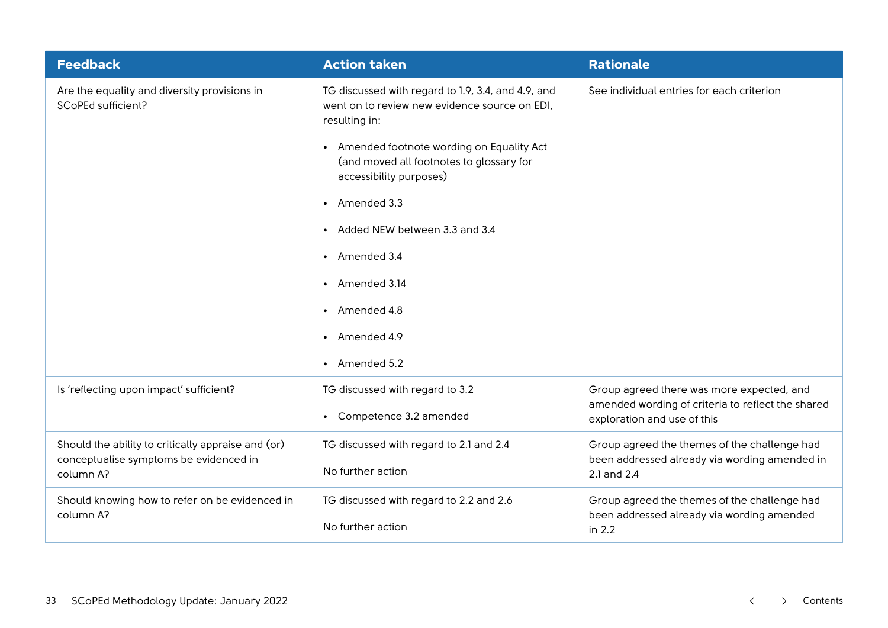| <b>Feedback</b>                                                    | <b>Action taken</b>                                                                                                  | <b>Rationale</b>                                                                 |
|--------------------------------------------------------------------|----------------------------------------------------------------------------------------------------------------------|----------------------------------------------------------------------------------|
| Are the equality and diversity provisions in<br>SCoPEd sufficient? | TG discussed with regard to 1.9, 3.4, and 4.9, and<br>went on to review new evidence source on EDI,<br>resulting in: | See individual entries for each criterion                                        |
|                                                                    | • Amended footnote wording on Equality Act<br>(and moved all footnotes to glossary for<br>accessibility purposes)    |                                                                                  |
|                                                                    | • Amended 3.3                                                                                                        |                                                                                  |
|                                                                    | Added NEW between 3.3 and 3.4<br>$\bullet$                                                                           |                                                                                  |
|                                                                    | • Amended 3.4                                                                                                        |                                                                                  |
|                                                                    | • Amended 3.14                                                                                                       |                                                                                  |
|                                                                    | • Amended 4.8                                                                                                        |                                                                                  |
|                                                                    | Amended 4.9<br>$\bullet$                                                                                             |                                                                                  |
|                                                                    | • Amended 5.2                                                                                                        |                                                                                  |
| Is 'reflecting upon impact' sufficient?                            | TG discussed with regard to 3.2                                                                                      | Group agreed there was more expected, and                                        |
|                                                                    | Competence 3.2 amended<br>$\bullet$                                                                                  | amended wording of criteria to reflect the shared<br>exploration and use of this |
| Should the ability to critically appraise and (or)                 | TG discussed with regard to 2.1 and 2.4                                                                              | Group agreed the themes of the challenge had                                     |
| conceptualise symptoms be evidenced in<br>column A?                | No further action                                                                                                    | been addressed already via wording amended in<br>2.1 and 2.4                     |
| Should knowing how to refer on be evidenced in                     | TG discussed with regard to 2.2 and 2.6                                                                              | Group agreed the themes of the challenge had                                     |
| column A?                                                          | No further action                                                                                                    | been addressed already via wording amended<br>in 2.2                             |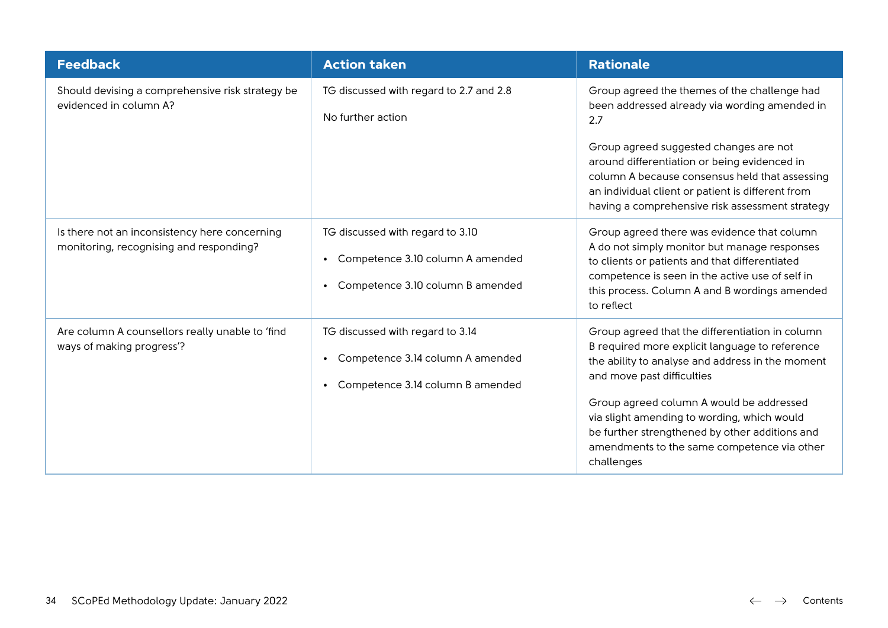| <b>Feedback</b>                                                                          | <b>Action taken</b>                                                                                                                | <b>Rationale</b>                                                                                                                                                                                                                                                                                                                                                                              |
|------------------------------------------------------------------------------------------|------------------------------------------------------------------------------------------------------------------------------------|-----------------------------------------------------------------------------------------------------------------------------------------------------------------------------------------------------------------------------------------------------------------------------------------------------------------------------------------------------------------------------------------------|
| Should devising a comprehensive risk strategy be<br>evidenced in column A?               | TG discussed with regard to 2.7 and 2.8<br>No further action                                                                       | Group agreed the themes of the challenge had<br>been addressed already via wording amended in<br>2.7<br>Group agreed suggested changes are not<br>around differentiation or being evidenced in<br>column A because consensus held that assessing<br>an individual client or patient is different from<br>having a comprehensive risk assessment strategy                                      |
| Is there not an inconsistency here concerning<br>monitoring, recognising and responding? | TG discussed with regard to 3.10<br>Competence 3.10 column A amended<br>$\bullet$<br>Competence 3.10 column B amended<br>$\bullet$ | Group agreed there was evidence that column<br>A do not simply monitor but manage responses<br>to clients or patients and that differentiated<br>competence is seen in the active use of self in<br>this process. Column A and B wordings amended<br>to reflect                                                                                                                               |
| Are column A counsellors really unable to 'find<br>ways of making progress'?             | TG discussed with regard to 3.14<br>Competence 3.14 column A amended<br>٠<br>Competence 3.14 column B amended<br>$\bullet$         | Group agreed that the differentiation in column<br>B required more explicit language to reference<br>the ability to analyse and address in the moment<br>and move past difficulties<br>Group agreed column A would be addressed<br>via slight amending to wording, which would<br>be further strengthened by other additions and<br>amendments to the same competence via other<br>challenges |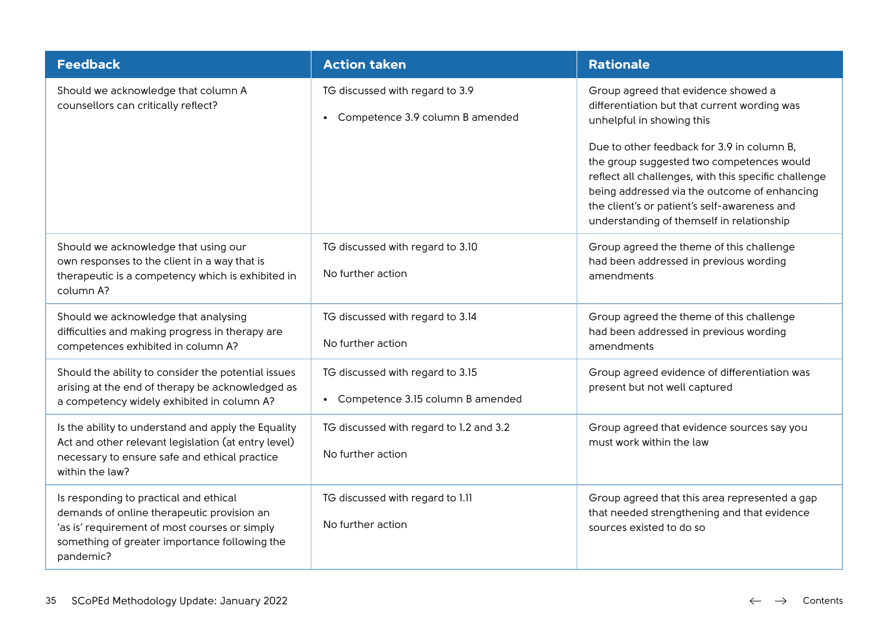| <b>Feedback</b>                                                                                                                                                                                     | <b>Action taken</b>                                                               | <b>Rationale</b>                                                                                                                                                                                                                                                                                                                                                                                                 |
|-----------------------------------------------------------------------------------------------------------------------------------------------------------------------------------------------------|-----------------------------------------------------------------------------------|------------------------------------------------------------------------------------------------------------------------------------------------------------------------------------------------------------------------------------------------------------------------------------------------------------------------------------------------------------------------------------------------------------------|
| Should we acknowledge that column A<br>counsellors can critically reflect?                                                                                                                          | TG discussed with regard to 3.9<br>Competence 3.9 column B amended                | Group agreed that evidence showed a<br>differentiation but that current wording was<br>unhelpful in showing this<br>Due to other feedback for 3.9 in column B,<br>the group suggested two competences would<br>reflect all challenges, with this specific challenge<br>being addressed via the outcome of enhancing<br>the client's or patient's self-awareness and<br>understanding of themself in relationship |
| Should we acknowledge that using our<br>own responses to the client in a way that is<br>therapeutic is a competency which is exhibited in<br>column A?                                              | TG discussed with regard to 3.10<br>No further action                             | Group agreed the theme of this challenge<br>had been addressed in previous wording<br>amendments                                                                                                                                                                                                                                                                                                                 |
| Should we acknowledge that analysing<br>difficulties and making progress in therapy are<br>competences exhibited in column A?                                                                       | TG discussed with regard to 3.14<br>No further action                             | Group agreed the theme of this challenge<br>had been addressed in previous wording<br>amendments                                                                                                                                                                                                                                                                                                                 |
| Should the ability to consider the potential issues<br>arising at the end of therapy be acknowledged as<br>a competency widely exhibited in column A?                                               | TG discussed with regard to 3.15<br>Competence 3.15 column B amended<br>$\bullet$ | Group agreed evidence of differentiation was<br>present but not well captured                                                                                                                                                                                                                                                                                                                                    |
| Is the ability to understand and apply the Equality<br>Act and other relevant legislation (at entry level)<br>necessary to ensure safe and ethical practice<br>within the law?                      | TG discussed with regard to 1.2 and 3.2<br>No further action                      | Group agreed that evidence sources say you<br>must work within the law                                                                                                                                                                                                                                                                                                                                           |
| Is responding to practical and ethical<br>demands of online therapeutic provision an<br>'as is' requirement of most courses or simply<br>something of greater importance following the<br>pandemic? | TG discussed with regard to 1.11<br>No further action                             | Group agreed that this area represented a gap<br>that needed strengthening and that evidence<br>sources existed to do so                                                                                                                                                                                                                                                                                         |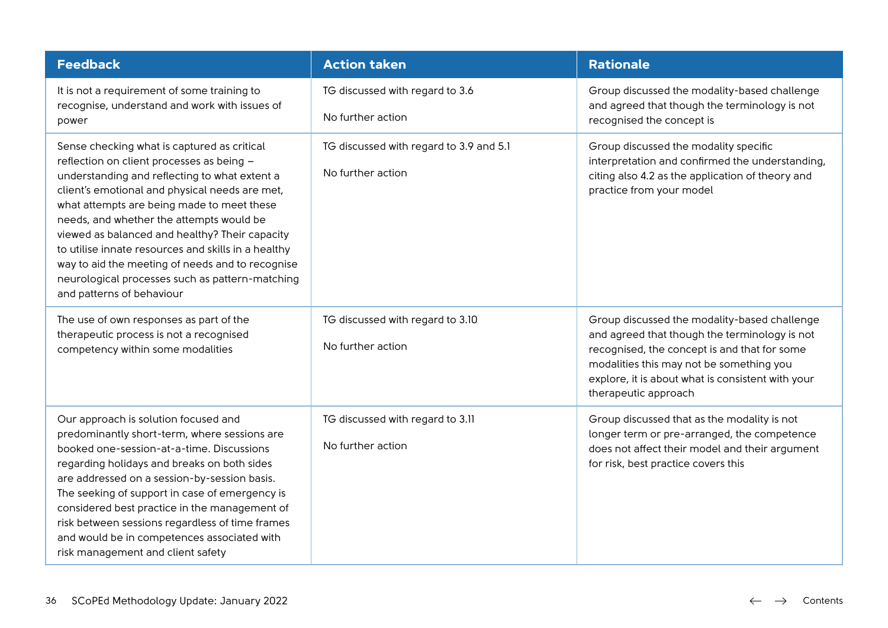| <b>Feedback</b>                                                                                                                                                                                                                                                                                                                                                                                                                                                                                                                    | <b>Action taken</b>                                          | <b>Rationale</b>                                                                                                                                                                                                                                                       |
|------------------------------------------------------------------------------------------------------------------------------------------------------------------------------------------------------------------------------------------------------------------------------------------------------------------------------------------------------------------------------------------------------------------------------------------------------------------------------------------------------------------------------------|--------------------------------------------------------------|------------------------------------------------------------------------------------------------------------------------------------------------------------------------------------------------------------------------------------------------------------------------|
| It is not a requirement of some training to<br>recognise, understand and work with issues of<br>power                                                                                                                                                                                                                                                                                                                                                                                                                              | TG discussed with regard to 3.6<br>No further action         | Group discussed the modality-based challenge<br>and agreed that though the terminology is not<br>recognised the concept is                                                                                                                                             |
| Sense checking what is captured as critical<br>reflection on client processes as being -<br>understanding and reflecting to what extent a<br>client's emotional and physical needs are met,<br>what attempts are being made to meet these<br>needs, and whether the attempts would be<br>viewed as balanced and healthy? Their capacity<br>to utilise innate resources and skills in a healthy<br>way to aid the meeting of needs and to recognise<br>neurological processes such as pattern-matching<br>and patterns of behaviour | TG discussed with regard to 3.9 and 5.1<br>No further action | Group discussed the modality specific<br>interpretation and confirmed the understanding,<br>citing also 4.2 as the application of theory and<br>practice from your model                                                                                               |
| The use of own responses as part of the<br>therapeutic process is not a recognised<br>competency within some modalities                                                                                                                                                                                                                                                                                                                                                                                                            | TG discussed with regard to 3.10<br>No further action        | Group discussed the modality-based challenge<br>and agreed that though the terminology is not<br>recognised, the concept is and that for some<br>modalities this may not be something you<br>explore, it is about what is consistent with your<br>therapeutic approach |
| Our approach is solution focused and<br>predominantly short-term, where sessions are<br>booked one-session-at-a-time. Discussions<br>regarding holidays and breaks on both sides<br>are addressed on a session-by-session basis.<br>The seeking of support in case of emergency is<br>considered best practice in the management of<br>risk between sessions regardless of time frames<br>and would be in competences associated with<br>risk management and client safety                                                         | TG discussed with regard to 3.11<br>No further action        | Group discussed that as the modality is not<br>longer term or pre-arranged, the competence<br>does not affect their model and their argument<br>for risk, best practice covers this                                                                                    |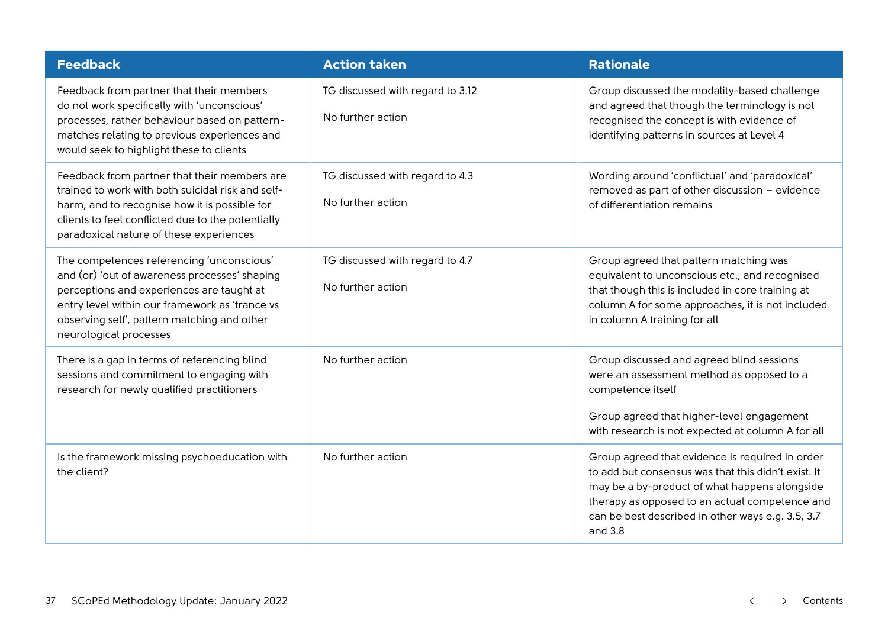| <b>Feedback</b>                                                                                                                                                                                                                                                    | <b>Action taken</b>                                   | <b>Rationale</b>                                                                                                                                                                                                                                                          |
|--------------------------------------------------------------------------------------------------------------------------------------------------------------------------------------------------------------------------------------------------------------------|-------------------------------------------------------|---------------------------------------------------------------------------------------------------------------------------------------------------------------------------------------------------------------------------------------------------------------------------|
| Feedback from partner that their members<br>do not work specifically with 'unconscious'<br>processes, rather behaviour based on pattern-<br>matches relating to previous experiences and<br>would seek to highlight these to clients                               | TG discussed with regard to 3.12<br>No further action | Group discussed the modality-based challenge<br>and agreed that though the terminology is not<br>recognised the concept is with evidence of<br>identifying patterns in sources at Level 4                                                                                 |
| Feedback from partner that their members are<br>trained to work with both suicidal risk and self-<br>harm, and to recognise how it is possible for<br>clients to feel conflicted due to the potentially<br>paradoxical nature of these experiences                 | TG discussed with regard to 4.3<br>No further action  | Wording around 'conflictual' and 'paradoxical'<br>removed as part of other discussion - evidence<br>of differentiation remains                                                                                                                                            |
| The competences referencing 'unconscious'<br>and (or) 'out of awareness processes' shaping<br>perceptions and experiences are taught at<br>entry level within our framework as 'trance vs<br>observing self', pattern matching and other<br>neurological processes | TG discussed with regard to 4.7<br>No further action  | Group agreed that pattern matching was<br>equivalent to unconscious etc., and recognised<br>that though this is included in core training at<br>column A for some approaches, it is not included<br>in column A training for all                                          |
| There is a gap in terms of referencing blind<br>sessions and commitment to engaging with<br>research for newly qualified practitioners                                                                                                                             | No further action                                     | Group discussed and agreed blind sessions<br>were an assessment method as opposed to a<br>competence itself<br>Group agreed that higher-level engagement<br>with research is not expected at column A for all                                                             |
| Is the framework missing psychoeducation with<br>the client?                                                                                                                                                                                                       | No further action                                     | Group agreed that evidence is required in order<br>to add but consensus was that this didn't exist. It<br>may be a by-product of what happens alongside<br>therapy as opposed to an actual competence and<br>can be best described in other ways e.g. 3.5, 3.7<br>and 3.8 |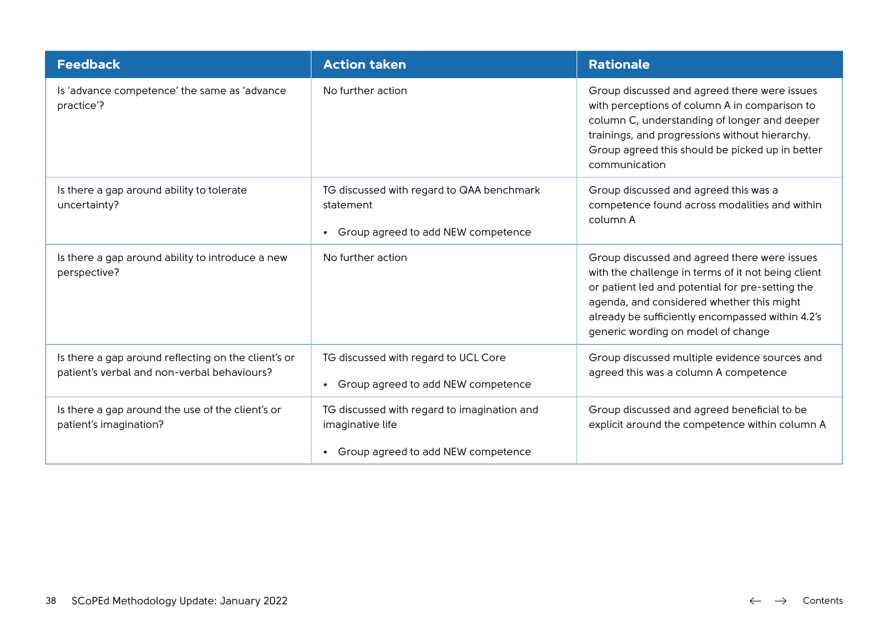| <b>Feedback</b>                                                                                    | <b>Action taken</b>                                                                                       | <b>Rationale</b>                                                                                                                                                                                                                                                                              |
|----------------------------------------------------------------------------------------------------|-----------------------------------------------------------------------------------------------------------|-----------------------------------------------------------------------------------------------------------------------------------------------------------------------------------------------------------------------------------------------------------------------------------------------|
| Is 'advance competence' the same as 'advance<br>practice'?                                         | No further action                                                                                         | Group discussed and agreed there were issues<br>with perceptions of column A in comparison to<br>column C, understanding of longer and deeper<br>trainings, and progressions without hierarchy.<br>Group agreed this should be picked up in better<br>communication                           |
| Is there a gap around ability to tolerate<br>uncertainty?                                          | TG discussed with regard to QAA benchmark<br>statement<br>Group agreed to add NEW competence<br>$\bullet$ | Group discussed and agreed this was a<br>competence found across modalities and within<br>column A                                                                                                                                                                                            |
| Is there a gap around ability to introduce a new<br>perspective?                                   | No further action                                                                                         | Group discussed and agreed there were issues<br>with the challenge in terms of it not being client<br>or patient led and potential for pre-setting the<br>agenda, and considered whether this might<br>already be sufficiently encompassed within 4.2's<br>generic wording on model of change |
| Is there a gap around reflecting on the client's or<br>patient's verbal and non-verbal behaviours? | TG discussed with regard to UCL Core<br>Group agreed to add NEW competence                                | Group discussed multiple evidence sources and<br>agreed this was a column A competence                                                                                                                                                                                                        |
| Is there a gap around the use of the client's or<br>patient's imagination?                         | TG discussed with regard to imagination and<br>imaginative life<br>Group agreed to add NEW competence     | Group discussed and agreed beneficial to be<br>explicit around the competence within column A                                                                                                                                                                                                 |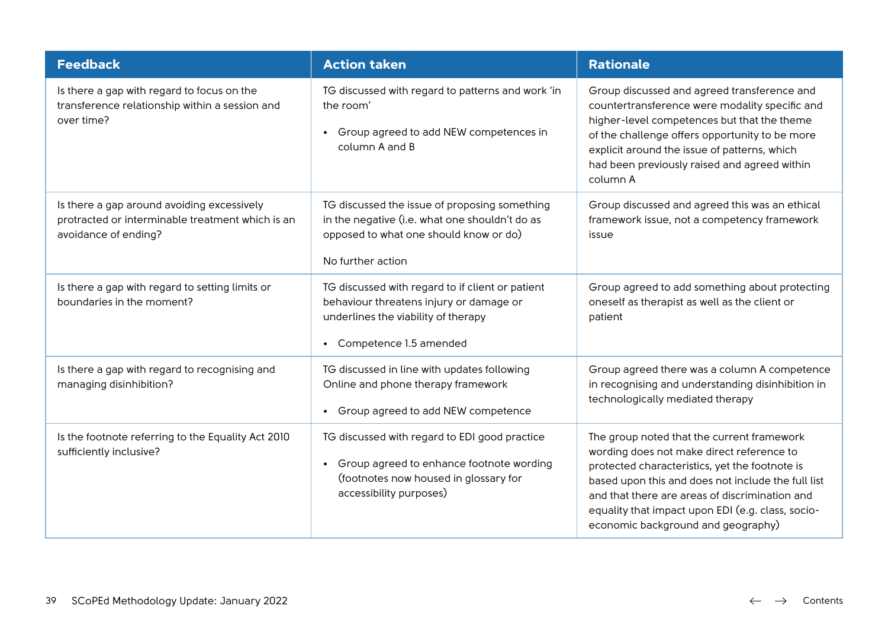| <b>Feedback</b>                                                                                                        | <b>Action taken</b>                                                                                                                                                        | <b>Rationale</b>                                                                                                                                                                                                                                                                                                                             |
|------------------------------------------------------------------------------------------------------------------------|----------------------------------------------------------------------------------------------------------------------------------------------------------------------------|----------------------------------------------------------------------------------------------------------------------------------------------------------------------------------------------------------------------------------------------------------------------------------------------------------------------------------------------|
| Is there a gap with regard to focus on the<br>transference relationship within a session and<br>over time?             | TG discussed with regard to patterns and work 'in<br>the room'<br>Group agreed to add NEW competences in<br>$\bullet$<br>column A and B                                    | Group discussed and agreed transference and<br>countertransference were modality specific and<br>higher-level competences but that the theme<br>of the challenge offers opportunity to be more<br>explicit around the issue of patterns, which<br>had been previously raised and agreed within<br>column A                                   |
| Is there a gap around avoiding excessively<br>protracted or interminable treatment which is an<br>avoidance of ending? | TG discussed the issue of proposing something<br>in the negative (i.e. what one shouldn't do as<br>opposed to what one should know or do)<br>No further action             | Group discussed and agreed this was an ethical<br>framework issue, not a competency framework<br>issue                                                                                                                                                                                                                                       |
| Is there a gap with regard to setting limits or<br>boundaries in the moment?                                           | TG discussed with regard to if client or patient<br>behaviour threatens injury or damage or<br>underlines the viability of therapy<br>• Competence 1.5 amended             | Group agreed to add something about protecting<br>oneself as therapist as well as the client or<br>patient                                                                                                                                                                                                                                   |
| Is there a gap with regard to recognising and<br>managing disinhibition?                                               | TG discussed in line with updates following<br>Online and phone therapy framework<br>Group agreed to add NEW competence<br>$\bullet$                                       | Group agreed there was a column A competence<br>in recognising and understanding disinhibition in<br>technologically mediated therapy                                                                                                                                                                                                        |
| Is the footnote referring to the Equality Act 2010<br>sufficiently inclusive?                                          | TG discussed with regard to EDI good practice<br>Group agreed to enhance footnote wording<br>$\bullet$<br>(footnotes now housed in glossary for<br>accessibility purposes) | The group noted that the current framework<br>wording does not make direct reference to<br>protected characteristics, yet the footnote is<br>based upon this and does not include the full list<br>and that there are areas of discrimination and<br>equality that impact upon EDI (e.g. class, socio-<br>economic background and geography) |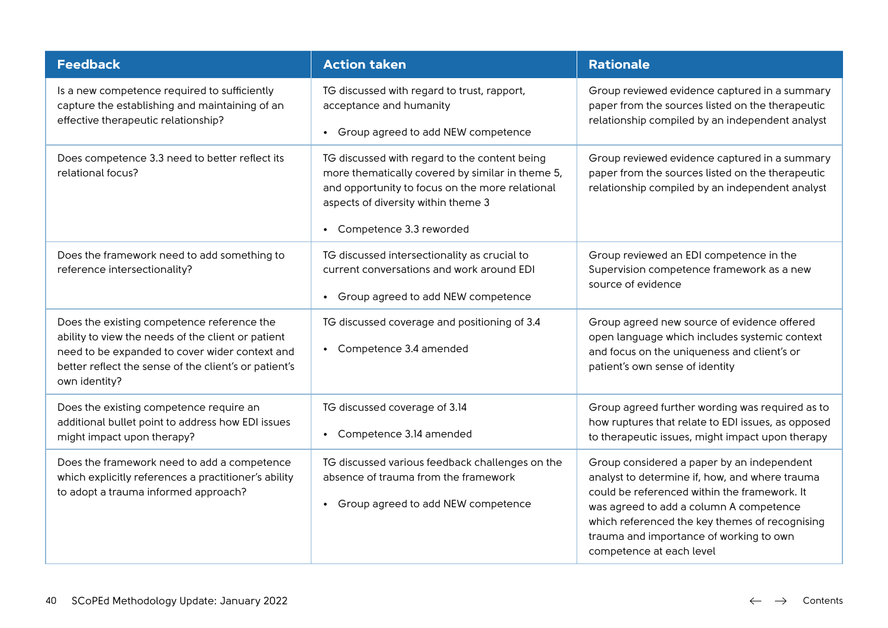| <b>Feedback</b>                                                                                                                                                                                                              | <b>Action taken</b>                                                                                                                                                                                                    | <b>Rationale</b>                                                                                                                                                                                                                                                                                                 |
|------------------------------------------------------------------------------------------------------------------------------------------------------------------------------------------------------------------------------|------------------------------------------------------------------------------------------------------------------------------------------------------------------------------------------------------------------------|------------------------------------------------------------------------------------------------------------------------------------------------------------------------------------------------------------------------------------------------------------------------------------------------------------------|
| Is a new competence required to sufficiently<br>capture the establishing and maintaining of an                                                                                                                               | TG discussed with regard to trust, rapport,<br>acceptance and humanity                                                                                                                                                 | Group reviewed evidence captured in a summary<br>paper from the sources listed on the therapeutic                                                                                                                                                                                                                |
| effective therapeutic relationship?                                                                                                                                                                                          | • Group agreed to add NEW competence                                                                                                                                                                                   | relationship compiled by an independent analyst                                                                                                                                                                                                                                                                  |
| Does competence 3.3 need to better reflect its<br>relational focus?                                                                                                                                                          | TG discussed with regard to the content being<br>more thematically covered by similar in theme 5,<br>and opportunity to focus on the more relational<br>aspects of diversity within theme 3<br>Competence 3.3 reworded | Group reviewed evidence captured in a summary<br>paper from the sources listed on the therapeutic<br>relationship compiled by an independent analyst                                                                                                                                                             |
| Does the framework need to add something to<br>reference intersectionality?                                                                                                                                                  | TG discussed intersectionality as crucial to<br>current conversations and work around EDI<br>Group agreed to add NEW competence<br>$\bullet$                                                                           | Group reviewed an EDI competence in the<br>Supervision competence framework as a new<br>source of evidence                                                                                                                                                                                                       |
| Does the existing competence reference the<br>ability to view the needs of the client or patient<br>need to be expanded to cover wider context and<br>better reflect the sense of the client's or patient's<br>own identity? | TG discussed coverage and positioning of 3.4<br>Competence 3.4 amended                                                                                                                                                 | Group agreed new source of evidence offered<br>open language which includes systemic context<br>and focus on the uniqueness and client's or<br>patient's own sense of identity                                                                                                                                   |
| Does the existing competence require an<br>additional bullet point to address how EDI issues<br>might impact upon therapy?                                                                                                   | TG discussed coverage of 3.14<br>Competence 3.14 amended<br>$\bullet$                                                                                                                                                  | Group agreed further wording was required as to<br>how ruptures that relate to EDI issues, as opposed<br>to therapeutic issues, might impact upon therapy                                                                                                                                                        |
| Does the framework need to add a competence<br>which explicitly references a practitioner's ability<br>to adopt a trauma informed approach?                                                                                  | TG discussed various feedback challenges on the<br>absence of trauma from the framework<br>Group agreed to add NEW competence                                                                                          | Group considered a paper by an independent<br>analyst to determine if, how, and where trauma<br>could be referenced within the framework. It<br>was agreed to add a column A competence<br>which referenced the key themes of recognising<br>trauma and importance of working to own<br>competence at each level |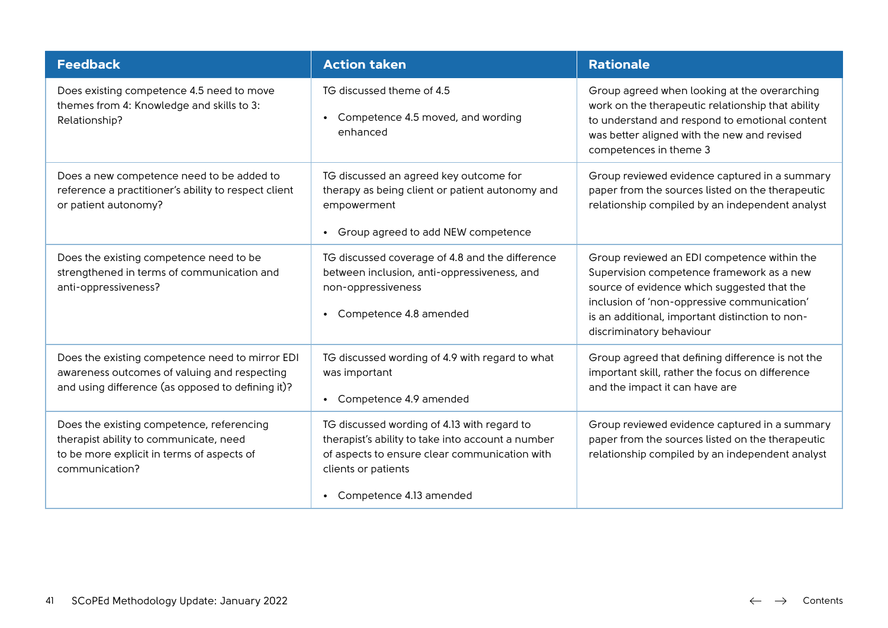| <b>Feedback</b>                                                                                                                                      | <b>Action taken</b>                                                                                                                                                                                 | <b>Rationale</b>                                                                                                                                                                                                                                                      |
|------------------------------------------------------------------------------------------------------------------------------------------------------|-----------------------------------------------------------------------------------------------------------------------------------------------------------------------------------------------------|-----------------------------------------------------------------------------------------------------------------------------------------------------------------------------------------------------------------------------------------------------------------------|
| Does existing competence 4.5 need to move<br>themes from 4: Knowledge and skills to 3:<br>Relationship?                                              | TG discussed theme of 4.5<br>Competence 4.5 moved, and wording<br>$\bullet$<br>enhanced                                                                                                             | Group agreed when looking at the overarching<br>work on the therapeutic relationship that ability<br>to understand and respond to emotional content<br>was better aligned with the new and revised<br>competences in theme 3                                          |
| Does a new competence need to be added to<br>reference a practitioner's ability to respect client<br>or patient autonomy?                            | TG discussed an agreed key outcome for<br>therapy as being client or patient autonomy and<br>empowerment<br>Group agreed to add NEW competence<br>$\bullet$                                         | Group reviewed evidence captured in a summary<br>paper from the sources listed on the therapeutic<br>relationship compiled by an independent analyst                                                                                                                  |
| Does the existing competence need to be<br>strengthened in terms of communication and<br>anti-oppressiveness?                                        | TG discussed coverage of 4.8 and the difference<br>between inclusion, anti-oppressiveness, and<br>non-oppressiveness<br>Competence 4.8 amended<br>$\bullet$                                         | Group reviewed an EDI competence within the<br>Supervision competence framework as a new<br>source of evidence which suggested that the<br>inclusion of 'non-oppressive communication'<br>is an additional, important distinction to non-<br>discriminatory behaviour |
| Does the existing competence need to mirror EDI<br>awareness outcomes of valuing and respecting<br>and using difference (as opposed to defining it)? | TG discussed wording of 4.9 with regard to what<br>was important<br>Competence 4.9 amended<br>$\bullet$                                                                                             | Group agreed that defining difference is not the<br>important skill, rather the focus on difference<br>and the impact it can have are                                                                                                                                 |
| Does the existing competence, referencing<br>therapist ability to communicate, need<br>to be more explicit in terms of aspects of<br>communication?  | TG discussed wording of 4.13 with regard to<br>therapist's ability to take into account a number<br>of aspects to ensure clear communication with<br>clients or patients<br>Competence 4.13 amended | Group reviewed evidence captured in a summary<br>paper from the sources listed on the therapeutic<br>relationship compiled by an independent analyst                                                                                                                  |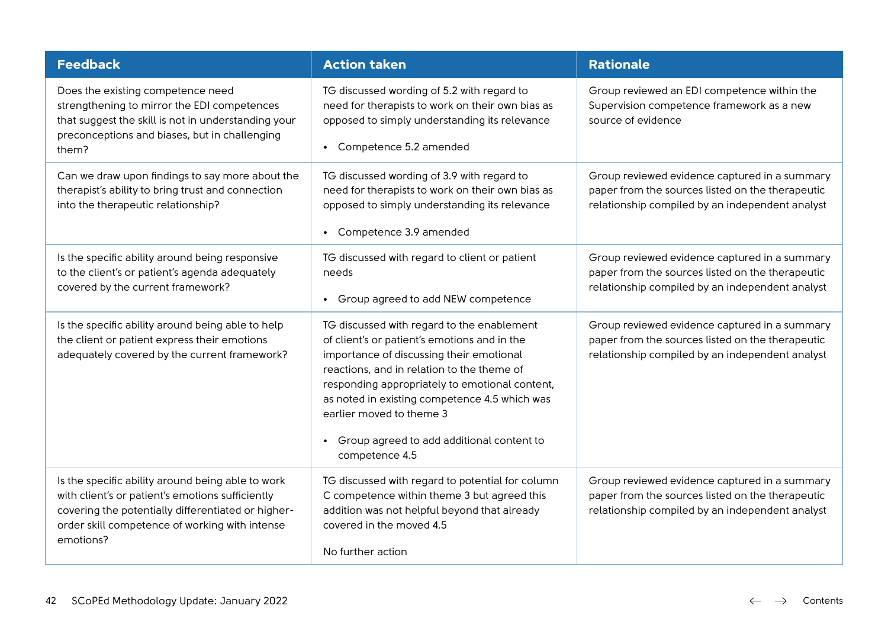| <b>Feedback</b>                                                                                                                                                                                                            | <b>Action taken</b>                                                                                                                                                                                                                                                                                                                                                                             | <b>Rationale</b>                                                                                                                                     |
|----------------------------------------------------------------------------------------------------------------------------------------------------------------------------------------------------------------------------|-------------------------------------------------------------------------------------------------------------------------------------------------------------------------------------------------------------------------------------------------------------------------------------------------------------------------------------------------------------------------------------------------|------------------------------------------------------------------------------------------------------------------------------------------------------|
| Does the existing competence need<br>strengthening to mirror the EDI competences<br>that suggest the skill is not in understanding your<br>preconceptions and biases, but in challenging<br>them?                          | TG discussed wording of 5.2 with regard to<br>need for therapists to work on their own bias as<br>opposed to simply understanding its relevance<br>Competence 5.2 amended                                                                                                                                                                                                                       | Group reviewed an EDI competence within the<br>Supervision competence framework as a new<br>source of evidence                                       |
| Can we draw upon findings to say more about the<br>therapist's ability to bring trust and connection<br>into the therapeutic relationship?                                                                                 | TG discussed wording of 3.9 with regard to<br>need for therapists to work on their own bias as<br>opposed to simply understanding its relevance<br>Competence 3.9 amended                                                                                                                                                                                                                       | Group reviewed evidence captured in a summary<br>paper from the sources listed on the therapeutic<br>relationship compiled by an independent analyst |
| Is the specific ability around being responsive<br>to the client's or patient's agenda adequately<br>covered by the current framework?                                                                                     | TG discussed with regard to client or patient<br>needs<br>Group agreed to add NEW competence                                                                                                                                                                                                                                                                                                    | Group reviewed evidence captured in a summary<br>paper from the sources listed on the therapeutic<br>relationship compiled by an independent analyst |
| Is the specific ability around being able to help<br>the client or patient express their emotions<br>adequately covered by the current framework?                                                                          | TG discussed with regard to the enablement<br>of client's or patient's emotions and in the<br>importance of discussing their emotional<br>reactions, and in relation to the theme of<br>responding appropriately to emotional content,<br>as noted in existing competence 4.5 which was<br>earlier moved to theme 3<br>Group agreed to add additional content to<br>$\bullet$<br>competence 4.5 | Group reviewed evidence captured in a summary<br>paper from the sources listed on the therapeutic<br>relationship compiled by an independent analyst |
| Is the specific ability around being able to work<br>with client's or patient's emotions sufficiently<br>covering the potentially differentiated or higher-<br>order skill competence of working with intense<br>emotions? | TG discussed with regard to potential for column<br>C competence within theme 3 but agreed this<br>addition was not helpful beyond that already<br>covered in the moved 4.5<br>No further action                                                                                                                                                                                                | Group reviewed evidence captured in a summary<br>paper from the sources listed on the therapeutic<br>relationship compiled by an independent analyst |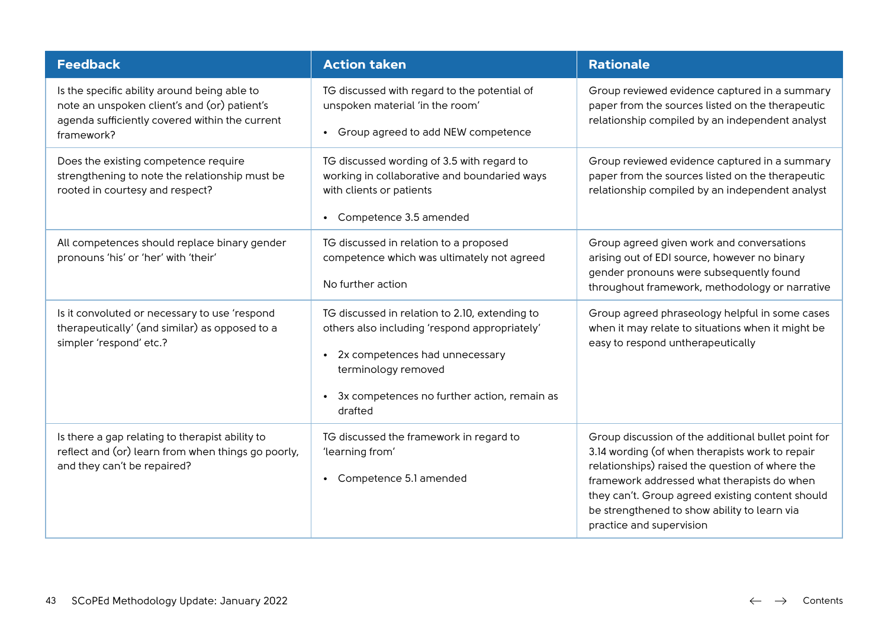| <b>Feedback</b>                                                                                                                                              | <b>Action taken</b>                                                                                                                                                                                                             | <b>Rationale</b>                                                                                                                                                                                                                                                                                                                         |
|--------------------------------------------------------------------------------------------------------------------------------------------------------------|---------------------------------------------------------------------------------------------------------------------------------------------------------------------------------------------------------------------------------|------------------------------------------------------------------------------------------------------------------------------------------------------------------------------------------------------------------------------------------------------------------------------------------------------------------------------------------|
| Is the specific ability around being able to<br>note an unspoken client's and (or) patient's<br>agenda sufficiently covered within the current<br>framework? | TG discussed with regard to the potential of<br>unspoken material 'in the room'<br>Group agreed to add NEW competence<br>$\bullet$                                                                                              | Group reviewed evidence captured in a summary<br>paper from the sources listed on the therapeutic<br>relationship compiled by an independent analyst                                                                                                                                                                                     |
| Does the existing competence require<br>strengthening to note the relationship must be<br>rooted in courtesy and respect?                                    | TG discussed wording of 3.5 with regard to<br>working in collaborative and boundaried ways<br>with clients or patients<br>Competence 3.5 amended                                                                                | Group reviewed evidence captured in a summary<br>paper from the sources listed on the therapeutic<br>relationship compiled by an independent analyst                                                                                                                                                                                     |
| All competences should replace binary gender<br>pronouns 'his' or 'her' with 'their'                                                                         | TG discussed in relation to a proposed<br>competence which was ultimately not agreed<br>No further action                                                                                                                       | Group agreed given work and conversations<br>arising out of EDI source, however no binary<br>gender pronouns were subsequently found<br>throughout framework, methodology or narrative                                                                                                                                                   |
| Is it convoluted or necessary to use 'respond<br>therapeutically' (and similar) as opposed to a<br>simpler 'respond' etc.?                                   | TG discussed in relation to 2.10, extending to<br>others also including 'respond appropriately'<br>2x competences had unnecessary<br>terminology removed<br>3x competences no further action, remain as<br>$\bullet$<br>drafted | Group agreed phraseology helpful in some cases<br>when it may relate to situations when it might be<br>easy to respond untherapeutically                                                                                                                                                                                                 |
| Is there a gap relating to therapist ability to<br>reflect and (or) learn from when things go poorly,<br>and they can't be repaired?                         | TG discussed the framework in regard to<br>'learning from'<br>Competence 5.1 amended                                                                                                                                            | Group discussion of the additional bullet point for<br>3.14 wording (of when therapists work to repair<br>relationships) raised the question of where the<br>framework addressed what therapists do when<br>they can't. Group agreed existing content should<br>be strengthened to show ability to learn via<br>practice and supervision |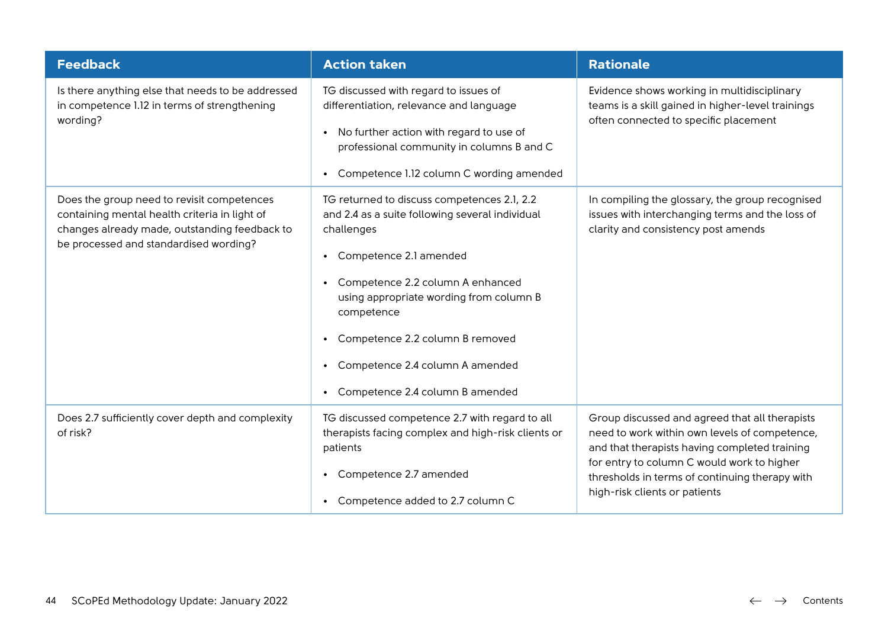| <b>Feedback</b>                                                                                                                                                                        | <b>Action taken</b>                                                                                                                                                                                                                                                                                                                                                          | <b>Rationale</b>                                                                                                                                                                                                                                                                  |
|----------------------------------------------------------------------------------------------------------------------------------------------------------------------------------------|------------------------------------------------------------------------------------------------------------------------------------------------------------------------------------------------------------------------------------------------------------------------------------------------------------------------------------------------------------------------------|-----------------------------------------------------------------------------------------------------------------------------------------------------------------------------------------------------------------------------------------------------------------------------------|
| Is there anything else that needs to be addressed<br>in competence 1.12 in terms of strengthening<br>wording?                                                                          | TG discussed with regard to issues of<br>differentiation, relevance and language<br>• No further action with regard to use of<br>professional community in columns B and C<br>• Competence 1.12 column C wording amended                                                                                                                                                     | Evidence shows working in multidisciplinary<br>teams is a skill gained in higher-level trainings<br>often connected to specific placement                                                                                                                                         |
| Does the group need to revisit competences<br>containing mental health criteria in light of<br>changes already made, outstanding feedback to<br>be processed and standardised wording? | TG returned to discuss competences 2.1, 2.2<br>and 2.4 as a suite following several individual<br>challenges<br>• Competence 2.1 amended<br>• Competence 2.2 column A enhanced<br>using appropriate wording from column B<br>competence<br>Competence 2.2 column B removed<br>$\bullet$<br>Competence 2.4 column A amended<br>$\bullet$<br>• Competence 2.4 column B amended | In compiling the glossary, the group recognised<br>issues with interchanging terms and the loss of<br>clarity and consistency post amends                                                                                                                                         |
| Does 2.7 sufficiently cover depth and complexity<br>of risk?                                                                                                                           | TG discussed competence 2.7 with regard to all<br>therapists facing complex and high-risk clients or<br>patients<br>Competence 2.7 amended<br>$\bullet$<br>• Competence added to 2.7 column C                                                                                                                                                                                | Group discussed and agreed that all therapists<br>need to work within own levels of competence,<br>and that therapists having completed training<br>for entry to column C would work to higher<br>thresholds in terms of continuing therapy with<br>high-risk clients or patients |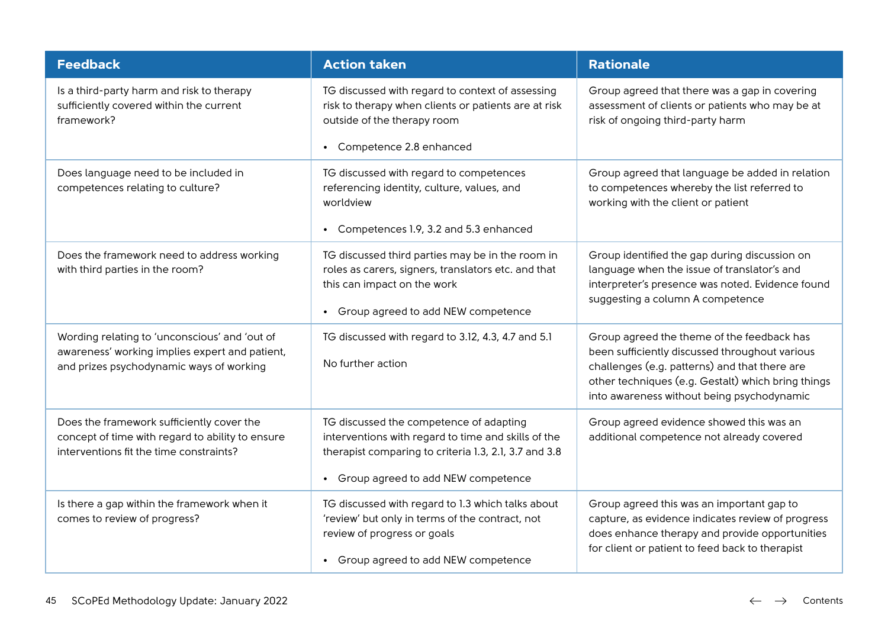| <b>Feedback</b>                                                                                                                             | <b>Action taken</b>                                                                                                                                                                             | <b>Rationale</b>                                                                                                                                                                                                                                  |
|---------------------------------------------------------------------------------------------------------------------------------------------|-------------------------------------------------------------------------------------------------------------------------------------------------------------------------------------------------|---------------------------------------------------------------------------------------------------------------------------------------------------------------------------------------------------------------------------------------------------|
| Is a third-party harm and risk to therapy<br>sufficiently covered within the current<br>framework?                                          | TG discussed with regard to context of assessing<br>risk to therapy when clients or patients are at risk<br>outside of the therapy room                                                         | Group agreed that there was a gap in covering<br>assessment of clients or patients who may be at<br>risk of ongoing third-party harm                                                                                                              |
|                                                                                                                                             | • Competence 2.8 enhanced                                                                                                                                                                       |                                                                                                                                                                                                                                                   |
| Does language need to be included in<br>competences relating to culture?                                                                    | TG discussed with regard to competences<br>referencing identity, culture, values, and<br>worldview<br>Competences 1.9, 3.2 and 5.3 enhanced                                                     | Group agreed that language be added in relation<br>to competences whereby the list referred to<br>working with the client or patient                                                                                                              |
| Does the framework need to address working<br>with third parties in the room?                                                               | TG discussed third parties may be in the room in<br>roles as carers, signers, translators etc. and that<br>this can impact on the work<br>• Group agreed to add NEW competence                  | Group identified the gap during discussion on<br>language when the issue of translator's and<br>interpreter's presence was noted. Evidence found<br>suggesting a column A competence                                                              |
| Wording relating to 'unconscious' and 'out of<br>awareness' working implies expert and patient,<br>and prizes psychodynamic ways of working | TG discussed with regard to 3.12, 4.3, 4.7 and 5.1<br>No further action                                                                                                                         | Group agreed the theme of the feedback has<br>been sufficiently discussed throughout various<br>challenges (e.g. patterns) and that there are<br>other techniques (e.g. Gestalt) which bring things<br>into awareness without being psychodynamic |
| Does the framework sufficiently cover the<br>concept of time with regard to ability to ensure<br>interventions fit the time constraints?    | TG discussed the competence of adapting<br>interventions with regard to time and skills of the<br>therapist comparing to criteria 1.3, 2.1, 3.7 and 3.8<br>• Group agreed to add NEW competence | Group agreed evidence showed this was an<br>additional competence not already covered                                                                                                                                                             |
| Is there a gap within the framework when it<br>comes to review of progress?                                                                 | TG discussed with regard to 1.3 which talks about<br>'review' but only in terms of the contract, not<br>review of progress or goals<br>• Group agreed to add NEW competence                     | Group agreed this was an important gap to<br>capture, as evidence indicates review of progress<br>does enhance therapy and provide opportunities<br>for client or patient to feed back to therapist                                               |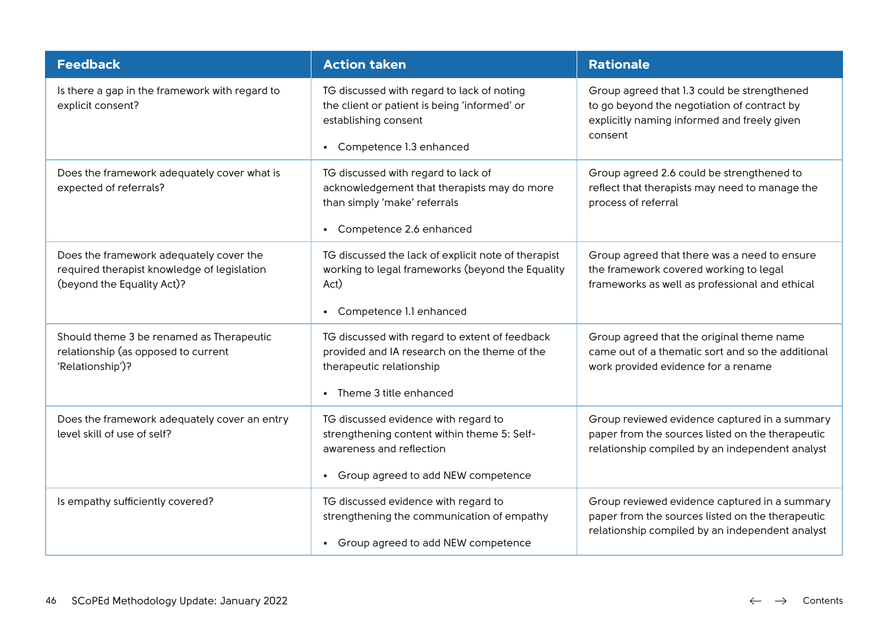| <b>Feedback</b>                                                                                                      | <b>Action taken</b>                                                                                                                                        | <b>Rationale</b>                                                                                                                                     |
|----------------------------------------------------------------------------------------------------------------------|------------------------------------------------------------------------------------------------------------------------------------------------------------|------------------------------------------------------------------------------------------------------------------------------------------------------|
| Is there a gap in the framework with regard to<br>explicit consent?                                                  | TG discussed with regard to lack of noting<br>the client or patient is being 'informed' or<br>establishing consent<br>Competence 1.3 enhanced<br>$\bullet$ | Group agreed that 1.3 could be strengthened<br>to go beyond the negotiation of contract by<br>explicitly naming informed and freely given<br>consent |
| Does the framework adequately cover what is<br>expected of referrals?                                                | TG discussed with regard to lack of<br>acknowledgement that therapists may do more<br>than simply 'make' referrals<br>Competence 2.6 enhanced              | Group agreed 2.6 could be strengthened to<br>reflect that therapists may need to manage the<br>process of referral                                   |
| Does the framework adequately cover the<br>required therapist knowledge of legislation<br>(beyond the Equality Act)? | TG discussed the lack of explicit note of therapist<br>working to legal frameworks (beyond the Equality<br>Act)<br>Competence 1.1 enhanced                 | Group agreed that there was a need to ensure<br>the framework covered working to legal<br>frameworks as well as professional and ethical             |
| Should theme 3 be renamed as Therapeutic<br>relationship (as opposed to current<br>'Relationship')?                  | TG discussed with regard to extent of feedback<br>provided and IA research on the theme of the<br>therapeutic relationship<br>• Theme 3 title enhanced     | Group agreed that the original theme name<br>came out of a thematic sort and so the additional<br>work provided evidence for a rename                |
| Does the framework adequately cover an entry<br>level skill of use of self?                                          | TG discussed evidence with regard to<br>strengthening content within theme 5: Self-<br>awareness and reflection<br>• Group agreed to add NEW competence    | Group reviewed evidence captured in a summary<br>paper from the sources listed on the therapeutic<br>relationship compiled by an independent analyst |
| Is empathy sufficiently covered?                                                                                     | TG discussed evidence with regard to<br>strengthening the communication of empathy<br>• Group agreed to add NEW competence                                 | Group reviewed evidence captured in a summary<br>paper from the sources listed on the therapeutic<br>relationship compiled by an independent analyst |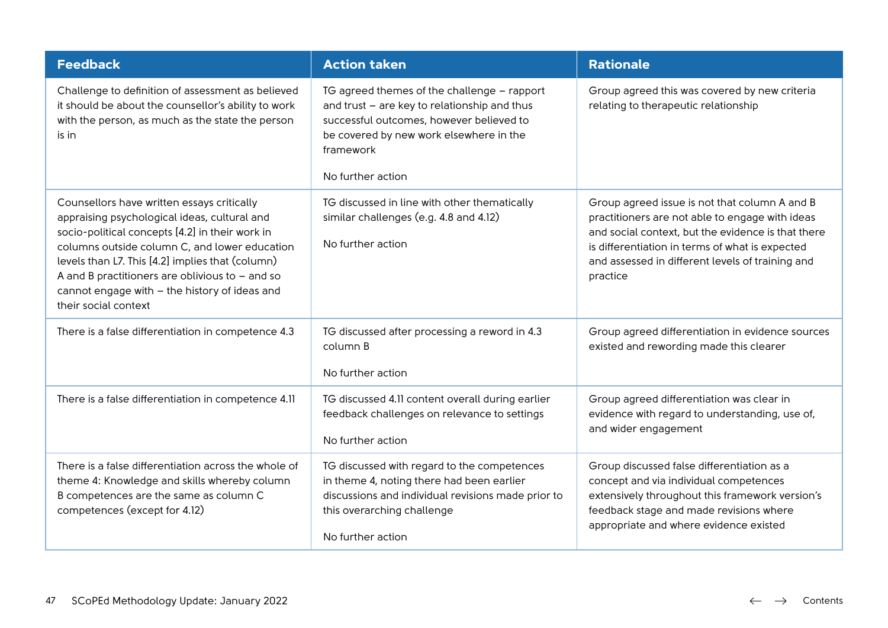| <b>Feedback</b>                                                                                                                                                                                                                                                                                                                                                                  | <b>Action taken</b>                                                                                                                                                                                                  | <b>Rationale</b>                                                                                                                                                                                                                                                          |
|----------------------------------------------------------------------------------------------------------------------------------------------------------------------------------------------------------------------------------------------------------------------------------------------------------------------------------------------------------------------------------|----------------------------------------------------------------------------------------------------------------------------------------------------------------------------------------------------------------------|---------------------------------------------------------------------------------------------------------------------------------------------------------------------------------------------------------------------------------------------------------------------------|
| Challenge to definition of assessment as believed<br>it should be about the counsellor's ability to work<br>with the person, as much as the state the person<br>is in                                                                                                                                                                                                            | TG agreed themes of the challenge - rapport<br>and trust - are key to relationship and thus<br>successful outcomes, however believed to<br>be covered by new work elsewhere in the<br>framework<br>No further action | Group agreed this was covered by new criteria<br>relating to therapeutic relationship                                                                                                                                                                                     |
| Counsellors have written essays critically<br>appraising psychological ideas, cultural and<br>socio-political concepts [4.2] in their work in<br>columns outside column C, and lower education<br>levels than L7. This [4.2] implies that (column)<br>A and B practitioners are oblivious to $-$ and so<br>cannot engage with - the history of ideas and<br>their social context | TG discussed in line with other thematically<br>similar challenges (e.g. 4.8 and 4.12)<br>No further action                                                                                                          | Group agreed issue is not that column A and B<br>practitioners are not able to engage with ideas<br>and social context, but the evidence is that there<br>is differentiation in terms of what is expected<br>and assessed in different levels of training and<br>practice |
| There is a false differentiation in competence 4.3                                                                                                                                                                                                                                                                                                                               | TG discussed after processing a reword in 4.3<br>column B<br>No further action                                                                                                                                       | Group agreed differentiation in evidence sources<br>existed and rewording made this clearer                                                                                                                                                                               |
| There is a false differentiation in competence 4.11                                                                                                                                                                                                                                                                                                                              | TG discussed 4.11 content overall during earlier<br>feedback challenges on relevance to settings<br>No further action                                                                                                | Group agreed differentiation was clear in<br>evidence with regard to understanding, use of,<br>and wider engagement                                                                                                                                                       |
| There is a false differentiation across the whole of<br>theme 4: Knowledge and skills whereby column<br>B competences are the same as column C<br>competences (except for 4.12)                                                                                                                                                                                                  | TG discussed with regard to the competences<br>in theme 4, noting there had been earlier<br>discussions and individual revisions made prior to<br>this overarching challenge<br>No further action                    | Group discussed false differentiation as a<br>concept and via individual competences<br>extensively throughout this framework version's<br>feedback stage and made revisions where<br>appropriate and where evidence existed                                              |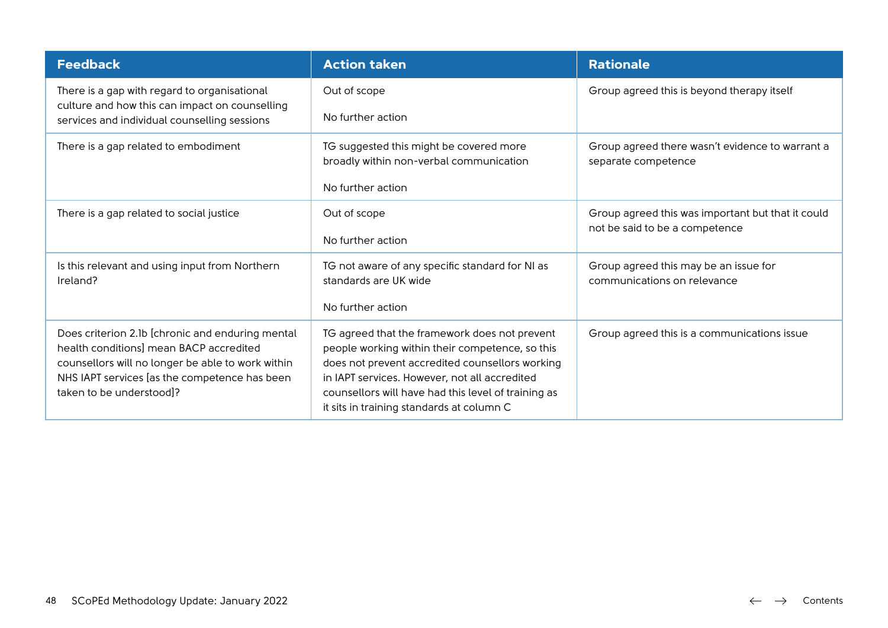| <b>Feedback</b>                                                                                                                                                                                                               | <b>Action taken</b>                                                                                                                                                                                                                                                                                      | <b>Rationale</b>                                                       |
|-------------------------------------------------------------------------------------------------------------------------------------------------------------------------------------------------------------------------------|----------------------------------------------------------------------------------------------------------------------------------------------------------------------------------------------------------------------------------------------------------------------------------------------------------|------------------------------------------------------------------------|
| There is a gap with regard to organisational<br>culture and how this can impact on counselling                                                                                                                                | Out of scope                                                                                                                                                                                                                                                                                             | Group agreed this is beyond therapy itself                             |
| services and individual counselling sessions                                                                                                                                                                                  | No further action                                                                                                                                                                                                                                                                                        |                                                                        |
| There is a gap related to embodiment                                                                                                                                                                                          | TG suggested this might be covered more<br>broadly within non-verbal communication                                                                                                                                                                                                                       | Group agreed there wasn't evidence to warrant a<br>separate competence |
|                                                                                                                                                                                                                               | No further action                                                                                                                                                                                                                                                                                        |                                                                        |
| There is a gap related to social justice                                                                                                                                                                                      | Out of scope                                                                                                                                                                                                                                                                                             | Group agreed this was important but that it could                      |
|                                                                                                                                                                                                                               | No further action                                                                                                                                                                                                                                                                                        | not be said to be a competence                                         |
| Is this relevant and using input from Northern<br>Ireland?                                                                                                                                                                    | TG not aware of any specific standard for NI as<br>standards are UK wide                                                                                                                                                                                                                                 | Group agreed this may be an issue for<br>communications on relevance   |
|                                                                                                                                                                                                                               | No further action                                                                                                                                                                                                                                                                                        |                                                                        |
| Does criterion 2.1b [chronic and enduring mental<br>health conditions] mean BACP accredited<br>counsellors will no longer be able to work within<br>NHS IAPT services [as the competence has been<br>taken to be understood]? | TG agreed that the framework does not prevent<br>people working within their competence, so this<br>does not prevent accredited counsellors working<br>in IAPT services. However, not all accredited<br>counsellors will have had this level of training as<br>it sits in training standards at column C | Group agreed this is a communications issue                            |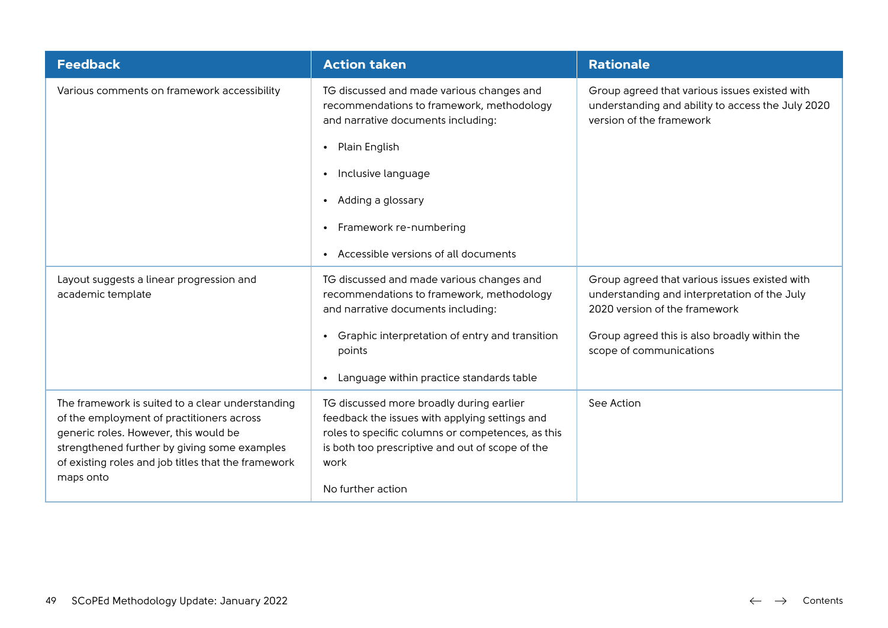| <b>Feedback</b>                                                                                                                                                                                                                                            | <b>Action taken</b>                                                                                                                                                                                                              | <b>Rationale</b>                                                                                                               |
|------------------------------------------------------------------------------------------------------------------------------------------------------------------------------------------------------------------------------------------------------------|----------------------------------------------------------------------------------------------------------------------------------------------------------------------------------------------------------------------------------|--------------------------------------------------------------------------------------------------------------------------------|
| Various comments on framework accessibility                                                                                                                                                                                                                | TG discussed and made various changes and<br>recommendations to framework, methodology<br>and narrative documents including:                                                                                                     | Group agreed that various issues existed with<br>understanding and ability to access the July 2020<br>version of the framework |
|                                                                                                                                                                                                                                                            | Plain English<br>$\bullet$                                                                                                                                                                                                       |                                                                                                                                |
|                                                                                                                                                                                                                                                            | Inclusive language<br>$\bullet$                                                                                                                                                                                                  |                                                                                                                                |
|                                                                                                                                                                                                                                                            | Adding a glossary<br>$\bullet$                                                                                                                                                                                                   |                                                                                                                                |
|                                                                                                                                                                                                                                                            | Framework re-numbering<br>$\bullet$                                                                                                                                                                                              |                                                                                                                                |
|                                                                                                                                                                                                                                                            | Accessible versions of all documents                                                                                                                                                                                             |                                                                                                                                |
| Layout suggests a linear progression and<br>academic template                                                                                                                                                                                              | TG discussed and made various changes and<br>recommendations to framework, methodology<br>and narrative documents including:                                                                                                     | Group agreed that various issues existed with<br>understanding and interpretation of the July<br>2020 version of the framework |
|                                                                                                                                                                                                                                                            | Graphic interpretation of entry and transition<br>points                                                                                                                                                                         | Group agreed this is also broadly within the<br>scope of communications                                                        |
|                                                                                                                                                                                                                                                            | Language within practice standards table<br>$\bullet$                                                                                                                                                                            |                                                                                                                                |
| The framework is suited to a clear understanding<br>of the employment of practitioners across<br>generic roles. However, this would be<br>strengthened further by giving some examples<br>of existing roles and job titles that the framework<br>maps onto | TG discussed more broadly during earlier<br>feedback the issues with applying settings and<br>roles to specific columns or competences, as this<br>is both too prescriptive and out of scope of the<br>work<br>No further action | See Action                                                                                                                     |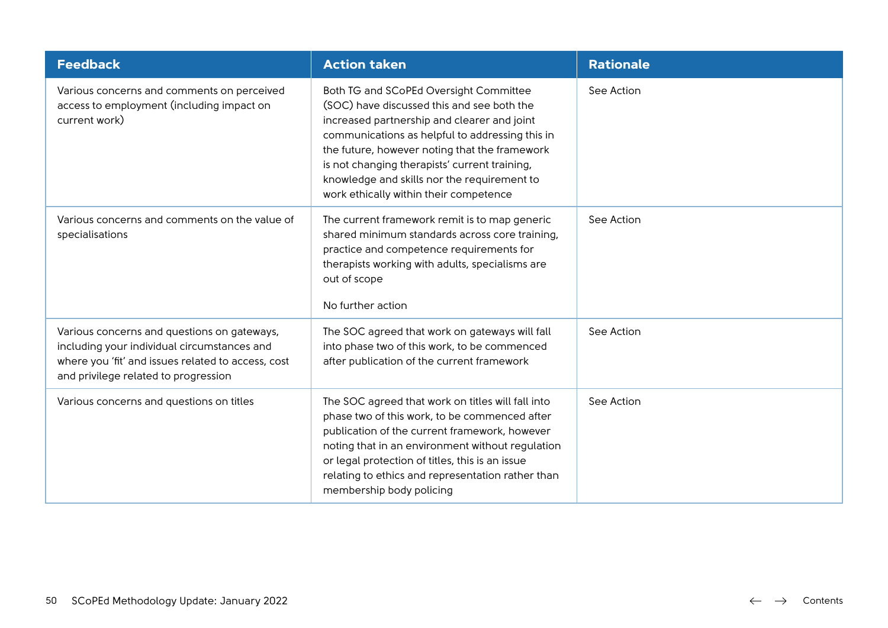| <b>Feedback</b>                                                                                                                                                                          | <b>Action taken</b>                                                                                                                                                                                                                                                                                                                                                               | <b>Rationale</b> |  |
|------------------------------------------------------------------------------------------------------------------------------------------------------------------------------------------|-----------------------------------------------------------------------------------------------------------------------------------------------------------------------------------------------------------------------------------------------------------------------------------------------------------------------------------------------------------------------------------|------------------|--|
| Various concerns and comments on perceived<br>access to employment (including impact on<br>current work)                                                                                 | Both TG and SCoPEd Oversight Committee<br>(SOC) have discussed this and see both the<br>increased partnership and clearer and joint<br>communications as helpful to addressing this in<br>the future, however noting that the framework<br>is not changing therapists' current training,<br>knowledge and skills nor the requirement to<br>work ethically within their competence | See Action       |  |
| Various concerns and comments on the value of<br>specialisations                                                                                                                         | The current framework remit is to map generic<br>shared minimum standards across core training,<br>practice and competence requirements for<br>therapists working with adults, specialisms are<br>out of scope<br>No further action                                                                                                                                               | See Action       |  |
| Various concerns and questions on gateways,<br>including your individual circumstances and<br>where you 'fit' and issues related to access, cost<br>and privilege related to progression | The SOC agreed that work on gateways will fall<br>into phase two of this work, to be commenced<br>after publication of the current framework                                                                                                                                                                                                                                      | See Action       |  |
| Various concerns and questions on titles                                                                                                                                                 | The SOC agreed that work on titles will fall into<br>phase two of this work, to be commenced after<br>publication of the current framework, however<br>noting that in an environment without regulation<br>or legal protection of titles, this is an issue<br>relating to ethics and representation rather than<br>membership body policing                                       | See Action       |  |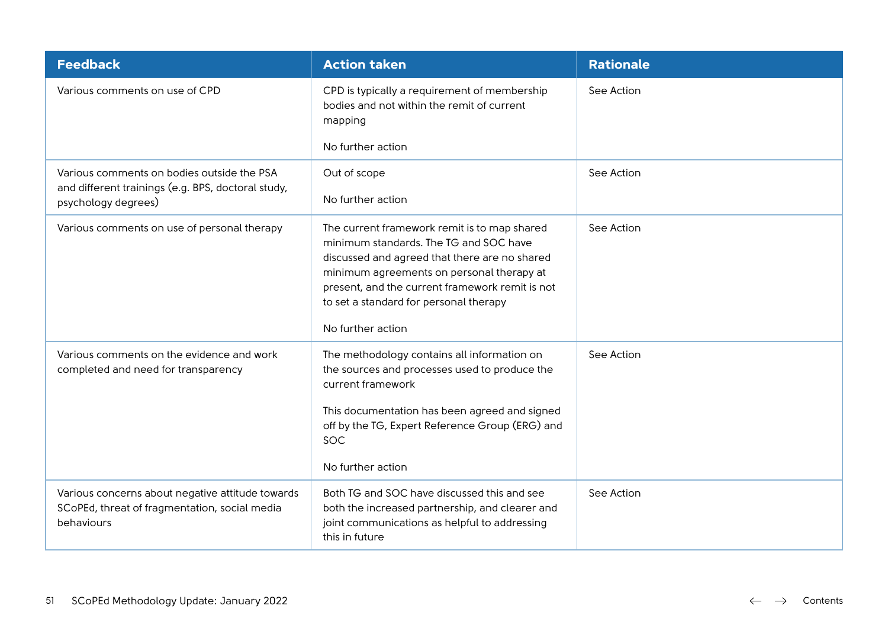| <b>Feedback</b>                                                                                                         | <b>Action taken</b>                                                                                                                                                                                                                                                                                    | <b>Rationale</b> |
|-------------------------------------------------------------------------------------------------------------------------|--------------------------------------------------------------------------------------------------------------------------------------------------------------------------------------------------------------------------------------------------------------------------------------------------------|------------------|
| Various comments on use of CPD                                                                                          | CPD is typically a requirement of membership<br>bodies and not within the remit of current<br>mapping<br>No further action                                                                                                                                                                             | See Action       |
| Various comments on bodies outside the PSA<br>and different trainings (e.g. BPS, doctoral study,<br>psychology degrees) | Out of scope<br>No further action                                                                                                                                                                                                                                                                      | See Action       |
| Various comments on use of personal therapy                                                                             | The current framework remit is to map shared<br>minimum standards. The TG and SOC have<br>discussed and agreed that there are no shared<br>minimum agreements on personal therapy at<br>present, and the current framework remit is not<br>to set a standard for personal therapy<br>No further action | See Action       |
| Various comments on the evidence and work<br>completed and need for transparency                                        | The methodology contains all information on<br>the sources and processes used to produce the<br>current framework<br>This documentation has been agreed and signed<br>off by the TG, Expert Reference Group (ERG) and<br>SOC<br>No further action                                                      | See Action       |
| Various concerns about negative attitude towards<br>SCoPEd, threat of fragmentation, social media<br>behaviours         | Both TG and SOC have discussed this and see<br>both the increased partnership, and clearer and<br>joint communications as helpful to addressing<br>this in future                                                                                                                                      | See Action       |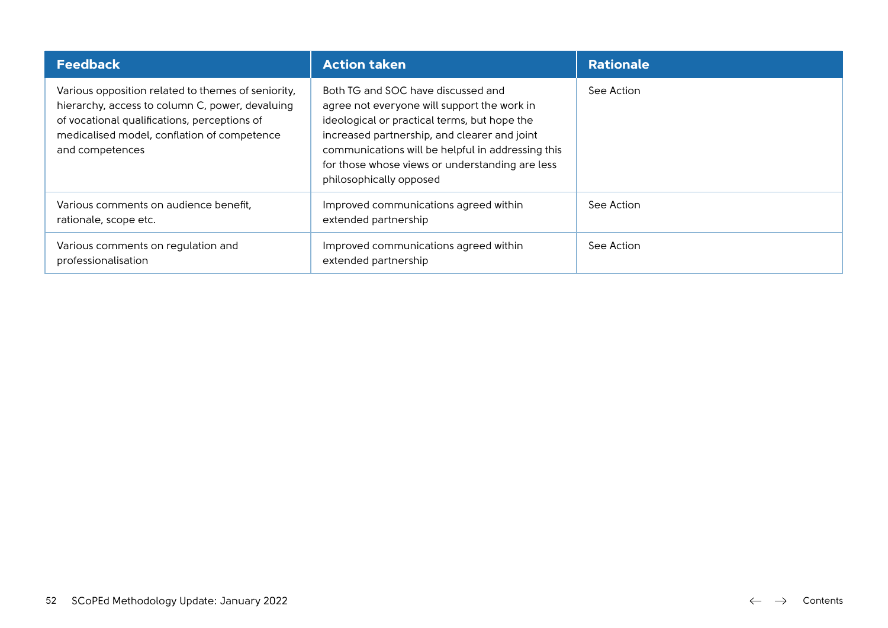| <b>Feedback</b>                                                                                                                                                                                                         | <b>Action taken</b>                                                                                                                                                                                                                                                                                                  | <b>Rationale</b> |
|-------------------------------------------------------------------------------------------------------------------------------------------------------------------------------------------------------------------------|----------------------------------------------------------------------------------------------------------------------------------------------------------------------------------------------------------------------------------------------------------------------------------------------------------------------|------------------|
| Various opposition related to themes of seniority,<br>hierarchy, access to column C, power, devaluing<br>of vocational qualifications, perceptions of<br>medicalised model, conflation of competence<br>and competences | Both TG and SOC have discussed and<br>agree not everyone will support the work in<br>ideological or practical terms, but hope the<br>increased partnership, and clearer and joint<br>communications will be helpful in addressing this<br>for those whose views or understanding are less<br>philosophically opposed | See Action       |
| Various comments on audience benefit,<br>rationale, scope etc.                                                                                                                                                          | Improved communications agreed within<br>extended partnership                                                                                                                                                                                                                                                        | See Action       |
| Various comments on regulation and<br>professionalisation                                                                                                                                                               | Improved communications agreed within<br>extended partnership                                                                                                                                                                                                                                                        | See Action       |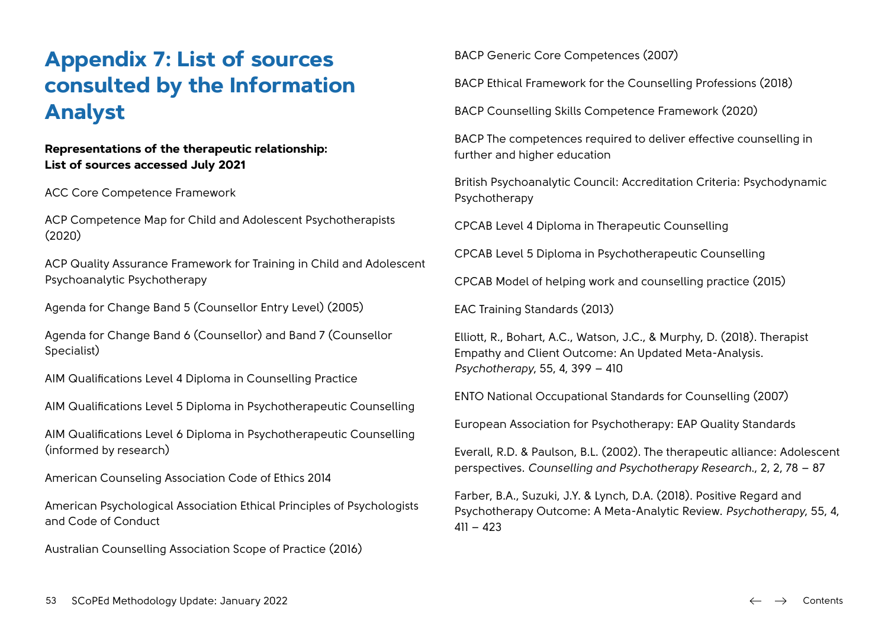# **Appendix 7: List of sources consulted by the Information Analyst**

#### **Representations of the therapeutic relationship: List of sources accessed July 2021**

ACC Core Competence Framework

ACP Competence Map for Child and Adolescent Psychotherapists (2020)

ACP Quality Assurance Framework for Training in Child and Adolescent Psychoanalytic Psychotherapy

Agenda for Change Band 5 (Counsellor Entry Level) (2005)

Agenda for Change Band 6 (Counsellor) and Band 7 (Counsellor Specialist)

AIM Qualifications Level 4 Diploma in Counselling Practice

AIM Qualifications Level 5 Diploma in Psychotherapeutic Counselling

AIM Qualifications Level 6 Diploma in Psychotherapeutic Counselling (informed by research)

American Counseling Association Code of Ethics 2014

American Psychological Association Ethical Principles of Psychologists and Code of Conduct

Australian Counselling Association Scope of Practice (2016)

BACP Generic Core Competences (2007)

BACP Ethical Framework for the Counselling Professions (2018)

BACP Counselling Skills Competence Framework (2020)

BACP The competences required to deliver effective counselling in further and higher education

British Psychoanalytic Council: Accreditation Criteria: Psychodynamic Psychotherapy

CPCAB Level 4 Diploma in Therapeutic Counselling

CPCAB Level 5 Diploma in Psychotherapeutic Counselling

CPCAB Model of helping work and counselling practice (2015)

EAC Training Standards (2013)

Elliott, R., Bohart, A.C., Watson, J.C., & Murphy, D. (2018). Therapist Empathy and Client Outcome: An Updated Meta-Analysis. *Psychotherapy*, 55, 4, 399 – 410

ENTO National Occupational Standards for Counselling (2007)

European Association for Psychotherapy: EAP Quality Standards

Everall, R.D. & Paulson, B.L. (2002). The therapeutic alliance: Adolescent perspectives. *Counselling and Psychotherapy Research*., 2, 2, 78 – 87

Farber, B.A., Suzuki, J.Y. & Lynch, D.A. (2018). Positive Regard and Psychotherapy Outcome: A Meta-Analytic Review. *Psychotherapy*, 55, 4,  $411 - 423$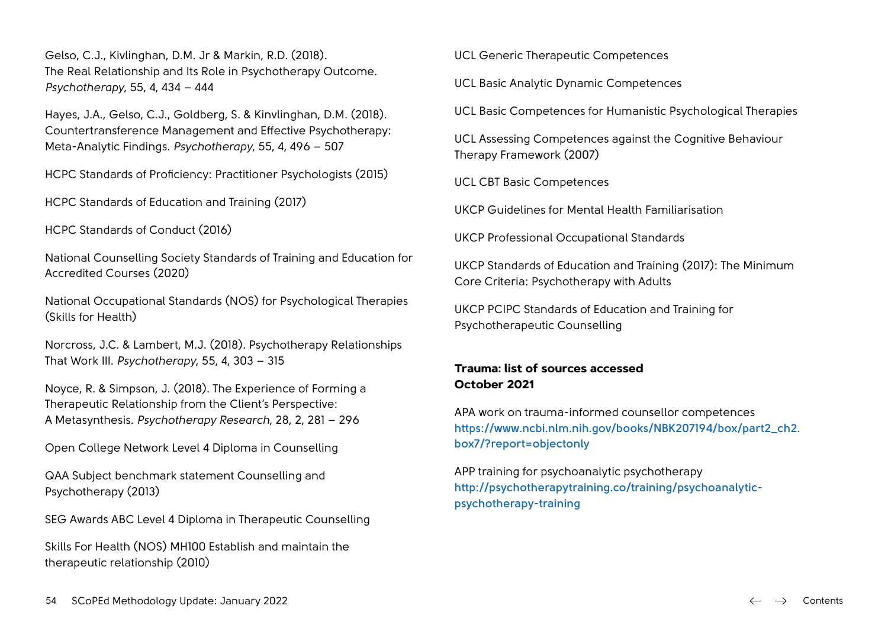Gelso, C.J., Kivlinghan, D.M. Jr & Markin, R.D. (2018). The Real Relationship and Its Role in Psychotherapy Outcome. *Psychotherapy*, 55, 4, 434 – 444

Hayes, J.A., Gelso, C.J., Goldberg, S. & Kinvlinghan, D.M. (2018). Countertransference Management and Effective Psychotherapy: Meta-Analytic Findings. *Psychotherapy*, 55, 4, 496 – 507

HCPC Standards of Proficiency: Practitioner Psychologists (2015)

HCPC Standards of Education and Training (2017)

HCPC Standards of Conduct (2016)

National Counselling Society Standards of Training and Education for Accredited Courses (2020)

National Occupational Standards (NOS) for Psychological Therapies (Skills for Health)

Norcross, J.C. & Lambert, M.J. (2018). Psychotherapy Relationships That Work III. *Psychotherapy*, 55, 4, 303 – 315

Noyce, R. & Simpson, J. (2018). The Experience of Forming a Therapeutic Relationship from the Client's Perspective: A Metasynthesis. *Psychotherapy Research*, 28, 2, 281 – 296

Open College Network Level 4 Diploma in Counselling

QAA Subject benchmark statement Counselling and Psychotherapy (2013)

SEG Awards ABC Level 4 Diploma in Therapeutic Counselling

Skills For Health (NOS) MH100 Establish and maintain the therapeutic relationship (2010)

UCL Generic Therapeutic Competences

UCL Basic Analytic Dynamic Competences

UCL Basic Competences for Humanistic Psychological Therapies

UCL Assessing Competences against the Cognitive Behaviour Therapy Framework (2007)

UCL CBT Basic Competences

UKCP Guidelines for Mental Health Familiarisation

UKCP Professional Occupational Standards

UKCP Standards of Education and Training (2017): The Minimum Core Criteria: Psychotherapy with Adults

UKCP PCIPC Standards of Education and Training for Psychotherapeutic Counselling

### **Trauma: list of sources accessed October 2021**

APA work on trauma-informed counsellor competences **[https://www.ncbi.nlm.nih.gov/books/NBK207194/box/part2\\_ch2.](https://www.ncbi.nlm.nih.gov/books/NBK207194/box/part2_ch2.box7/?report=objectonly) [box7/?report=objectonly](https://www.ncbi.nlm.nih.gov/books/NBK207194/box/part2_ch2.box7/?report=objectonly)**

APP training for psychoanalytic psychotherapy **[http://psychotherapytraining.co/training/psychoanalytic](http://psychotherapytraining.co/training/psychoanalytic-psychotherapy-training)[psychotherapy-training](http://psychotherapytraining.co/training/psychoanalytic-psychotherapy-training)**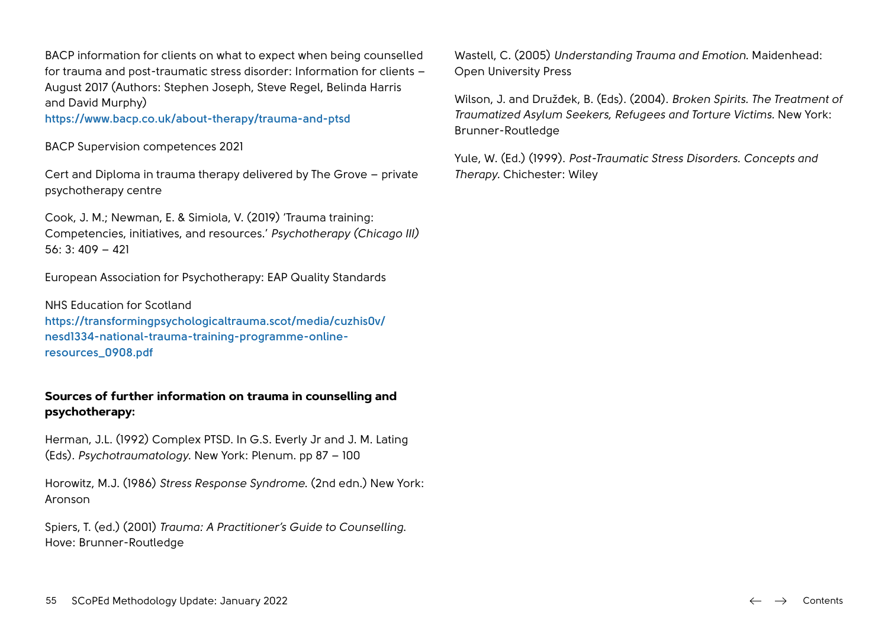BACP information for clients on what to expect when being counselled for trauma and post-traumatic stress disorder: Information for clients – August 2017 (Authors: Stephen Joseph, Steve Regel, Belinda Harris and David Murphy)

**<https://www.bacp.co.uk/about-therapy/trauma-and-ptsd>**

BACP Supervision competences 2021

Cert and Diploma in trauma therapy delivered by The Grove – private psychotherapy centre

Cook, J. M.; Newman, E. & Simiola, V. (2019) 'Trauma training: Competencies, initiatives, and resources.' *Psychotherapy (Chicago III)* 56: 3: 409 – 421

European Association for Psychotherapy: EAP Quality Standards

NHS Education for Scotland **[https://transformingpsychologicaltrauma.scot/media/cuzhis0v/](https://transformingpsychologicaltrauma.scot/media/cuzhis0v/nesd1334-national-trauma-training-programme-online-resources_0908.pdf) [nesd1334-national-trauma-training-programme-online](https://transformingpsychologicaltrauma.scot/media/cuzhis0v/nesd1334-national-trauma-training-programme-online-resources_0908.pdf)[resources\\_0908.pdf](https://transformingpsychologicaltrauma.scot/media/cuzhis0v/nesd1334-national-trauma-training-programme-online-resources_0908.pdf)**

#### **Sources of further information on trauma in counselling and psychotherapy:**

Herman, J.L. (1992) Complex PTSD. In G.S. Everly Jr and J. M. Lating (Eds). *Psychotraumatology*. New York: Plenum. pp 87 – 100

Horowitz, M.J. (1986) *Stress Response Syndrome*. (2nd edn.) New York: Aronson

Spiers, T. (ed.) (2001) *Trauma: A Practitioner's Guide to Counselling*. Hove: Brunner-Routledge

Wastell, C. (2005) *Understanding Trauma and Emotion*. Maidenhead: Open University Press

Wilson, J. and Družđek, B. (Eds). (2004). *Broken Spirits. The Treatment of Traumatized Asylum Seekers, Refugees and Torture Victims.* New York: Brunner-Routledge

Yule, W. (Ed.) (1999). *Post-Traumatic Stress Disorders. Concepts and Therapy.* Chichester: Wiley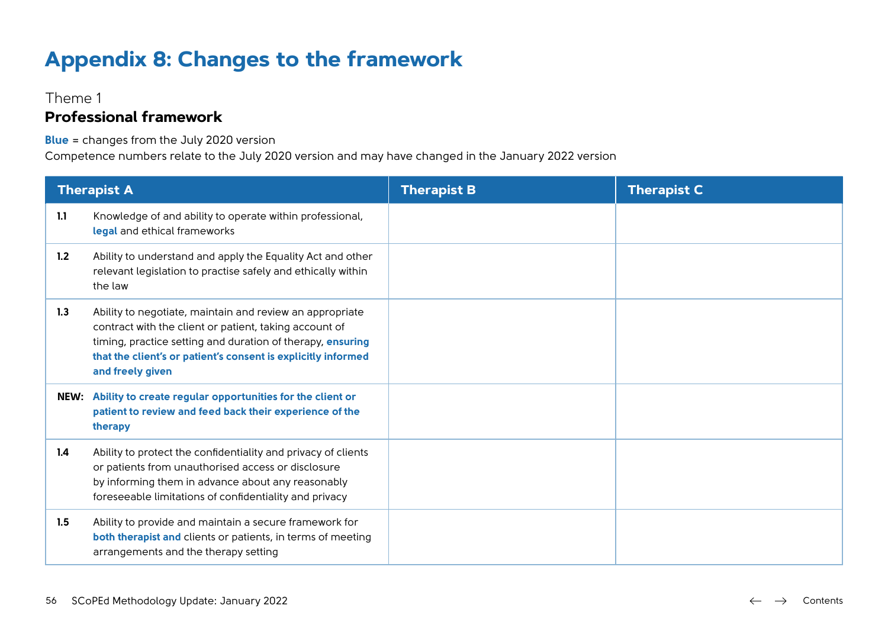# **Appendix 8: Changes to the framework**

### Theme 1

## **Professional framework**

**Blue** = changes from the July 2020 version

|     | <b>Therapist A</b>                                                                                                                                                                                                                                                    | <b>Therapist B</b> | <b>Therapist C</b> |
|-----|-----------------------------------------------------------------------------------------------------------------------------------------------------------------------------------------------------------------------------------------------------------------------|--------------------|--------------------|
| 1.1 | Knowledge of and ability to operate within professional,<br>legal and ethical frameworks                                                                                                                                                                              |                    |                    |
| 1.2 | Ability to understand and apply the Equality Act and other<br>relevant legislation to practise safely and ethically within<br>the law                                                                                                                                 |                    |                    |
| 1.3 | Ability to negotiate, maintain and review an appropriate<br>contract with the client or patient, taking account of<br>timing, practice setting and duration of therapy, ensuring<br>that the client's or patient's consent is explicitly informed<br>and freely given |                    |                    |
|     | NEW: Ability to create regular opportunities for the client or<br>patient to review and feed back their experience of the<br>therapy                                                                                                                                  |                    |                    |
| 1.4 | Ability to protect the confidentiality and privacy of clients<br>or patients from unauthorised access or disclosure<br>by informing them in advance about any reasonably<br>foreseeable limitations of confidentiality and privacy                                    |                    |                    |
| 1.5 | Ability to provide and maintain a secure framework for<br><b>both therapist and clients or patients, in terms of meeting</b><br>arrangements and the therapy setting                                                                                                  |                    |                    |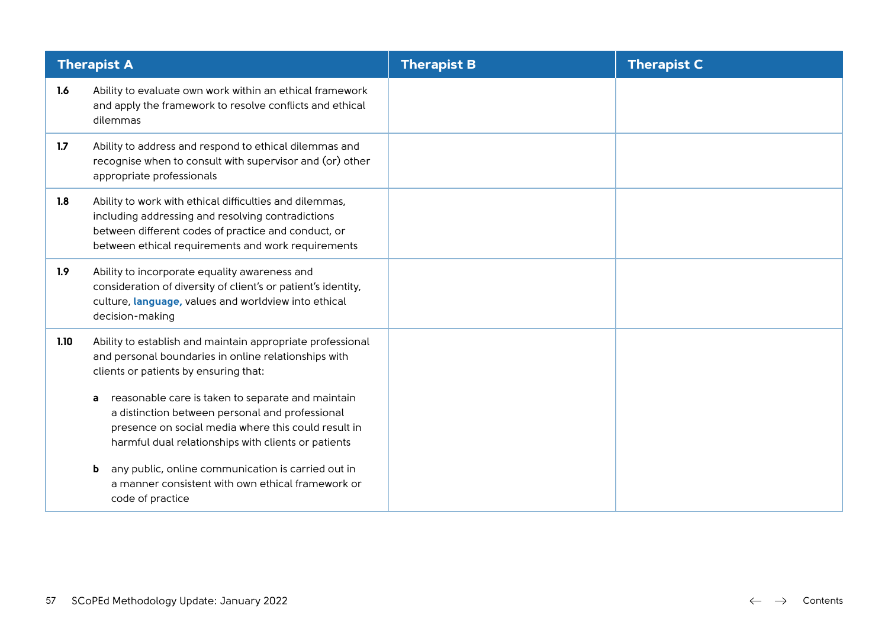|      | <b>Therapist A</b>                                                                                                                                                                                                        | <b>Therapist B</b> | <b>Therapist C</b> |
|------|---------------------------------------------------------------------------------------------------------------------------------------------------------------------------------------------------------------------------|--------------------|--------------------|
| 1.6  | Ability to evaluate own work within an ethical framework<br>and apply the framework to resolve conflicts and ethical<br>dilemmas                                                                                          |                    |                    |
| 1.7  | Ability to address and respond to ethical dilemmas and<br>recognise when to consult with supervisor and (or) other<br>appropriate professionals                                                                           |                    |                    |
| 1.8  | Ability to work with ethical difficulties and dilemmas,<br>including addressing and resolving contradictions<br>between different codes of practice and conduct, or<br>between ethical requirements and work requirements |                    |                    |
| 1.9  | Ability to incorporate equality awareness and<br>consideration of diversity of client's or patient's identity,<br>culture, language, values and worldview into ethical<br>decision-making                                 |                    |                    |
| 1.10 | Ability to establish and maintain appropriate professional<br>and personal boundaries in online relationships with<br>clients or patients by ensuring that:                                                               |                    |                    |
|      | reasonable care is taken to separate and maintain<br>a<br>a distinction between personal and professional<br>presence on social media where this could result in<br>harmful dual relationships with clients or patients   |                    |                    |
|      | any public, online communication is carried out in<br>b<br>a manner consistent with own ethical framework or<br>code of practice                                                                                          |                    |                    |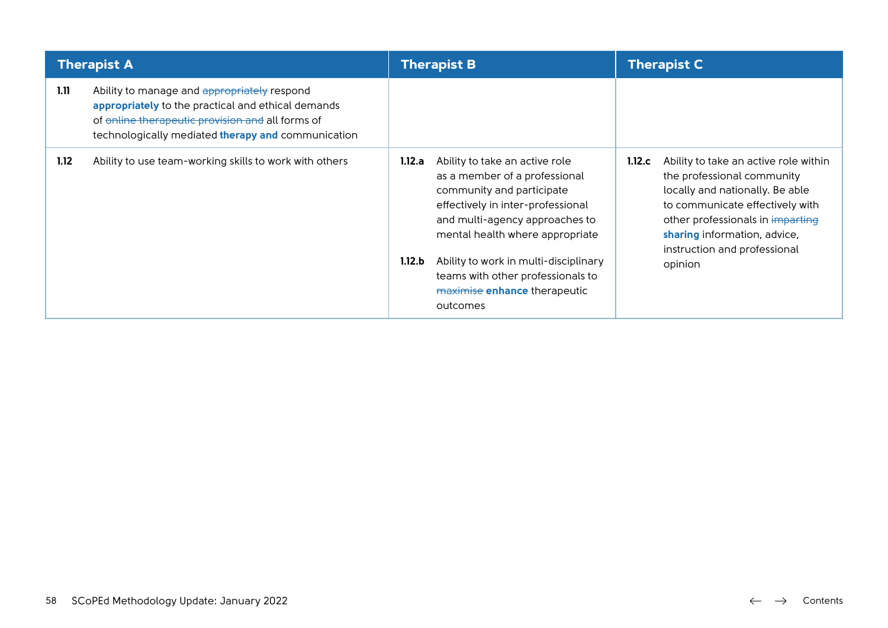|      | <b>Therapist A</b>                                                                                                                                                                                          |                  | <b>Therapist B</b>                                                                                                                                                                                                                                                                                                               |        | <b>Therapist C</b>                                                                                                                                                                                                                                       |  |
|------|-------------------------------------------------------------------------------------------------------------------------------------------------------------------------------------------------------------|------------------|----------------------------------------------------------------------------------------------------------------------------------------------------------------------------------------------------------------------------------------------------------------------------------------------------------------------------------|--------|----------------------------------------------------------------------------------------------------------------------------------------------------------------------------------------------------------------------------------------------------------|--|
| 1.11 | Ability to manage and appropriately respond<br>appropriately to the practical and ethical demands<br>of online therapeutic provision and all forms of<br>technologically mediated therapy and communication |                  |                                                                                                                                                                                                                                                                                                                                  |        |                                                                                                                                                                                                                                                          |  |
| 1.12 | Ability to use team-working skills to work with others                                                                                                                                                      | 1.12.a<br>1.12.b | Ability to take an active role<br>as a member of a professional<br>community and participate<br>effectively in inter-professional<br>and multi-agency approaches to<br>mental health where appropriate<br>Ability to work in multi-disciplinary<br>teams with other professionals to<br>maximise enhance therapeutic<br>outcomes | 1.12.c | Ability to take an active role within<br>the professional community<br>locally and nationally. Be able<br>to communicate effectively with<br>other professionals in imparting<br>sharing information, advice,<br>instruction and professional<br>opinion |  |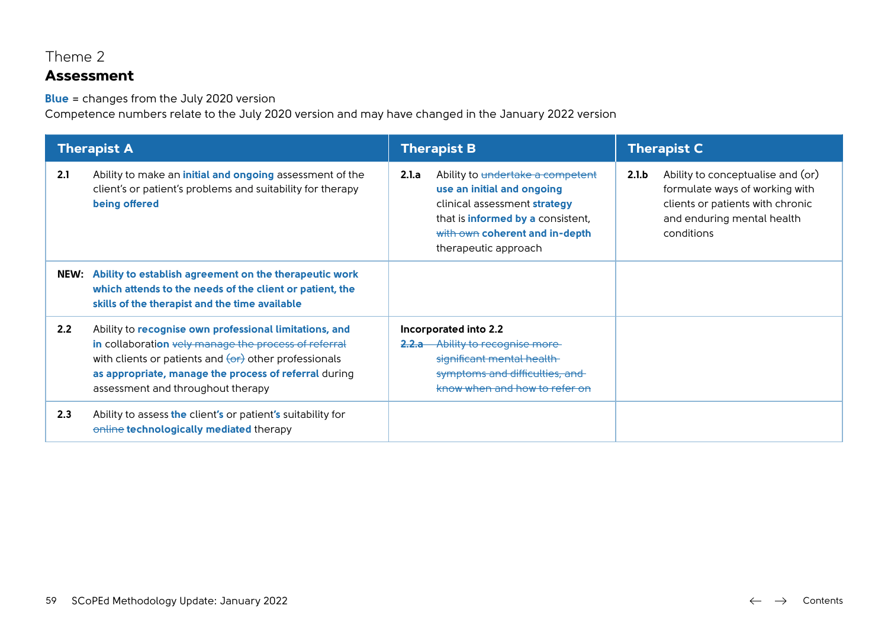## Theme 2

## **Assessment**

**Blue** = changes from the July 2020 version

|     | <b>Therapist A</b>                                                                                                                                                                                                                                                                 |       | <b>Therapist B</b>                                                                                                                                                                            |       | <b>Therapist C</b>                                                                                                                                  |
|-----|------------------------------------------------------------------------------------------------------------------------------------------------------------------------------------------------------------------------------------------------------------------------------------|-------|-----------------------------------------------------------------------------------------------------------------------------------------------------------------------------------------------|-------|-----------------------------------------------------------------------------------------------------------------------------------------------------|
| 2.1 | Ability to make an <i>initial and ongoing</i> assessment of the<br>client's or patient's problems and suitability for therapy<br>being offered                                                                                                                                     | 2.1.a | Ability to undertake a competent<br>use an initial and ongoing<br>clinical assessment strategy<br>that is informed by a consistent,<br>with own coherent and in-depth<br>therapeutic approach | 2.1.b | Ability to conceptualise and (or)<br>formulate ways of working with<br>clients or patients with chronic<br>and enduring mental health<br>conditions |
|     | NEW: Ability to establish agreement on the therapeutic work<br>which attends to the needs of the client or patient, the<br>skills of the therapist and the time available                                                                                                          |       |                                                                                                                                                                                               |       |                                                                                                                                                     |
| 2.2 | Ability to recognise own professional limitations, and<br>in collaboration vely manage the process of referral<br>with clients or patients and $\overline{(or)}$ other professionals<br>as appropriate, manage the process of referral during<br>assessment and throughout therapy |       | Incorporated into 2.2<br>2.2.a Ability to recognise more-<br>significant mental health<br>symptoms and difficulties, and<br>know when and how to refer on                                     |       |                                                                                                                                                     |
| 2.3 | Ability to assess the client's or patient's suitability for<br>online technologically mediated therapy                                                                                                                                                                             |       |                                                                                                                                                                                               |       |                                                                                                                                                     |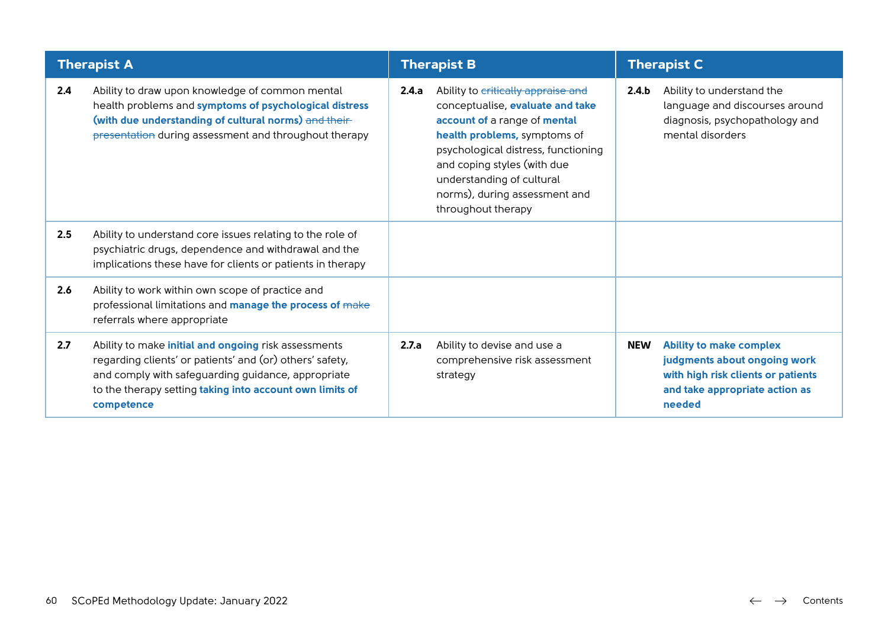|     | <b>Therapist A</b>                                                                                                                                                                                                                                      |       | <b>Therapist B</b>                                                                                                                                                                                                                                                                               | <b>Therapist C</b> |                                                                                                                                                  |
|-----|---------------------------------------------------------------------------------------------------------------------------------------------------------------------------------------------------------------------------------------------------------|-------|--------------------------------------------------------------------------------------------------------------------------------------------------------------------------------------------------------------------------------------------------------------------------------------------------|--------------------|--------------------------------------------------------------------------------------------------------------------------------------------------|
| 2.4 | Ability to draw upon knowledge of common mental<br>health problems and symptoms of psychological distress<br>(with due understanding of cultural norms) and their-<br>presentation during assessment and throughout therapy                             | 2.4.a | Ability to critically appraise and<br>conceptualise, evaluate and take<br>account of a range of mental<br>health problems, symptoms of<br>psychological distress, functioning<br>and coping styles (with due<br>understanding of cultural<br>norms), during assessment and<br>throughout therapy | 2.4.b              | Ability to understand the<br>language and discourses around<br>diagnosis, psychopathology and<br>mental disorders                                |
| 2.5 | Ability to understand core issues relating to the role of<br>psychiatric drugs, dependence and withdrawal and the<br>implications these have for clients or patients in therapy                                                                         |       |                                                                                                                                                                                                                                                                                                  |                    |                                                                                                                                                  |
| 2.6 | Ability to work within own scope of practice and<br>professional limitations and manage the process of make<br>referrals where appropriate                                                                                                              |       |                                                                                                                                                                                                                                                                                                  |                    |                                                                                                                                                  |
| 2.7 | Ability to make <i>initial and ongoing</i> risk assessments<br>regarding clients' or patients' and (or) others' safety,<br>and comply with safeguarding guidance, appropriate<br>to the therapy setting taking into account own limits of<br>competence | 2.7.a | Ability to devise and use a<br>comprehensive risk assessment<br>strategy                                                                                                                                                                                                                         | NEW                | <b>Ability to make complex</b><br>judgments about ongoing work<br>with high risk clients or patients<br>and take appropriate action as<br>needed |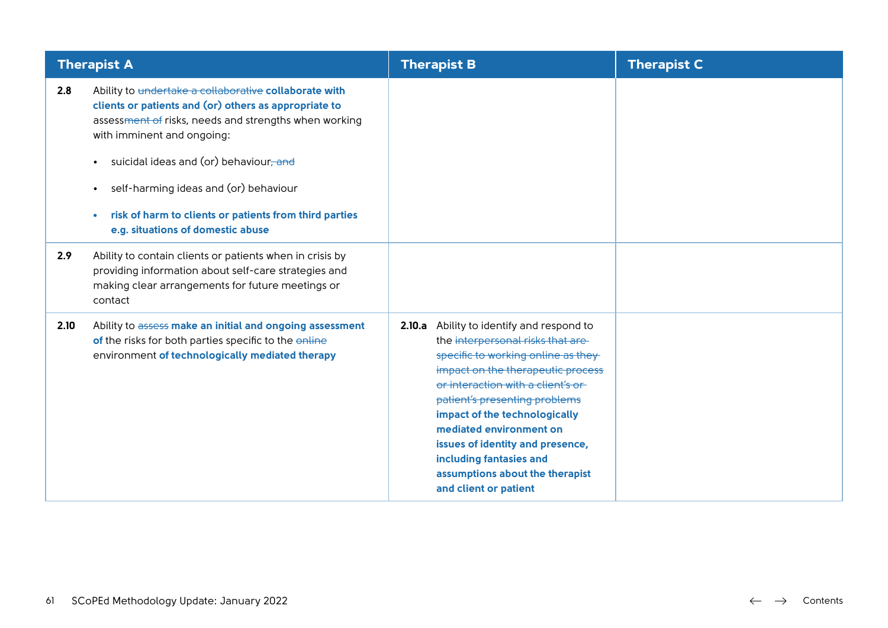|      | <b>Therapist A</b>                                                                                                                                                                                                                                                                                                                                                                                                                         | <b>Therapist B</b>                                                                                                                                                                                                                                                                                                                                                                                                        | <b>Therapist C</b> |
|------|--------------------------------------------------------------------------------------------------------------------------------------------------------------------------------------------------------------------------------------------------------------------------------------------------------------------------------------------------------------------------------------------------------------------------------------------|---------------------------------------------------------------------------------------------------------------------------------------------------------------------------------------------------------------------------------------------------------------------------------------------------------------------------------------------------------------------------------------------------------------------------|--------------------|
| 2.8  | Ability to undertake a collaborative collaborate with<br>clients or patients and (or) others as appropriate to<br>assessment of risks, needs and strengths when working<br>with imminent and ongoing:<br>suicidal ideas and (or) behaviour <del>, and</del><br>$\bullet$<br>self-harming ideas and (or) behaviour<br>$\bullet$<br>risk of harm to clients or patients from third parties<br>$\bullet$<br>e.g. situations of domestic abuse |                                                                                                                                                                                                                                                                                                                                                                                                                           |                    |
| 2.9  | Ability to contain clients or patients when in crisis by<br>providing information about self-care strategies and<br>making clear arrangements for future meetings or<br>contact                                                                                                                                                                                                                                                            |                                                                                                                                                                                                                                                                                                                                                                                                                           |                    |
| 2.10 | Ability to assess make an initial and ongoing assessment<br>of the risks for both parties specific to the online<br>environment of technologically mediated therapy                                                                                                                                                                                                                                                                        | 2.10.a<br>Ability to identify and respond to<br>the interpersonal risks that are-<br>specific to working online as they<br>impact on the therapeutic process<br>or interaction with a client's or<br>patient's presenting problems<br>impact of the technologically<br>mediated environment on<br>issues of identity and presence,<br>including fantasies and<br>assumptions about the therapist<br>and client or patient |                    |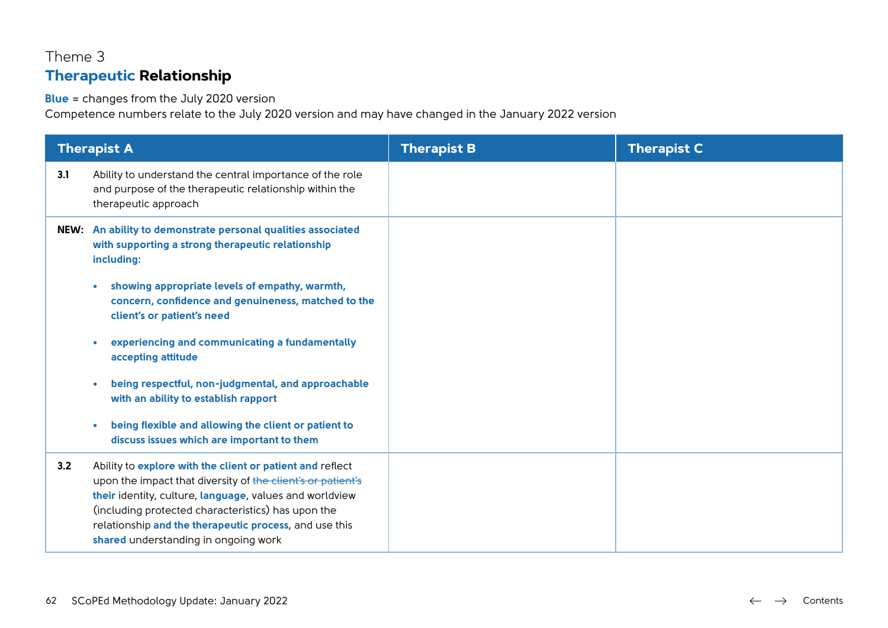# Theme 3 **Therapeutic Relationship**

#### **Blue** = changes from the July 2020 version

|     | <b>Therapist A</b>                                                                                                                                                                                                                                                                                                                          | <b>Therapist B</b> | <b>Therapist C</b> |
|-----|---------------------------------------------------------------------------------------------------------------------------------------------------------------------------------------------------------------------------------------------------------------------------------------------------------------------------------------------|--------------------|--------------------|
| 3.1 | Ability to understand the central importance of the role<br>and purpose of the therapeutic relationship within the<br>therapeutic approach                                                                                                                                                                                                  |                    |                    |
|     | NEW: An ability to demonstrate personal qualities associated<br>with supporting a strong therapeutic relationship<br>including:                                                                                                                                                                                                             |                    |                    |
|     | showing appropriate levels of empathy, warmth,<br>$\bullet$<br>concern, confidence and genuineness, matched to the<br>client's or patient's need                                                                                                                                                                                            |                    |                    |
|     | experiencing and communicating a fundamentally<br>$\bullet$<br>accepting attitude                                                                                                                                                                                                                                                           |                    |                    |
|     | being respectful, non-judgmental, and approachable<br>$\bullet$<br>with an ability to establish rapport                                                                                                                                                                                                                                     |                    |                    |
|     | being flexible and allowing the client or patient to<br>$\bullet$<br>discuss issues which are important to them                                                                                                                                                                                                                             |                    |                    |
| 3.2 | Ability to explore with the client or patient and reflect<br>upon the impact that diversity of the client's or patient's<br>their identity, culture, language, values and worldview<br>(including protected characteristics) has upon the<br>relationship and the therapeutic process, and use this<br>shared understanding in ongoing work |                    |                    |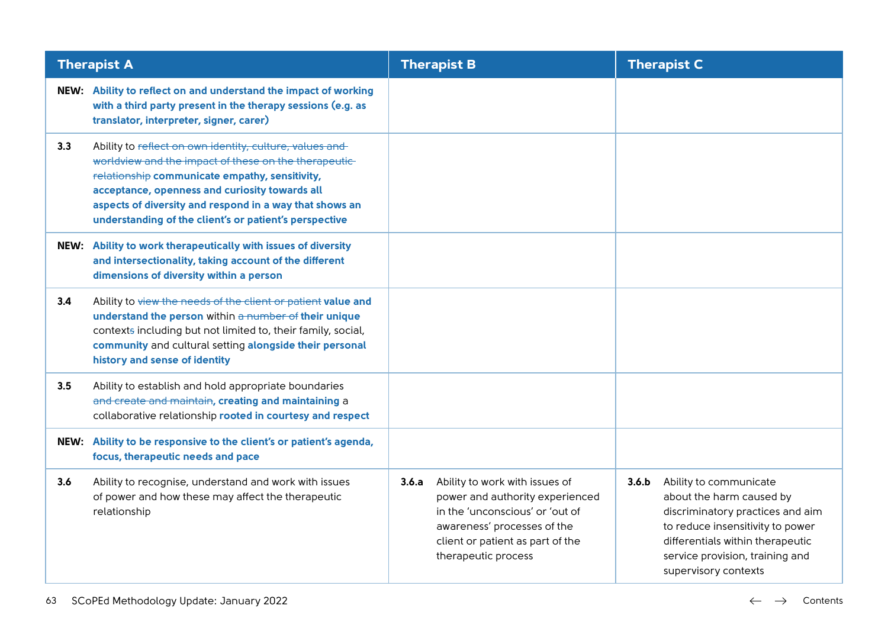|      | <b>Therapist A</b>                                                                                                                                                                                                                                                                                                                        |       | <b>Therapist B</b>                                                                                                                                                                             |       | <b>Therapist C</b>                                                                                                                                                                                                        |
|------|-------------------------------------------------------------------------------------------------------------------------------------------------------------------------------------------------------------------------------------------------------------------------------------------------------------------------------------------|-------|------------------------------------------------------------------------------------------------------------------------------------------------------------------------------------------------|-------|---------------------------------------------------------------------------------------------------------------------------------------------------------------------------------------------------------------------------|
|      | NEW: Ability to reflect on and understand the impact of working<br>with a third party present in the therapy sessions (e.g. as<br>translator, interpreter, signer, carer)                                                                                                                                                                 |       |                                                                                                                                                                                                |       |                                                                                                                                                                                                                           |
| 3.3  | Ability to reflect on own identity, culture, values and<br>worldview and the impact of these on the therapeutic-<br>relationship communicate empathy, sensitivity,<br>acceptance, openness and curiosity towards all<br>aspects of diversity and respond in a way that shows an<br>understanding of the client's or patient's perspective |       |                                                                                                                                                                                                |       |                                                                                                                                                                                                                           |
|      | NEW: Ability to work therapeutically with issues of diversity<br>and intersectionality, taking account of the different<br>dimensions of diversity within a person                                                                                                                                                                        |       |                                                                                                                                                                                                |       |                                                                                                                                                                                                                           |
| 3.4  | Ability to view the needs of the client or patient value and<br>understand the person within a number of their unique<br>contexts including but not limited to, their family, social,<br>community and cultural setting alongside their personal<br>history and sense of identity                                                         |       |                                                                                                                                                                                                |       |                                                                                                                                                                                                                           |
| 3.5  | Ability to establish and hold appropriate boundaries<br>and create and maintain, creating and maintaining a<br>collaborative relationship rooted in courtesy and respect                                                                                                                                                                  |       |                                                                                                                                                                                                |       |                                                                                                                                                                                                                           |
| NEW: | Ability to be responsive to the client's or patient's agenda,<br>focus, therapeutic needs and pace                                                                                                                                                                                                                                        |       |                                                                                                                                                                                                |       |                                                                                                                                                                                                                           |
| 3.6  | Ability to recognise, understand and work with issues<br>of power and how these may affect the therapeutic<br>relationship                                                                                                                                                                                                                | 3.6.a | Ability to work with issues of<br>power and authority experienced<br>in the 'unconscious' or 'out of<br>awareness' processes of the<br>client or patient as part of the<br>therapeutic process | 3.6.b | Ability to communicate<br>about the harm caused by<br>discriminatory practices and aim<br>to reduce insensitivity to power<br>differentials within therapeutic<br>service provision, training and<br>supervisory contexts |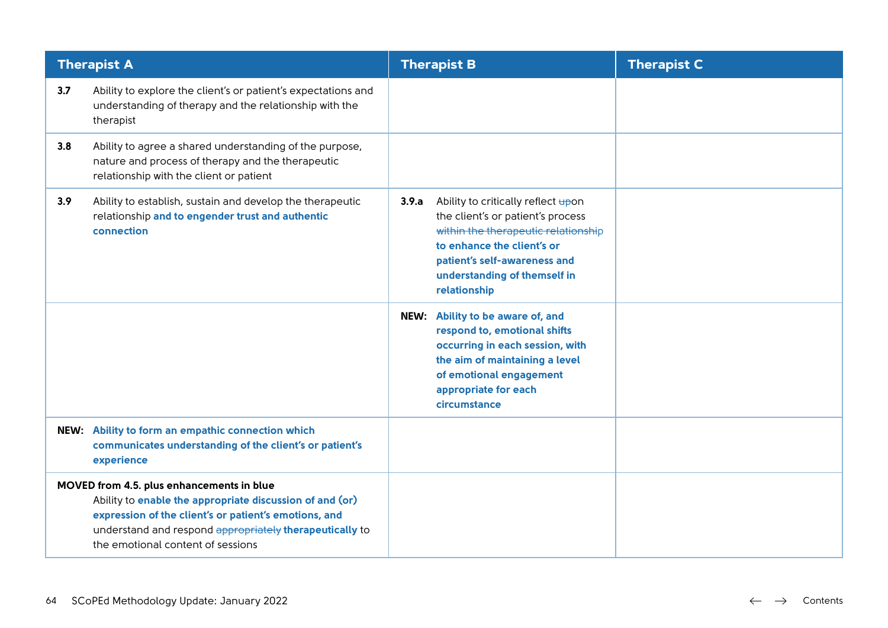|     | <b>Therapist A</b>                                                                                                                                                                                                                                             | <b>Therapist B</b>                                                                                                                                                                                                                    | <b>Therapist C</b> |
|-----|----------------------------------------------------------------------------------------------------------------------------------------------------------------------------------------------------------------------------------------------------------------|---------------------------------------------------------------------------------------------------------------------------------------------------------------------------------------------------------------------------------------|--------------------|
| 3.7 | Ability to explore the client's or patient's expectations and<br>understanding of therapy and the relationship with the<br>therapist                                                                                                                           |                                                                                                                                                                                                                                       |                    |
| 3.8 | Ability to agree a shared understanding of the purpose,<br>nature and process of therapy and the therapeutic<br>relationship with the client or patient                                                                                                        |                                                                                                                                                                                                                                       |                    |
| 3.9 | Ability to establish, sustain and develop the therapeutic<br>relationship and to engender trust and authentic<br>connection                                                                                                                                    | 3.9.a<br>Ability to critically reflect upon<br>the client's or patient's process<br>within the therapeutic relationship<br>to enhance the client's or<br>patient's self-awareness and<br>understanding of themself in<br>relationship |                    |
|     |                                                                                                                                                                                                                                                                | NEW: Ability to be aware of, and<br>respond to, emotional shifts<br>occurring in each session, with<br>the aim of maintaining a level<br>of emotional engagement<br>appropriate for each<br>circumstance                              |                    |
|     | NEW: Ability to form an empathic connection which<br>communicates understanding of the client's or patient's<br>experience                                                                                                                                     |                                                                                                                                                                                                                                       |                    |
|     | MOVED from 4.5. plus enhancements in blue<br>Ability to enable the appropriate discussion of and (or)<br>expression of the client's or patient's emotions, and<br>understand and respond appropriately therapeutically to<br>the emotional content of sessions |                                                                                                                                                                                                                                       |                    |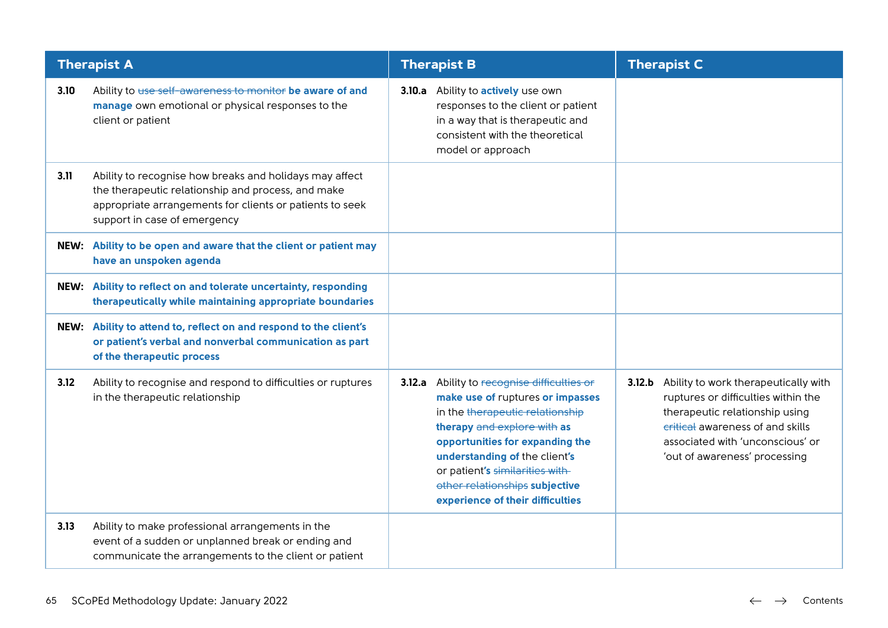|      | <b>Therapist A</b>                                                                                                                                                                                        | <b>Therapist B</b>                                                                                                                                                                                                                                                                                                            | <b>Therapist C</b>                                                                                                                                                                                                            |
|------|-----------------------------------------------------------------------------------------------------------------------------------------------------------------------------------------------------------|-------------------------------------------------------------------------------------------------------------------------------------------------------------------------------------------------------------------------------------------------------------------------------------------------------------------------------|-------------------------------------------------------------------------------------------------------------------------------------------------------------------------------------------------------------------------------|
| 3.10 | Ability to use self-awareness to monitor be aware of and<br>manage own emotional or physical responses to the<br>client or patient                                                                        | 3.10.a Ability to actively use own<br>responses to the client or patient<br>in a way that is therapeutic and<br>consistent with the theoretical<br>model or approach                                                                                                                                                          |                                                                                                                                                                                                                               |
| 3.11 | Ability to recognise how breaks and holidays may affect<br>the therapeutic relationship and process, and make<br>appropriate arrangements for clients or patients to seek<br>support in case of emergency |                                                                                                                                                                                                                                                                                                                               |                                                                                                                                                                                                                               |
|      | NEW: Ability to be open and aware that the client or patient may<br>have an unspoken agenda                                                                                                               |                                                                                                                                                                                                                                                                                                                               |                                                                                                                                                                                                                               |
|      | NEW: Ability to reflect on and tolerate uncertainty, responding<br>therapeutically while maintaining appropriate boundaries                                                                               |                                                                                                                                                                                                                                                                                                                               |                                                                                                                                                                                                                               |
|      | NEW: Ability to attend to, reflect on and respond to the client's<br>or patient's verbal and nonverbal communication as part<br>of the therapeutic process                                                |                                                                                                                                                                                                                                                                                                                               |                                                                                                                                                                                                                               |
| 3.12 | Ability to recognise and respond to difficulties or ruptures<br>in the therapeutic relationship                                                                                                           | 3.12.a Ability to recognise difficulties or<br>make use of ruptures or impasses<br>in the therapeutic relationship<br>therapy and explore with as<br>opportunities for expanding the<br>understanding of the client's<br>or patient's similarities with<br>other relationships subjective<br>experience of their difficulties | 3.12.b Ability to work therapeutically with<br>ruptures or difficulties within the<br>therapeutic relationship using<br>critical awareness of and skills<br>associated with 'unconscious' or<br>'out of awareness' processing |
| 3.13 | Ability to make professional arrangements in the<br>event of a sudden or unplanned break or ending and<br>communicate the arrangements to the client or patient                                           |                                                                                                                                                                                                                                                                                                                               |                                                                                                                                                                                                                               |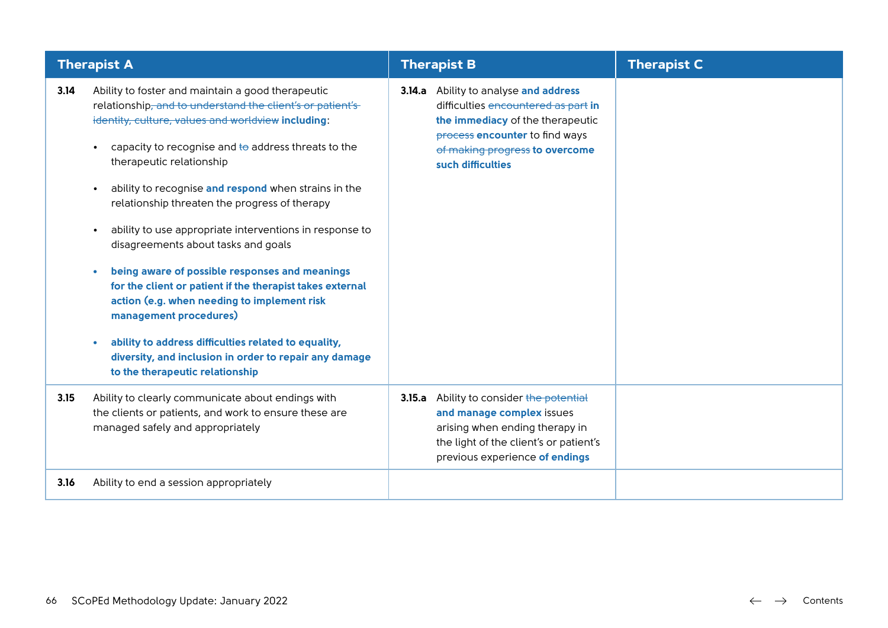| <b>Therapist A</b> |                                                                                                                                                                                                                                                                                                                                                                                                                                                                                                                                                                                                                                                                                                                                                                                                                                                                                  | <b>Therapist B</b>                                                                                                                                                                                        | <b>Therapist C</b> |
|--------------------|----------------------------------------------------------------------------------------------------------------------------------------------------------------------------------------------------------------------------------------------------------------------------------------------------------------------------------------------------------------------------------------------------------------------------------------------------------------------------------------------------------------------------------------------------------------------------------------------------------------------------------------------------------------------------------------------------------------------------------------------------------------------------------------------------------------------------------------------------------------------------------|-----------------------------------------------------------------------------------------------------------------------------------------------------------------------------------------------------------|--------------------|
| 3.14               | Ability to foster and maintain a good therapeutic<br>relationship, and to understand the client's or patient's<br>identity, culture, values and worldview including:<br>capacity to recognise and to address threats to the<br>$\bullet$<br>therapeutic relationship<br>ability to recognise and respond when strains in the<br>$\bullet$<br>relationship threaten the progress of therapy<br>ability to use appropriate interventions in response to<br>$\bullet$<br>disagreements about tasks and goals<br>being aware of possible responses and meanings<br>$\bullet$<br>for the client or patient if the therapist takes external<br>action (e.g. when needing to implement risk<br>management procedures)<br>ability to address difficulties related to equality,<br>$\bullet$<br>diversity, and inclusion in order to repair any damage<br>to the therapeutic relationship | 3.14.a Ability to analyse and address<br>difficulties encountered as part in<br>the immediacy of the therapeutic<br>process encounter to find ways<br>of making progress to overcome<br>such difficulties |                    |
| 3.15               | Ability to clearly communicate about endings with<br>the clients or patients, and work to ensure these are<br>managed safely and appropriately                                                                                                                                                                                                                                                                                                                                                                                                                                                                                                                                                                                                                                                                                                                                   | 3.15.a Ability to consider the potential<br>and manage complex issues<br>arising when ending therapy in<br>the light of the client's or patient's<br>previous experience of endings                       |                    |
| 3.16               | Ability to end a session appropriately                                                                                                                                                                                                                                                                                                                                                                                                                                                                                                                                                                                                                                                                                                                                                                                                                                           |                                                                                                                                                                                                           |                    |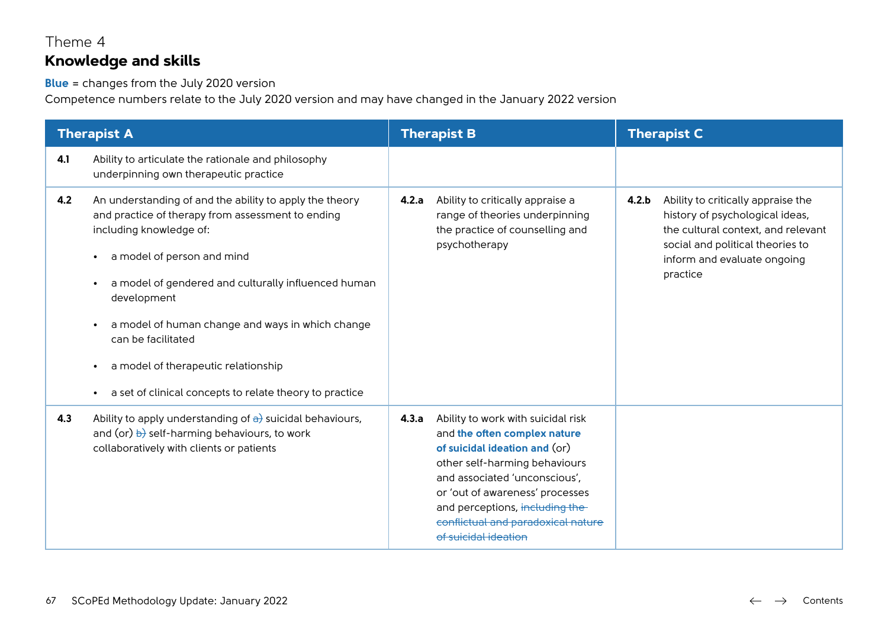## Theme 4 **Knowledge and skills**

**Blue** = changes from the July 2020 version

|     | <b>Therapist A</b>                                                                                                                                                                                                                                                                                                                                                                                                                   |       | <b>Therapist B</b>                                                                                                                                                                                                                                                                                        |       | <b>Therapist C</b>                                                                                                                                                                         |  |
|-----|--------------------------------------------------------------------------------------------------------------------------------------------------------------------------------------------------------------------------------------------------------------------------------------------------------------------------------------------------------------------------------------------------------------------------------------|-------|-----------------------------------------------------------------------------------------------------------------------------------------------------------------------------------------------------------------------------------------------------------------------------------------------------------|-------|--------------------------------------------------------------------------------------------------------------------------------------------------------------------------------------------|--|
| 4.1 | Ability to articulate the rationale and philosophy<br>underpinning own therapeutic practice                                                                                                                                                                                                                                                                                                                                          |       |                                                                                                                                                                                                                                                                                                           |       |                                                                                                                                                                                            |  |
| 4.2 | An understanding of and the ability to apply the theory<br>and practice of therapy from assessment to ending<br>including knowledge of:<br>a model of person and mind<br>a model of gendered and culturally influenced human<br>development<br>a model of human change and ways in which change<br>can be facilitated<br>a model of therapeutic relationship<br>$\bullet$<br>a set of clinical concepts to relate theory to practice | 4.2.a | Ability to critically appraise a<br>range of theories underpinning<br>the practice of counselling and<br>psychotherapy                                                                                                                                                                                    | 4.2.b | Ability to critically appraise the<br>history of psychological ideas,<br>the cultural context, and relevant<br>social and political theories to<br>inform and evaluate ongoing<br>practice |  |
| 4.3 | Ability to apply understanding of $\frac{1}{2}$ suicidal behaviours,<br>and (or) $\overline{b}$ self-harming behaviours, to work<br>collaboratively with clients or patients                                                                                                                                                                                                                                                         | 4.3.a | Ability to work with suicidal risk<br>and the often complex nature<br>of suicidal ideation and (or)<br>other self-harming behaviours<br>and associated 'unconscious',<br>or 'out of awareness' processes<br>and perceptions, including the-<br>conflictual and paradoxical nature<br>of suicidal ideation |       |                                                                                                                                                                                            |  |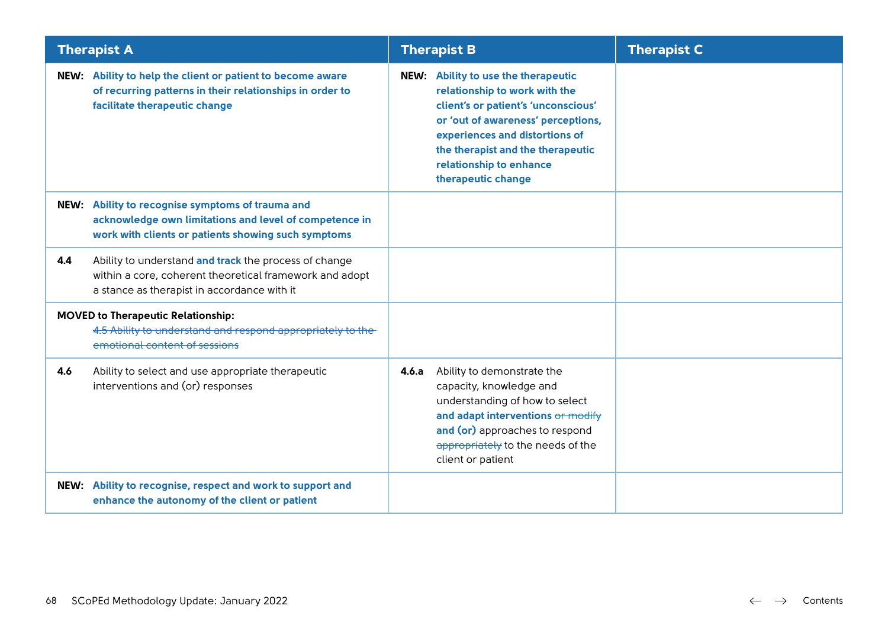| <b>Therapist A</b>                                                                                                                                                     | <b>Therapist B</b>                                                                                                                                                                                                                                                        | <b>Therapist C</b> |
|------------------------------------------------------------------------------------------------------------------------------------------------------------------------|---------------------------------------------------------------------------------------------------------------------------------------------------------------------------------------------------------------------------------------------------------------------------|--------------------|
| NEW: Ability to help the client or patient to become aware<br>of recurring patterns in their relationships in order to<br>facilitate therapeutic change                | NEW: Ability to use the therapeutic<br>relationship to work with the<br>client's or patient's 'unconscious'<br>or 'out of awareness' perceptions,<br>experiences and distortions of<br>the therapist and the therapeutic<br>relationship to enhance<br>therapeutic change |                    |
| NEW: Ability to recognise symptoms of trauma and<br>acknowledge own limitations and level of competence in<br>work with clients or patients showing such symptoms      |                                                                                                                                                                                                                                                                           |                    |
| Ability to understand and track the process of change<br>4.4<br>within a core, coherent theoretical framework and adopt<br>a stance as therapist in accordance with it |                                                                                                                                                                                                                                                                           |                    |
| <b>MOVED to Therapeutic Relationship:</b><br>4.5 Ability to understand and respond appropriately to the-<br>emotional content of sessions                              |                                                                                                                                                                                                                                                                           |                    |
| 4.6<br>Ability to select and use appropriate therapeutic<br>interventions and (or) responses                                                                           | Ability to demonstrate the<br>4.6.a<br>capacity, knowledge and<br>understanding of how to select<br>and adapt interventions or modify<br>and (or) approaches to respond<br>appropriately to the needs of the<br>client or patient                                         |                    |
| NEW: Ability to recognise, respect and work to support and<br>enhance the autonomy of the client or patient                                                            |                                                                                                                                                                                                                                                                           |                    |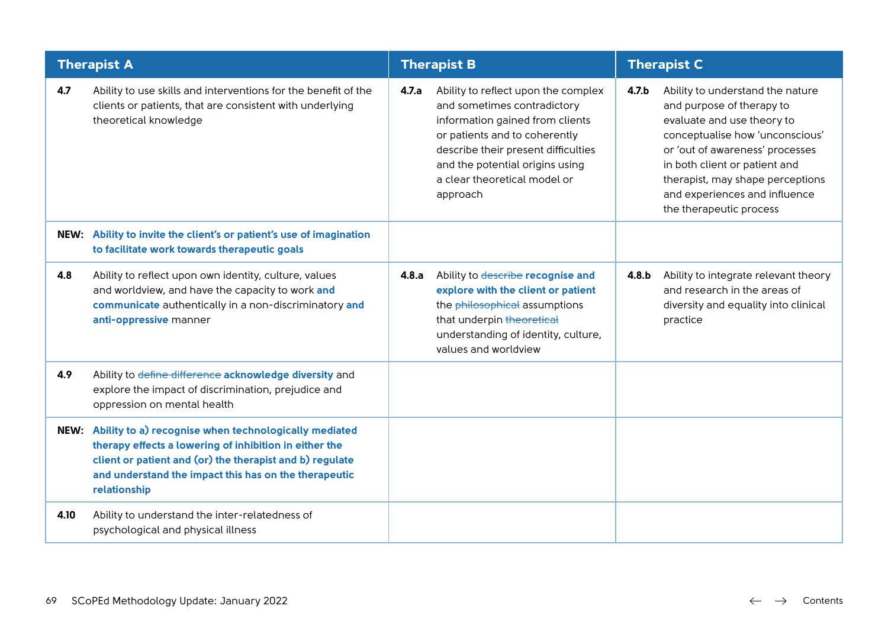|      | <b>Therapist A</b>                                                                                                                                                                                                                                        | <b>Therapist B</b> |                                                                                                                                                                                                                                                              | <b>Therapist C</b> |                                                                                                                                                                                                                                                                                                    |
|------|-----------------------------------------------------------------------------------------------------------------------------------------------------------------------------------------------------------------------------------------------------------|--------------------|--------------------------------------------------------------------------------------------------------------------------------------------------------------------------------------------------------------------------------------------------------------|--------------------|----------------------------------------------------------------------------------------------------------------------------------------------------------------------------------------------------------------------------------------------------------------------------------------------------|
| 4.7  | Ability to use skills and interventions for the benefit of the<br>clients or patients, that are consistent with underlying<br>theoretical knowledge                                                                                                       | 4.7.a              | Ability to reflect upon the complex<br>and sometimes contradictory<br>information gained from clients<br>or patients and to coherently<br>describe their present difficulties<br>and the potential origins using<br>a clear theoretical model or<br>approach | 4.7.b              | Ability to understand the nature<br>and purpose of therapy to<br>evaluate and use theory to<br>conceptualise how 'unconscious'<br>or 'out of awareness' processes<br>in both client or patient and<br>therapist, may shape perceptions<br>and experiences and influence<br>the therapeutic process |
|      | NEW: Ability to invite the client's or patient's use of imagination<br>to facilitate work towards therapeutic goals                                                                                                                                       |                    |                                                                                                                                                                                                                                                              |                    |                                                                                                                                                                                                                                                                                                    |
| 4.8  | Ability to reflect upon own identity, culture, values<br>and worldview, and have the capacity to work and<br>communicate authentically in a non-discriminatory and<br>anti-oppressive manner                                                              | 4.8.a              | Ability to describe recognise and<br>explore with the client or patient<br>the philosophical assumptions<br>that underpin theoretical<br>understanding of identity, culture,<br>values and worldview                                                         | 4.8.b              | Ability to integrate relevant theory<br>and research in the areas of<br>diversity and equality into clinical<br>practice                                                                                                                                                                           |
| 4.9  | Ability to define difference acknowledge diversity and<br>explore the impact of discrimination, prejudice and<br>oppression on mental health                                                                                                              |                    |                                                                                                                                                                                                                                                              |                    |                                                                                                                                                                                                                                                                                                    |
|      | NEW: Ability to a) recognise when technologically mediated<br>therapy effects a lowering of inhibition in either the<br>client or patient and (or) the therapist and b) regulate<br>and understand the impact this has on the therapeutic<br>relationship |                    |                                                                                                                                                                                                                                                              |                    |                                                                                                                                                                                                                                                                                                    |
| 4.10 | Ability to understand the inter-relatedness of<br>psychological and physical illness                                                                                                                                                                      |                    |                                                                                                                                                                                                                                                              |                    |                                                                                                                                                                                                                                                                                                    |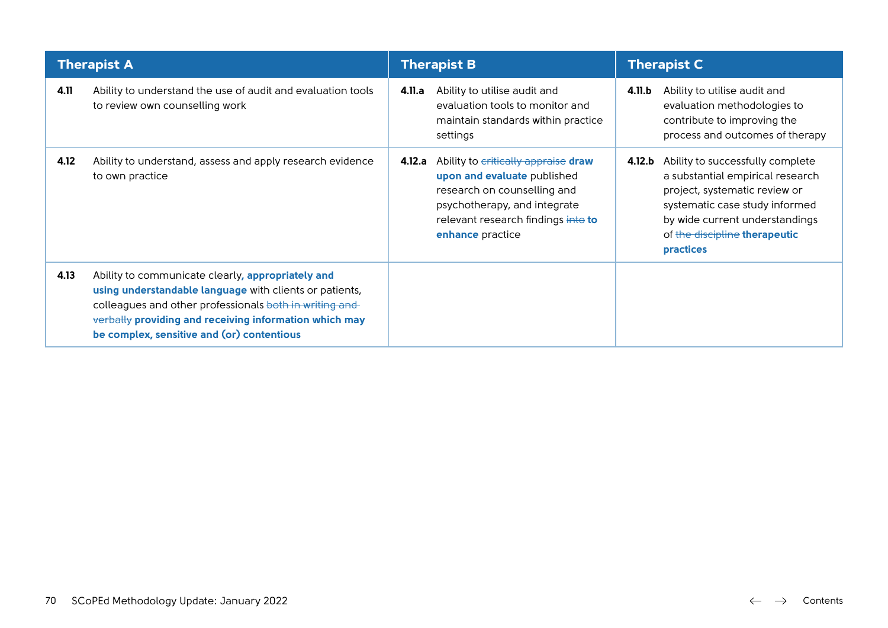| <b>Therapist A</b> |                                                                                                                                                                                                                                                                                |        | <b>Therapist B</b>                                                                                                                                                                          |        | <b>Therapist C</b>                                                                                                                                                                                                                    |  |
|--------------------|--------------------------------------------------------------------------------------------------------------------------------------------------------------------------------------------------------------------------------------------------------------------------------|--------|---------------------------------------------------------------------------------------------------------------------------------------------------------------------------------------------|--------|---------------------------------------------------------------------------------------------------------------------------------------------------------------------------------------------------------------------------------------|--|
| 4.11               | Ability to understand the use of audit and evaluation tools<br>to review own counselling work                                                                                                                                                                                  | 4.11.a | Ability to utilise audit and<br>evaluation tools to monitor and<br>maintain standards within practice<br>settings                                                                           | 4.11.b | Ability to utilise audit and<br>evaluation methodologies to<br>contribute to improving the<br>process and outcomes of therapy                                                                                                         |  |
| 4.12               | Ability to understand, assess and apply research evidence<br>to own practice                                                                                                                                                                                                   | 4.12.a | Ability to critically appraise draw<br>upon and evaluate published<br>research on counselling and<br>psychotherapy, and integrate<br>relevant research findings into to<br>enhance practice |        | 4.12.b Ability to successfully complete<br>a substantial empirical research<br>project, systematic review or<br>systematic case study informed<br>by wide current understandings<br>of the discipline therapeutic<br><b>practices</b> |  |
| 4.13               | Ability to communicate clearly, appropriately and<br>using understandable language with clients or patients,<br>colleagues and other professionals both in writing and<br>verbally providing and receiving information which may<br>be complex, sensitive and (or) contentious |        |                                                                                                                                                                                             |        |                                                                                                                                                                                                                                       |  |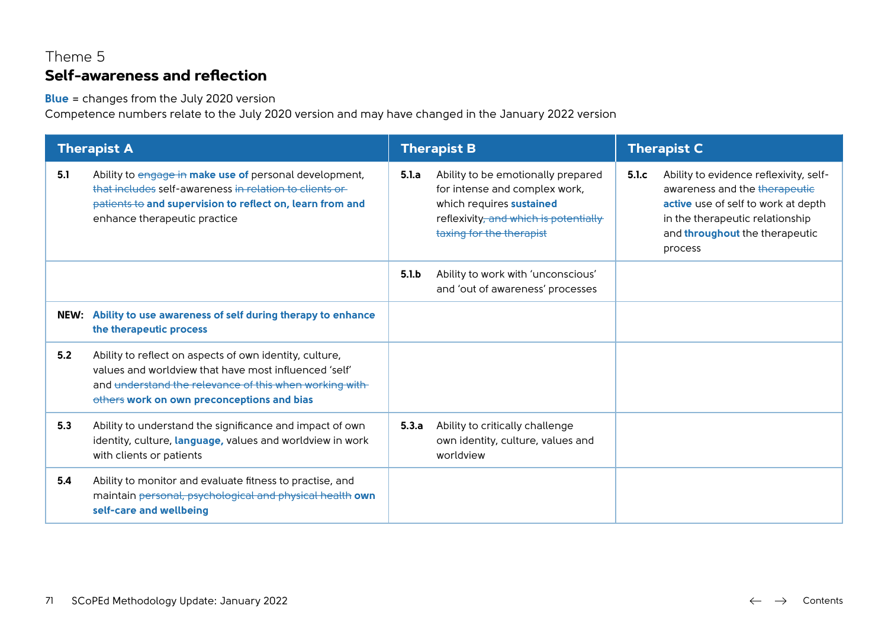# Theme 5 **Self-awareness and reflection**

**Blue** = changes from the July 2020 version

|      | <b>Therapist A</b>                                                                                                                                                                                                       |       | <b>Therapist B</b>                                                                                                                                                   |        | <b>Therapist C</b>                                                                                                                                                                             |  |
|------|--------------------------------------------------------------------------------------------------------------------------------------------------------------------------------------------------------------------------|-------|----------------------------------------------------------------------------------------------------------------------------------------------------------------------|--------|------------------------------------------------------------------------------------------------------------------------------------------------------------------------------------------------|--|
| 5.1  | Ability to engage in make use of personal development,<br>that includes self-awareness in relation to clients or<br>patients to and supervision to reflect on, learn from and<br>enhance therapeutic practice            | 5.1.a | Ability to be emotionally prepared<br>for intense and complex work,<br>which requires sustained<br>reflexivity, and which is potentially<br>taxing for the therapist | 5.l.c. | Ability to evidence reflexivity, self-<br>awareness and the therapeutic<br>active use of self to work at depth<br>in the therapeutic relationship<br>and throughout the therapeutic<br>process |  |
|      |                                                                                                                                                                                                                          | 5.1.b | Ability to work with 'unconscious'<br>and 'out of awareness' processes                                                                                               |        |                                                                                                                                                                                                |  |
| NEW: | Ability to use awareness of self during therapy to enhance<br>the therapeutic process                                                                                                                                    |       |                                                                                                                                                                      |        |                                                                                                                                                                                                |  |
| 5.2  | Ability to reflect on aspects of own identity, culture,<br>values and worldview that have most influenced 'self'<br>and understand the relevance of this when working with<br>others work on own preconceptions and bias |       |                                                                                                                                                                      |        |                                                                                                                                                                                                |  |
| 5.3  | Ability to understand the significance and impact of own<br>identity, culture, language, values and worldview in work<br>with clients or patients                                                                        | 5.3.a | Ability to critically challenge<br>own identity, culture, values and<br>worldview                                                                                    |        |                                                                                                                                                                                                |  |
| 5.4  | Ability to monitor and evaluate fitness to practise, and<br>maintain personal, psychological and physical health own<br>self-care and wellbeing                                                                          |       |                                                                                                                                                                      |        |                                                                                                                                                                                                |  |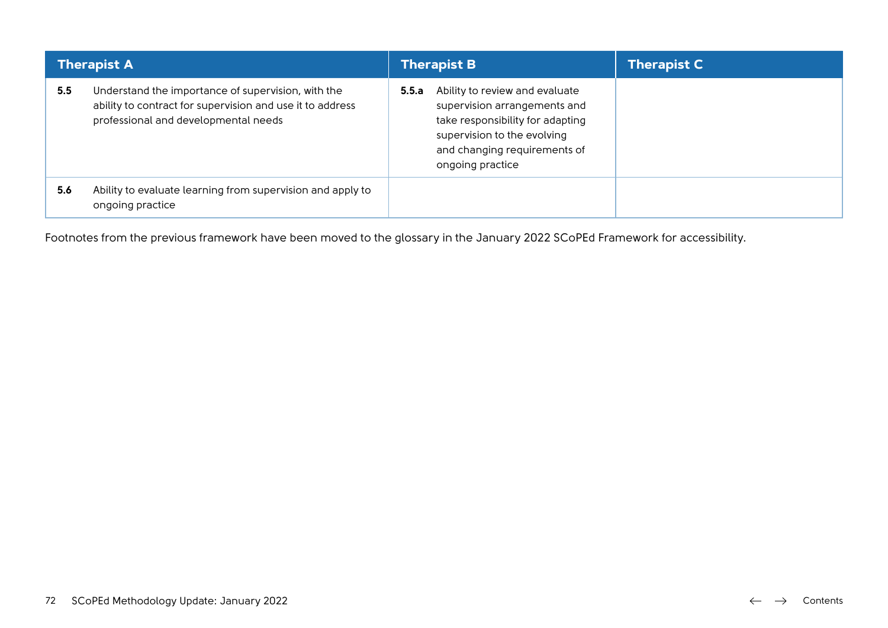| <b>Therapist A</b> |                                                                                                                                                         | <b>Therapist B</b>                                                                                                                                                                             | <b>Therapist C</b> |
|--------------------|---------------------------------------------------------------------------------------------------------------------------------------------------------|------------------------------------------------------------------------------------------------------------------------------------------------------------------------------------------------|--------------------|
| 5.5                | Understand the importance of supervision, with the<br>ability to contract for supervision and use it to address<br>professional and developmental needs | Ability to review and evaluate<br>5.5.a<br>supervision arrangements and<br>take responsibility for adapting<br>supervision to the evolving<br>and changing requirements of<br>ongoing practice |                    |
| 5.6                | Ability to evaluate learning from supervision and apply to<br>ongoing practice                                                                          |                                                                                                                                                                                                |                    |

Footnotes from the previous framework have been moved to the glossary in the January 2022 SCoPEd Framework for accessibility.